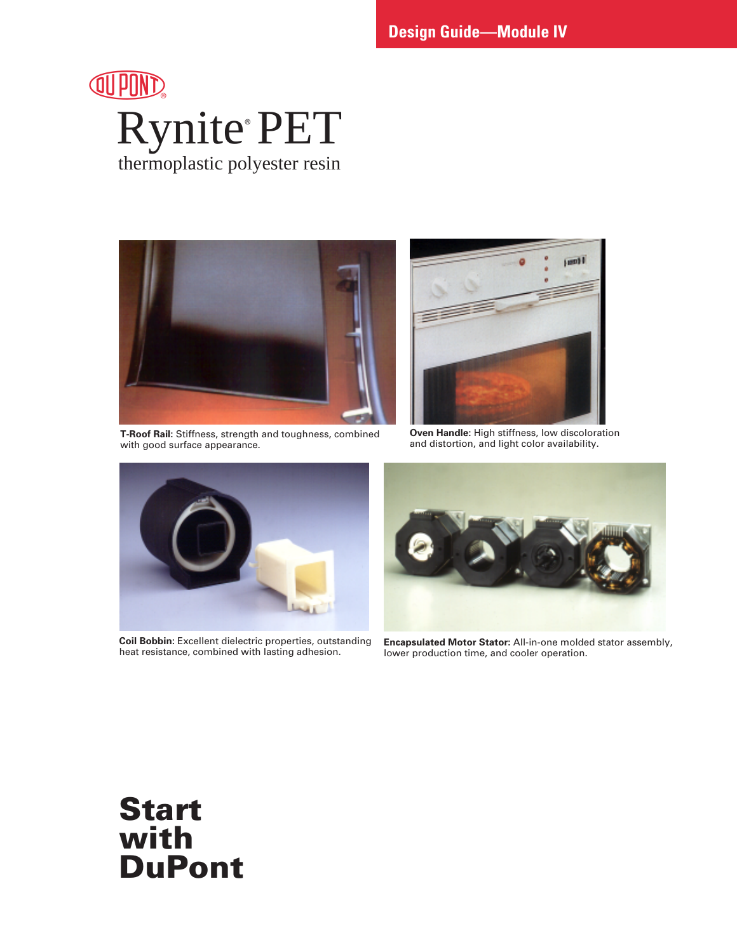



**T-Roof Rail:** Stiffness, strength and toughness, combined with good surface appearance.



**Oven Handle:** High stiffness, low discoloration and distortion, and light color availability.



**Coil Bobbin:** Excellent dielectric properties, outstanding heat resistance, combined with lasting adhesion.



**Encapsulated Motor Stator:** All-in-one molded stator assembly, lower production time, and cooler operation.

# **Start with DuPont**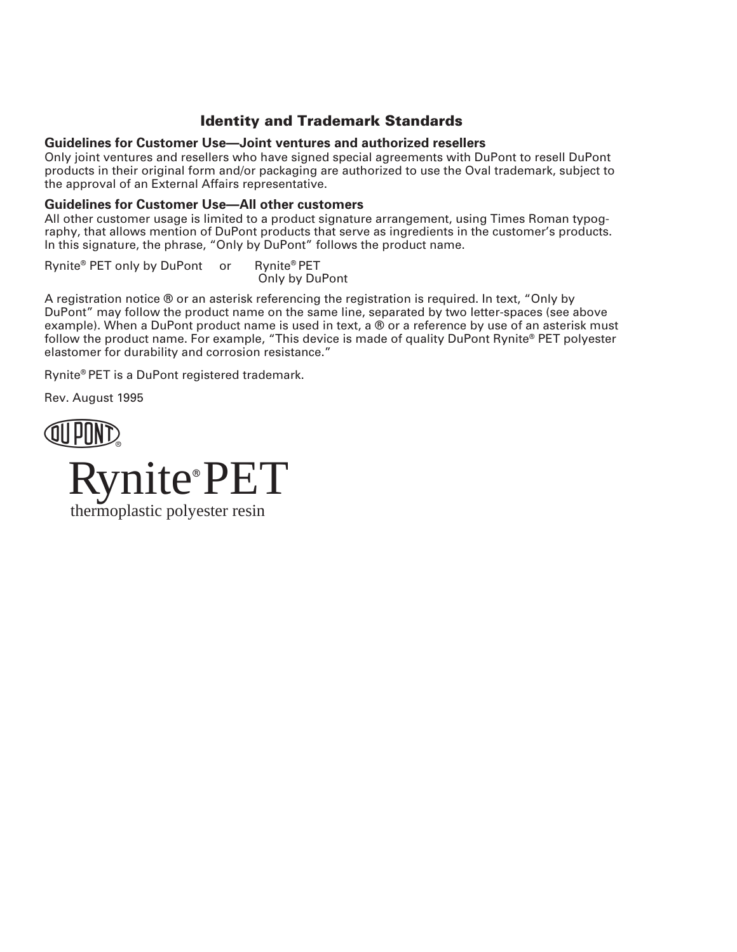# **Identity and Trademark Standards**

#### **Guidelines for Customer Use—Joint ventures and authorized resellers**

Only joint ventures and resellers who have signed special agreements with DuPont to resell DuPont products in their original form and/or packaging are authorized to use the Oval trademark, subject to the approval of an External Affairs representative.

#### **Guidelines for Customer Use—All other customers**

All other customer usage is limited to a product signature arrangement, using Times Roman typography, that allows mention of DuPont products that serve as ingredients in the customer's products. In this signature, the phrase, "Only by DuPont" follows the product name.

Rynite® PET only by DuPont or Rynite® PET Only by DuPont

A registration notice ® or an asterisk referencing the registration is required. In text, "Only by DuPont" may follow the product name on the same line, separated by two letter-spaces (see above example). When a DuPont product name is used in text, a ® or a reference by use of an asterisk must follow the product name. For example, "This device is made of quality DuPont Rynite® PET polyester elastomer for durability and corrosion resistance."

Rynite® PET is a DuPont registered trademark.

Rev. August 1995



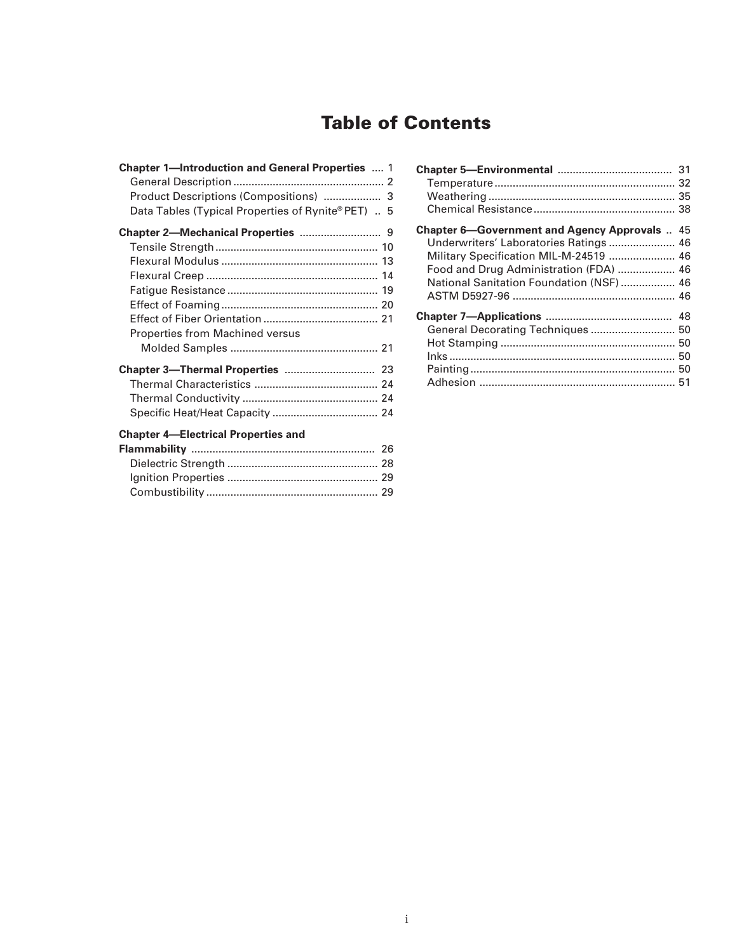# **Table of Contents**

| <b>Chapter 1-Introduction and General Properties  1</b> |  |
|---------------------------------------------------------|--|
|                                                         |  |
| Product Descriptions (Compositions)  3                  |  |
| Data Tables (Typical Properties of Rynite® PET)  5      |  |
|                                                         |  |
|                                                         |  |
|                                                         |  |
|                                                         |  |
|                                                         |  |
|                                                         |  |
|                                                         |  |
| <b>Properties from Machined versus</b>                  |  |
|                                                         |  |
|                                                         |  |
|                                                         |  |
|                                                         |  |
|                                                         |  |
| <b>Chapter 4-Electrical Properties and</b>              |  |
|                                                         |  |
|                                                         |  |
|                                                         |  |
|                                                         |  |

| <b>Chapter 6—Government and Agency Approvals  45</b><br>Underwriters' Laboratories Ratings  46<br>Military Specification MIL-M-24519  46<br>Food and Drug Administration (FDA)  46<br>National Sanitation Foundation (NSF)  46 |    |
|--------------------------------------------------------------------------------------------------------------------------------------------------------------------------------------------------------------------------------|----|
| General Decorating Techniques  50                                                                                                                                                                                              | 48 |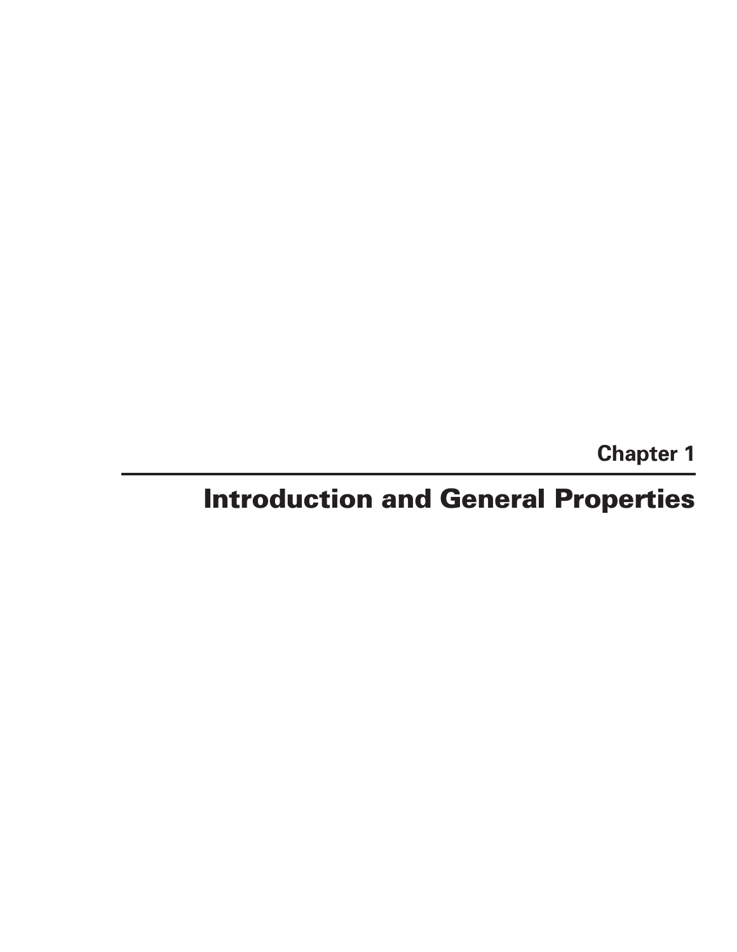**Chapter 1**

# **Introduction and General Properties**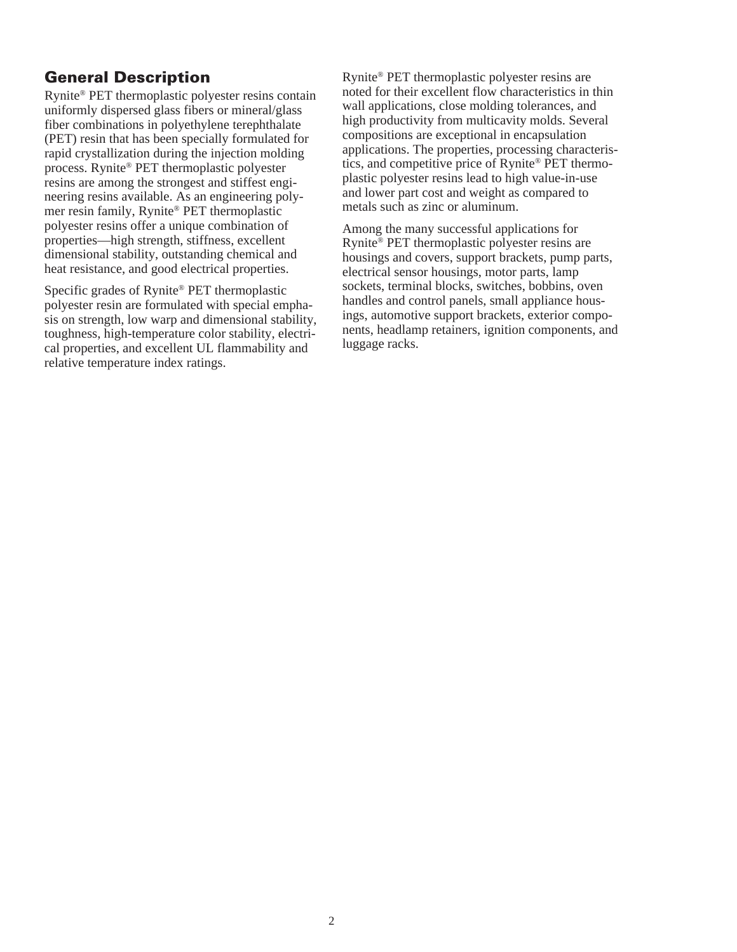# **General Description**

Rynite® PET thermoplastic polyester resins contain uniformly dispersed glass fibers or mineral/glass fiber combinations in polyethylene terephthalate (PET) resin that has been specially formulated for rapid crystallization during the injection molding process. Rynite® PET thermoplastic polyester resins are among the strongest and stiffest engineering resins available. As an engineering polymer resin family, Rynite® PET thermoplastic polyester resins offer a unique combination of properties—high strength, stiffness, excellent dimensional stability, outstanding chemical and heat resistance, and good electrical properties.

Specific grades of Rynite® PET thermoplastic polyester resin are formulated with special emphasis on strength, low warp and dimensional stability, toughness, high-temperature color stability, electrical properties, and excellent UL flammability and relative temperature index ratings.

Rynite® PET thermoplastic polyester resins are noted for their excellent flow characteristics in thin wall applications, close molding tolerances, and high productivity from multicavity molds. Several compositions are exceptional in encapsulation applications. The properties, processing characteristics, and competitive price of Rynite® PET thermoplastic polyester resins lead to high value-in-use and lower part cost and weight as compared to metals such as zinc or aluminum.

Among the many successful applications for Rynite® PET thermoplastic polyester resins are housings and covers, support brackets, pump parts, electrical sensor housings, motor parts, lamp sockets, terminal blocks, switches, bobbins, oven handles and control panels, small appliance housings, automotive support brackets, exterior components, headlamp retainers, ignition components, and luggage racks.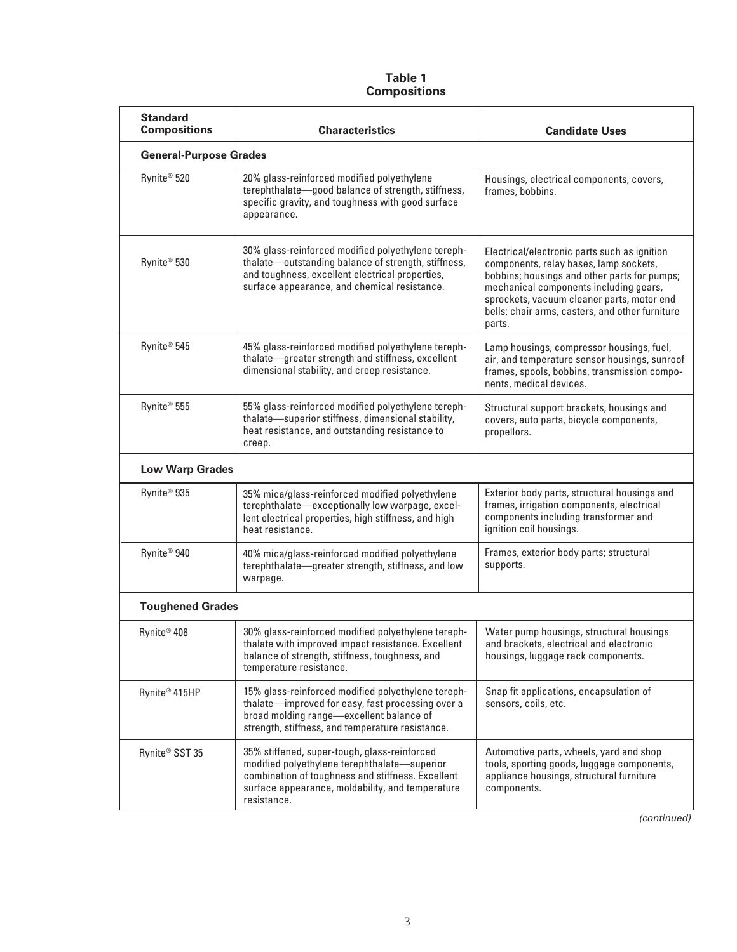#### **Table 1 Compositions**

| <b>Standard</b><br><b>Compositions</b> | <b>Characteristics</b>                                                                                                                                                                                               | <b>Candidate Uses</b>                                                                                                                                                                                                                                                                       |  |  |  |  |  |
|----------------------------------------|----------------------------------------------------------------------------------------------------------------------------------------------------------------------------------------------------------------------|---------------------------------------------------------------------------------------------------------------------------------------------------------------------------------------------------------------------------------------------------------------------------------------------|--|--|--|--|--|
| <b>General-Purpose Grades</b>          |                                                                                                                                                                                                                      |                                                                                                                                                                                                                                                                                             |  |  |  |  |  |
| Rynite <sup>®</sup> 520                | 20% glass-reinforced modified polyethylene<br>terephthalate-good balance of strength, stiffness,<br>specific gravity, and toughness with good surface<br>appearance.                                                 | Housings, electrical components, covers,<br>frames, bobbins.                                                                                                                                                                                                                                |  |  |  |  |  |
| Rynite <sup>®</sup> 530                | 30% glass-reinforced modified polyethylene tereph-<br>thalate-outstanding balance of strength, stiffness,<br>and toughness, excellent electrical properties,<br>surface appearance, and chemical resistance.         | Electrical/electronic parts such as ignition<br>components, relay bases, lamp sockets,<br>bobbins; housings and other parts for pumps;<br>mechanical components including gears,<br>sprockets, vacuum cleaner parts, motor end<br>bells; chair arms, casters, and other furniture<br>parts. |  |  |  |  |  |
| Rynite <sup>®</sup> 545                | 45% glass-reinforced modified polyethylene tereph-<br>thalate-greater strength and stiffness, excellent<br>dimensional stability, and creep resistance.                                                              | Lamp housings, compressor housings, fuel,<br>air, and temperature sensor housings, sunroof<br>frames, spools, bobbins, transmission compo-<br>nents, medical devices.                                                                                                                       |  |  |  |  |  |
| Rynite <sup>®</sup> 555                | 55% glass-reinforced modified polyethylene tereph-<br>thalate-superior stiffness, dimensional stability,<br>heat resistance, and outstanding resistance to<br>creep.                                                 | Structural support brackets, housings and<br>covers, auto parts, bicycle components,<br>propellors.                                                                                                                                                                                         |  |  |  |  |  |
| <b>Low Warp Grades</b>                 |                                                                                                                                                                                                                      |                                                                                                                                                                                                                                                                                             |  |  |  |  |  |
| Rynite <sup>®</sup> 935                | 35% mica/glass-reinforced modified polyethylene<br>terephthalate-exceptionally low warpage, excel-<br>lent electrical properties, high stiffness, and high<br>heat resistance.                                       | Exterior body parts, structural housings and<br>frames, irrigation components, electrical<br>components including transformer and<br>ignition coil housings.                                                                                                                                |  |  |  |  |  |
| Rynite <sup>®</sup> 940                | 40% mica/glass-reinforced modified polyethylene<br>terephthalate-greater strength, stiffness, and low<br>warpage.                                                                                                    | Frames, exterior body parts; structural<br>supports.                                                                                                                                                                                                                                        |  |  |  |  |  |
| <b>Toughened Grades</b>                |                                                                                                                                                                                                                      |                                                                                                                                                                                                                                                                                             |  |  |  |  |  |
| Rynite <sup>®</sup> 408                | 30% glass-reinforced modified polyethylene tereph-<br>thalate with improved impact resistance. Excellent<br>balance of strength, stiffness, toughness, and<br>temperature resistance.                                | Water pump housings, structural housings<br>and brackets, electrical and electronic<br>housings, luggage rack components.                                                                                                                                                                   |  |  |  |  |  |
| Rynite <sup>®</sup> 415HP              | 15% glass-reinforced modified polyethylene tereph-<br>thalate-improved for easy, fast processing over a<br>broad molding range-excellent balance of<br>strength, stiffness, and temperature resistance.              | Snap fit applications, encapsulation of<br>sensors, coils, etc.                                                                                                                                                                                                                             |  |  |  |  |  |
| Rynite <sup>®</sup> SST 35             | 35% stiffened, super-tough, glass-reinforced<br>modified polyethylene terephthalate-superior<br>combination of toughness and stiffness. Excellent<br>surface appearance, moldability, and temperature<br>resistance. | Automotive parts, wheels, yard and shop<br>tools, sporting goods, luggage components,<br>appliance housings, structural furniture<br>components.                                                                                                                                            |  |  |  |  |  |

(continued)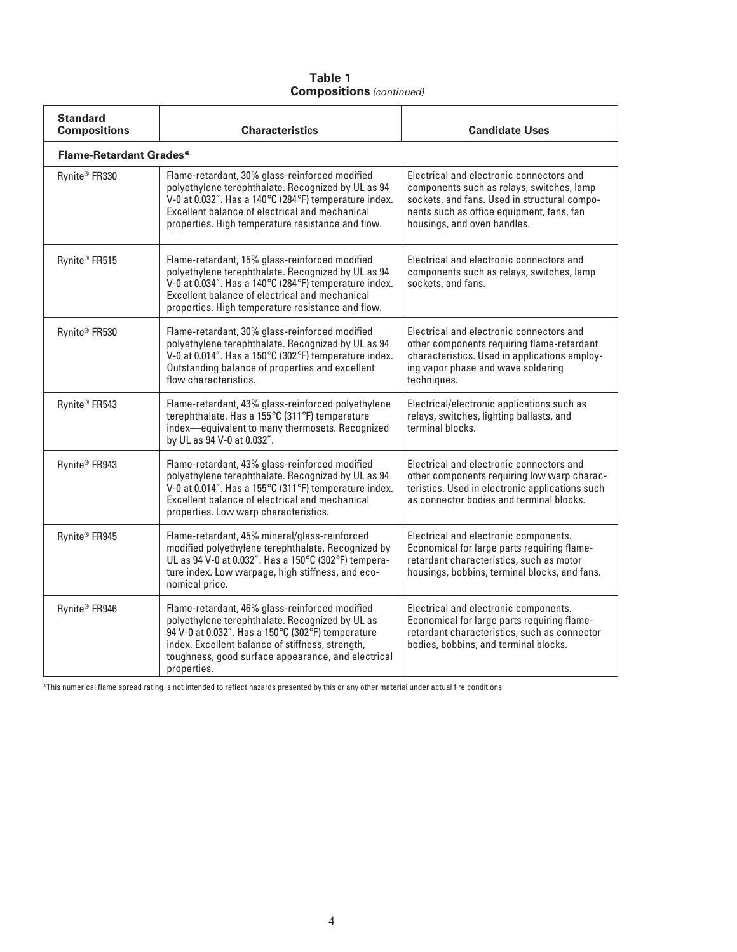#### **Table 1 Compositions** (continued)

| <b>Standard</b><br><b>Compositions</b> | <b>Characteristics</b>                                                                                                                                                                                                                                                          | <b>Candidate Uses</b>                                                                                                                                                                                             |
|----------------------------------------|---------------------------------------------------------------------------------------------------------------------------------------------------------------------------------------------------------------------------------------------------------------------------------|-------------------------------------------------------------------------------------------------------------------------------------------------------------------------------------------------------------------|
| <b>Flame-Retardant Grades*</b>         |                                                                                                                                                                                                                                                                                 |                                                                                                                                                                                                                   |
| Rynite <sup>®</sup> FR330              | Flame-retardant, 30% glass-reinforced modified<br>polyethylene terephthalate. Recognized by UL as 94<br>V-0 at 0.032". Has a 140°C (284°F) temperature index.<br>Excellent balance of electrical and mechanical<br>properties. High temperature resistance and flow.            | Electrical and electronic connectors and<br>components such as relays, switches, lamp<br>sockets, and fans. Used in structural compo-<br>nents such as office equipment, fans, fan<br>housings, and oven handles. |
| Rynite <sup>®</sup> FR515              | Flame-retardant, 15% glass-reinforced modified<br>polyethylene terephthalate. Recognized by UL as 94<br>V-0 at 0.034". Has a 140°C (284°F) temperature index.<br>Excellent balance of electrical and mechanical<br>properties. High temperature resistance and flow.            | Electrical and electronic connectors and<br>components such as relays, switches, lamp<br>sockets, and fans.                                                                                                       |
| Rynite <sup>®</sup> FR530              | Flame-retardant, 30% glass-reinforced modified<br>polyethylene terephthalate. Recognized by UL as 94<br>V-0 at 0.014". Has a 150°C (302°F) temperature index.<br>Outstanding balance of properties and excellent<br>flow characteristics.                                       | Electrical and electronic connectors and<br>other components requiring flame-retardant<br>characteristics. Used in applications employ-<br>ing vapor phase and wave soldering<br>techniques.                      |
| Rynite <sup>®</sup> FR543              | Flame-retardant, 43% glass-reinforced polyethylene<br>terephthalate. Has a 155°C (311°F) temperature<br>index-equivalent to many thermosets. Recognized<br>by UL as 94 V-0 at 0.032".                                                                                           | Electrical/electronic applications such as<br>relays, switches, lighting ballasts, and<br>terminal blocks.                                                                                                        |
| Rynite <sup>®</sup> FR943              | Flame-retardant, 43% glass-reinforced modified<br>polyethylene terephthalate. Recognized by UL as 94<br>V-0 at 0.014". Has a 155°C (311°F) temperature index.<br>Excellent balance of electrical and mechanical<br>properties. Low warp characteristics.                        | Electrical and electronic connectors and<br>other components requiring low warp charac-<br>teristics. Used in electronic applications such<br>as connector bodies and terminal blocks.                            |
| Rynite <sup>®</sup> FR945              | Flame-retardant, 45% mineral/glass-reinforced<br>modified polyethylene terephthalate. Recognized by<br>UL as 94 V-0 at 0.032". Has a 150°C (302°F) tempera-<br>ture index. Low warpage, high stiffness, and eco-<br>nomical price.                                              | Electrical and electronic components.<br>Economical for large parts requiring flame-<br>retardant characteristics, such as motor<br>housings, bobbins, terminal blocks, and fans.                                 |
| Rynite <sup>®</sup> FR946              | Flame-retardant, 46% glass-reinforced modified<br>polyethylene terephthalate. Recognized by UL as<br>94 V-0 at 0.032". Has a 150°C (302°F) temperature<br>index. Excellent balance of stiffness, strength,<br>toughness, good surface appearance, and electrical<br>properties. | Electrical and electronic components.<br>Economical for large parts requiring flame-<br>retardant characteristics, such as connector<br>bodies, bobbins, and terminal blocks.                                     |

\*This numerical flame spread rating is not intended to reflect hazards presented by this or any other material under actual fire conditions.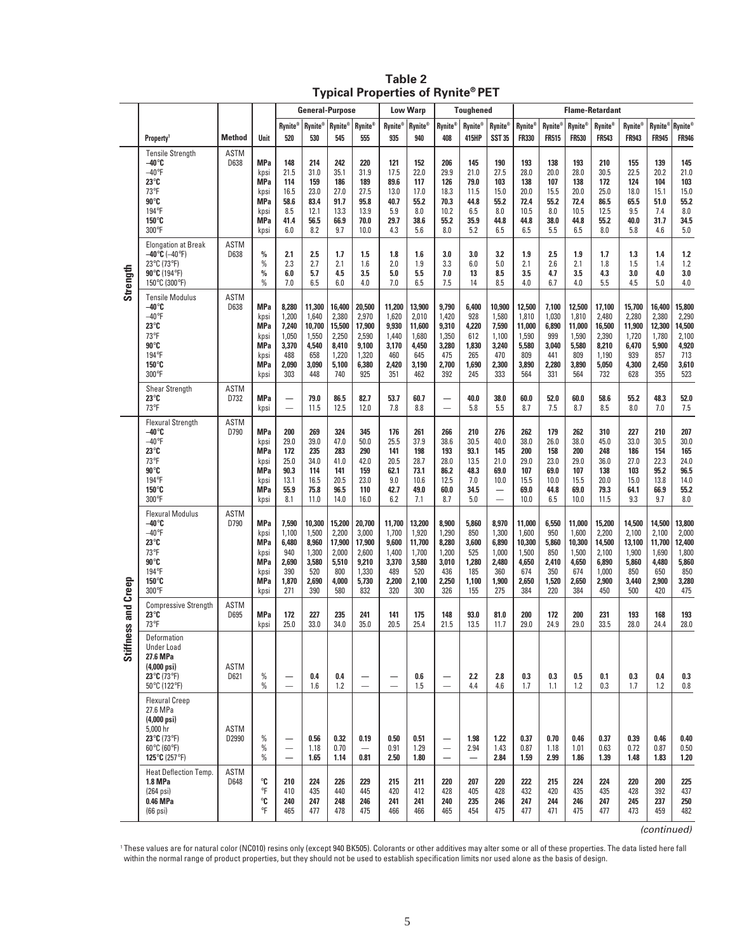|                      |                                                                                                                                                                                                                                                                                                                                     |                      |                                                                               |                                                                  | <b>General-Purpose</b>                                             |                                                                      |                                                                      |                                                                   | <b>Low Warp</b>                                                    |                                                                  | <b>Toughened</b>                                             |                                                                                                    |                                                                    |                                                                |                                                                    | <b>Flame-Retardant</b>                                               |                                                                    |                                                                    |                                                                    |
|----------------------|-------------------------------------------------------------------------------------------------------------------------------------------------------------------------------------------------------------------------------------------------------------------------------------------------------------------------------------|----------------------|-------------------------------------------------------------------------------|------------------------------------------------------------------|--------------------------------------------------------------------|----------------------------------------------------------------------|----------------------------------------------------------------------|-------------------------------------------------------------------|--------------------------------------------------------------------|------------------------------------------------------------------|--------------------------------------------------------------|----------------------------------------------------------------------------------------------------|--------------------------------------------------------------------|----------------------------------------------------------------|--------------------------------------------------------------------|----------------------------------------------------------------------|--------------------------------------------------------------------|--------------------------------------------------------------------|--------------------------------------------------------------------|
|                      | <b>Property</b>                                                                                                                                                                                                                                                                                                                     | <b>Method</b>        | Unit                                                                          | <b>Rynite®</b><br>520                                            | <b>Rynite®</b><br>530                                              | <b>Rynite®</b><br>545                                                | <b>Rynite®</b><br>555                                                | <b>Rynite®</b><br>935                                             | Rynite®<br>940                                                     | <b>Rynite®</b><br>408                                            | <b>Rynite®</b><br>415HP                                      | <b>Rynite®</b><br><b>SST 35</b>                                                                    | <b>Rynite®</b><br><b>FR330</b>                                     | <b>Rynite®</b><br><b>FR515</b>                                 | <b>Rynite®</b><br><b>FR530</b>                                     | <b>Rynite®</b><br><b>FR543</b>                                       | <b>Rynite®</b><br><b>FR943</b>                                     | Rynite <sup>®</sup><br><b>FR945</b>                                | <b>Rynite®</b><br><b>FR946</b>                                     |
|                      | <b>Tensile Strength</b><br>$-40^\circ$ C<br>$-40$ °F<br>$23^\circ$ C<br>73°F<br>90°C<br>194°F<br>150°C<br>300°F                                                                                                                                                                                                                     | ASTM<br>D638         | <b>MPa</b><br>kpsi<br><b>MPa</b><br>kpsi<br>MPa<br>kpsi<br><b>MPa</b><br>kpsi | 148<br>21.5<br>114<br>16.5<br>58.6<br>8.5<br>41.4<br>6.0         | 214<br>31.0<br>159<br>23.0<br>83.4<br>12.1<br>56.5<br>8.2          | 242<br>35.1<br>186<br>27.0<br>91.7<br>13.3<br>66.9<br>9.7            | 220<br>31.9<br>189<br>27.5<br>95.8<br>13.9<br>70.0<br>10.0           | 121<br>17.5<br>89.6<br>13.0<br>40.7<br>5.9<br>29.7<br>4.3         | 152<br>22.0<br>117<br>17.0<br>55.2<br>8.0<br>38.6<br>5.6           | 206<br>29.9<br>126<br>18.3<br>70.3<br>10.2<br>55.2<br>8.0        | 145<br>21.0<br>79.0<br>11.5<br>44.8<br>6.5<br>35.9<br>5.2    | 190<br>27.5<br>103<br>15.0<br>55.2<br>8.0<br>44.8<br>6.5                                           | 193<br>28.0<br>138<br>20.0<br>72.4<br>10.5<br>44.8<br>6.5          | 138<br>20.0<br>107<br>15.5<br>55.2<br>8.0<br>38.0<br>5.5       | 193<br>28.0<br>138<br>20.0<br>72.4<br>10.5<br>44.8<br>6.5          | 210<br>30.5<br>172<br>25.0<br>86.5<br>12.5<br>55.2<br>8.0            | 155<br>22.5<br>124<br>18.0<br>65.5<br>9.5<br>40.0<br>5.8           | 139<br>20.2<br>104<br>15.1<br>51.0<br>7.4<br>31.7<br>4.6           | 145<br>21.0<br>103<br>15.0<br>55.2<br>8.0<br>34.5<br>5.0           |
| Strength             | <b>Elongation at Break</b><br>$-40^{\circ}$ C ( $-40^{\circ}$ F)<br>23°C (73°F)<br>90 $°C$ (194 $\degree$ F)<br>150°C (300°F)                                                                                                                                                                                                       | <b>ASTM</b><br>D638  | $\%$<br>$\%$<br>$\frac{0}{0}$<br>$\%$                                         | 2.1<br>2.3<br>6.0<br>7.0                                         | 2.5<br>2.7<br>5.7<br>6.5                                           | 1.7<br>2.1<br>4.5<br>6.0                                             | 1.5<br>1.6<br>3.5<br>4.0                                             | 1.8<br>2.0<br>5.0<br>7.0                                          | 1.6<br>1.9<br>5.5<br>6.5                                           | 3.0<br>3.3<br>7.0<br>7.5                                         | 3.0<br>6.0<br>13<br>14                                       | 3.2<br>5.0<br>8.5<br>8.5                                                                           | 1.9<br>2.1<br>3.5<br>4.0                                           | 2.5<br>2.6<br>4.7<br>6.7                                       | 1.9<br>2.1<br>3.5<br>4.0                                           | 1.7<br>1.8<br>4.3<br>5.5                                             | 1.3<br>1.5<br>3.0<br>4.5                                           | 1.4<br>1.4<br>4.0<br>5.0                                           | 1.2<br>1.2<br>3.0<br>4.0                                           |
|                      | <b>Tensile Modulus</b><br>$-40^\circ$ C<br>$-40$ <sup>o</sup> F<br>$23^\circ$ C<br>73°F<br>90°C<br>194°F<br>150°C<br>300°F                                                                                                                                                                                                          | <b>ASTM</b><br>D638  | <b>MPa</b><br>kpsi<br><b>MPa</b><br>kpsi<br>MPa<br>kpsi<br><b>MPa</b><br>kpsi | 8,280<br>1,200<br>7,240<br>1,050<br>3,370<br>488<br>2,090<br>303 | 11,300<br>1,640<br>10,700<br>1,550<br>4,540<br>658<br>3,090<br>448 | 16,400<br>2,380<br>15,500<br>2,250<br>8,410<br>1,220<br>5,100<br>740 | 20,500<br>2,970<br>17,900<br>2,590<br>9,100<br>1,320<br>6,380<br>925 | 11,200<br>1,620<br>9,930<br>1,440<br>3,170<br>460<br>2,420<br>351 | 13,900<br>2,010<br>11,600<br>1,680<br>4,450<br>645<br>3,190<br>462 | 9,790<br>1,420<br>9,310<br>1,350<br>3,280<br>475<br>2,700<br>392 | 6,400<br>928<br>4,220<br>612<br>1,830<br>265<br>1,690<br>245 | 10,900<br>1,580<br>7,590<br>1,100<br>3,240<br>470<br>2,300<br>333                                  | 12,500<br>1,810<br>11,000<br>1,590<br>5,580<br>809<br>3,890<br>564 | 7,100<br>1,030<br>6,890<br>999<br>3,040<br>441<br>2,280<br>331 | 12,500<br>1,810<br>11,000<br>1,590<br>5,580<br>809<br>3,890<br>564 | 17,100<br>2,480<br>16,500<br>2,390<br>8,210<br>1,190<br>5,050<br>732 | 15,700<br>2,280<br>11,900<br>1,720<br>6,470<br>939<br>4,300<br>628 | 16,400<br>2,380<br>12,300<br>1,780<br>5,900<br>857<br>2,450<br>355 | 15,800<br>2,290<br>14,500<br>2,100<br>4,920<br>713<br>3,610<br>523 |
|                      | Shear Strength<br>$23^\circ$ C<br>73°F                                                                                                                                                                                                                                                                                              | <b>ASTM</b><br>D732  | <b>MPa</b><br>kpsi                                                            | $\overline{\phantom{0}}$                                         | 79.0<br>11.5                                                       | 86.5<br>12.5                                                         | 82.7<br>12.0                                                         | 53.7<br>7.8                                                       | 60.7<br>8.8                                                        | $\overline{\phantom{0}}$<br>$\overline{\phantom{0}}$             | 40.0<br>5.8                                                  | 38.0<br>5.5                                                                                        | 60.0<br>8.7                                                        | 52.0<br>7.5                                                    | 60.0<br>8.7                                                        | 58.6<br>8.5                                                          | 55.2<br>8.0                                                        | 48.3<br>7.0                                                        | 52.0<br>7.5                                                        |
|                      | <b>Flexural Strength</b><br>$-40^\circ$ C<br>$-40$ <sup>o</sup> F<br>$23^\circ$ C<br>73°F<br>90°C<br>194°F<br>$150^\circ$ C<br>300°F                                                                                                                                                                                                | <b>ASTM</b><br>D790  | <b>MPa</b><br>kpsi<br><b>MPa</b><br>kpsi<br>MPa<br>kpsi<br>MPa<br>kpsi        | 200<br>29.0<br>172<br>25.0<br>90.3<br>13.1<br>55.9<br>8.1        | 269<br>39.0<br>235<br>34.0<br>114<br>16.5<br>75.8<br>11.0          | 324<br>47.0<br>283<br>41.0<br>141<br>20.5<br>96.5<br>14.0            | 345<br>50.0<br>290<br>42.0<br>159<br>23.0<br>110<br>16.0             | 176<br>25.5<br>141<br>20.5<br>62.1<br>9.0<br>42.7<br>6.2          | 261<br>37.9<br>198<br>28.7<br>73.1<br>10.6<br>49.0<br>7.1          | 266<br>38.6<br>193<br>28.0<br>86.2<br>12.5<br>60.0<br>8.7        | 210<br>30.5<br>93.1<br>13.5<br>48.3<br>7.0<br>34.5<br>5.0    | 276<br>40.0<br>145<br>21.0<br>69.0<br>10.0<br>$\overline{\phantom{0}}$<br>$\overline{\phantom{0}}$ | 262<br>38.0<br>200<br>29.0<br>107<br>15.5<br>69.0<br>10.0          | 179<br>26.0<br>158<br>23.0<br>69.0<br>10.0<br>44.8<br>6.5      | 262<br>38.0<br>200<br>29.0<br>107<br>15.5<br>69.0<br>10.0          | 310<br>45.0<br>248<br>36.0<br>138<br>20.0<br>79.3<br>11.5            | 227<br>33.0<br>186<br>27.0<br>103<br>15.0<br>64.1<br>9.3           | 210<br>30.5<br>154<br>22.3<br>95.2<br>13.8<br>66.9<br>9.7          | 207<br>30.0<br>165<br>24.0<br>96.5<br>14.0<br>55.2<br>8.0          |
|                      | <b>Flexural Modulus</b><br>$-40^\circ$ C<br>$-40$ <sup>o</sup> F<br>$23^\circ$ C<br>73°F<br>90°C<br>194°F<br>150°C<br>300°F                                                                                                                                                                                                         | ASTM<br>D790         | <b>MPa</b><br>kpsi<br><b>MPa</b><br>kpsi<br>MPa<br>kpsi<br><b>MPa</b><br>kpsi | 7,590<br>1,100<br>6,480<br>940<br>2,690<br>390<br>1,870<br>271   | 10,300<br>1,500<br>8,960<br>1,300<br>3,580<br>520<br>2,690<br>390  | 15,200<br>2,200<br>17,900<br>2,000<br>5,510<br>800<br>4,000<br>580   | 20,700<br>3,000<br>17,900<br>2,600<br>9,210<br>1,330<br>5,730<br>832 | 11,700<br>1,700<br>9,600<br>1,400<br>3,370<br>489<br>2,200<br>320 | 13,200<br>1,920<br>11,700<br>1,700<br>3,580<br>520<br>2,100<br>300 | 8,900<br>1,290<br>8,280<br>1,200<br>3,010<br>436<br>2,250<br>326 | 5,860<br>850<br>3,600<br>525<br>1,280<br>185<br>1,100<br>155 | 8,970<br>1,300<br>6,890<br>1,000<br>2,480<br>360<br>1,900<br>275                                   | 11,000<br>1,600<br>10,300<br>1,500<br>4,650<br>674<br>2,650<br>384 | 6,550<br>950<br>5,860<br>850<br>2,410<br>350<br>1,520<br>220   | 11,000<br>1,600<br>10,300<br>1,500<br>4,650<br>674<br>2,650<br>384 | 15,200<br>2,200<br>14,500<br>2,100<br>6,890<br>1,000<br>2,900<br>450 | 14,500<br>2,100<br>13,100<br>1,900<br>5,860<br>850<br>3,440<br>500 | 14,500<br>2,100<br>11,700<br>1,690<br>4,480<br>650<br>2,900<br>420 | 13,800<br>2,000<br>12,400<br>1,800<br>5,860<br>850<br>3,280<br>475 |
| and Creep            | <b>Compressive Strength</b><br>23°C<br>73°F                                                                                                                                                                                                                                                                                         | ASTM<br>D695         | <b>MPa</b><br>kpsi                                                            | 172<br>25.0                                                      | 227<br>33.0                                                        | 235<br>34.0                                                          | 241<br>35.0                                                          | 141<br>20.5                                                       | 175<br>25.4                                                        | 148<br>21.5                                                      | 93.0<br>13.5                                                 | 81.0<br>11.7                                                                                       | 200<br>29.0                                                        | 172<br>24.9                                                    | 200<br>29.0                                                        | 231<br>33.5                                                          | 193<br>28.0                                                        | 168<br>24.4                                                        | 193<br>28.0                                                        |
| ess<br><b>Stiffm</b> | Deformation<br><b>Under Load</b><br>27.6 MPa<br>$(4,000 \text{ psi})$<br>23 $°C$ (73 $°F$ )<br>50°C (122°F)                                                                                                                                                                                                                         | ASTM<br>D621         | $\%$<br>$\%$                                                                  | —<br>-                                                           | 0.4<br>1.6                                                         | 0.4<br>1.2                                                           | $\overline{\phantom{m}}$                                             | —<br>$\overline{\phantom{0}}$                                     | 0.6<br>1.5                                                         | —<br>$\overline{\phantom{0}}$                                    | 2.2<br>4.4                                                   | 2.8<br>4.6                                                                                         | 0.3<br>1.7                                                         | 0.3<br>1.1                                                     | 0.5<br>1.2                                                         | 0.1<br>0.3                                                           | 0.3<br>1.7                                                         | 0.4<br>1.2                                                         | 0.3<br>0.8                                                         |
|                      | <b>Flexural Creep</b><br>27.6 MPa<br>$(4,000 \text{ psi})$<br>5,000 hr<br>23 $°C$ (73 $°F$ )<br>$60^{\circ}$ C (60 $^{\circ}$ F)<br>125 $°C$ (257 $\degree$ F)                                                                                                                                                                      | <b>ASTM</b><br>D2990 | $\%$<br>$\%$<br>$\%$                                                          | $\overline{\phantom{0}}$<br>—                                    | 0.56<br>1.18<br>1.65                                               | 0.32<br>0.70<br>1.14                                                 | 0.19<br>0.81                                                         | 0.50<br>0.91<br>2.50                                              | 0.51<br>1.29<br>1.80                                               | —<br>—<br>$\qquad \qquad -$                                      | 1.98<br>2.94                                                 | 1.22<br>1.43<br>2.84                                                                               | 0.37<br>0.87<br>1.59                                               | 0.70<br>1.18<br>2.99                                           | 0.46<br>1.01<br>1.86                                               | 0.37<br>0.63<br>1.39                                                 | 0.39<br>0.72<br>1.48                                               | 0.46<br>0.87<br>1.83                                               | 0.40<br>0.50<br>1.20                                               |
|                      | <b>Heat Deflection Temp.</b><br>1.8 MPa<br>$(264 \text{ psi})$<br>0.46 MPa<br>$(66 \text{ psi})$                                                                                                                                                                                                                                    | <b>ASTM</b><br>D648  | $^{\circ}$ C<br>°F<br>$^{\circ}$ C<br>°F                                      | 210<br>410<br>240<br>465                                         | 224<br>435<br>247<br>477                                           | 226<br>440<br>248<br>478                                             | 229<br>445<br>246<br>475                                             | 215<br>420<br>241<br>466                                          | 211<br>412<br>241<br>466                                           | 220<br>428<br>240<br>465                                         | 207<br>405<br>235<br>454                                     | 220<br>428<br>246<br>475                                                                           | 222<br>432<br>247<br>477                                           | 215<br>420<br>244<br>471                                       | 224<br>435<br>246<br>475                                           | 224<br>435<br>247<br>477                                             | 220<br>428<br>245<br>473                                           | 200<br>392<br>237<br>459                                           | 225<br>437<br>250<br>482                                           |
|                      | These values are for natural color (NC010) resins only (except 940 BK505). Colorants or other additives may alter some or all of these properties. The data listed here fall<br>within the normal range of product properties, but they should not be used to establish specification limits nor used alone as the basis of design. |                      |                                                                               |                                                                  |                                                                    |                                                                      |                                                                      |                                                                   |                                                                    |                                                                  |                                                              |                                                                                                    |                                                                    |                                                                |                                                                    |                                                                      |                                                                    | (continued)                                                        |                                                                    |

#### **Table 2 Typical Properties of Rynite® PET**

<sup>1</sup>These values are for natural color (NC010) resins only (except 940 BK505). Colorants or other additives may alter some or all of these properties. The data listed here fall within the normal range of product properties,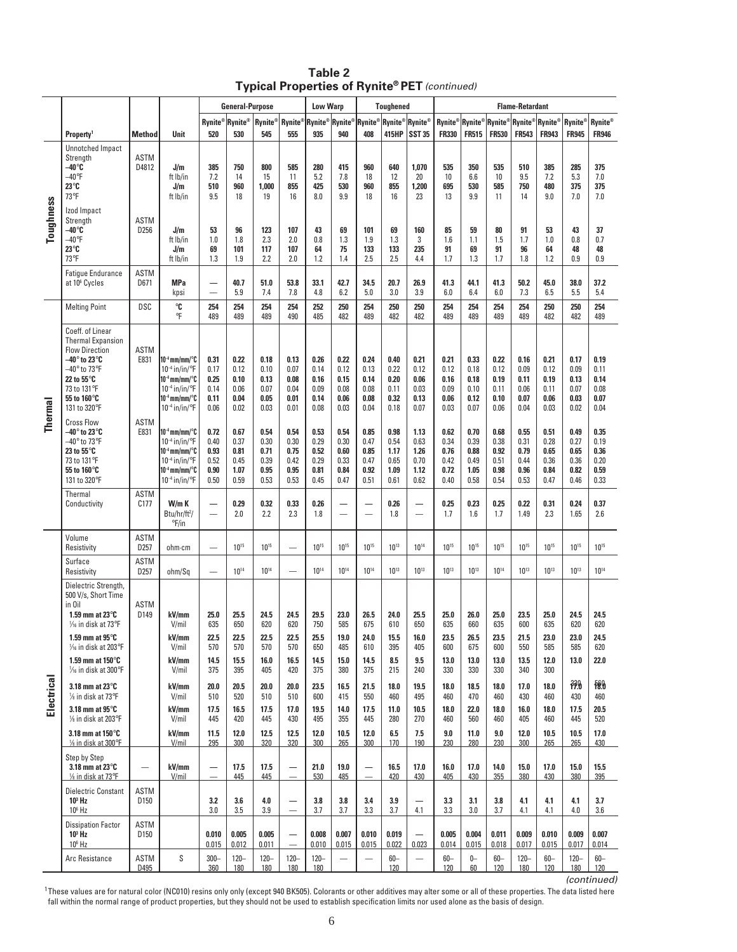|            |                                                                                                                                                                                                                     |                                 |                                                                                                                                                                                            |                                              | <b>General-Purpose</b>                       |                                              |                                              | <b>Low Warp</b>                              |                                              |                                              | <b>Toughened</b>                             |                                              | <b>Flame-Retardant</b>                       |                                              |                                              |                                              |                                              |                                              |                                              |
|------------|---------------------------------------------------------------------------------------------------------------------------------------------------------------------------------------------------------------------|---------------------------------|--------------------------------------------------------------------------------------------------------------------------------------------------------------------------------------------|----------------------------------------------|----------------------------------------------|----------------------------------------------|----------------------------------------------|----------------------------------------------|----------------------------------------------|----------------------------------------------|----------------------------------------------|----------------------------------------------|----------------------------------------------|----------------------------------------------|----------------------------------------------|----------------------------------------------|----------------------------------------------|----------------------------------------------|----------------------------------------------|
|            |                                                                                                                                                                                                                     |                                 |                                                                                                                                                                                            | Rynite® Rynite®                              |                                              | Rynite®                                      | Rynite®                                      | Rynite <sup>®</sup> Rynite®                  |                                              | Rynite®                                      | Rynite <sup>®</sup> Rynite®                  |                                              | Rynite®                                      | Rynite®                                      | ${\sf R}$ ynite $^{\circ}$                   | Rynite®                                      | <b>Rynite</b> ®                              | Rynite®                                      | Rynite <sup>®</sup>                          |
|            | Property <sup>1</sup><br><b>Unnotched Impact</b><br>Strength                                                                                                                                                        | <b>Method</b><br><b>ASTM</b>    | Unit                                                                                                                                                                                       | 520                                          | 530                                          | 545                                          | 555                                          | 935                                          | 940                                          | 408                                          | 415HP                                        | <b>SST 35</b>                                | <b>FR330</b>                                 | <b>FR515</b>                                 | <b>FR530</b>                                 | <b>FR543</b>                                 | <b>FR943</b>                                 | <b>FR945</b>                                 | <b>FR946</b>                                 |
|            | $-40^\circ$ C<br>$-40^\circ F$<br>23°C<br>73°F                                                                                                                                                                      | D4812                           | J/m<br>ft lb/in<br>J/m<br>ft lb/in                                                                                                                                                         | 385<br>7.2<br>510<br>9.5                     | 750<br>14<br>960<br>18                       | 800<br>15<br>1.000<br>19                     | 585<br>11<br>855<br>16                       | 280<br>5.2<br>425<br>8.0                     | 415<br>7.8<br>530<br>9.9                     | 960<br>18<br>960<br>18                       | 640<br>12<br>855<br>16                       | 1,070<br>20<br>1,200<br>23                   | 535<br>10<br>695<br>13                       | 350<br>6.6<br>530<br>9.9                     | 535<br>10<br>585<br>11                       | 510<br>9.5<br>750<br>14                      | 385<br>7.2<br>480<br>9.0                     | 285<br>5.3<br>375<br>7.0                     | 375<br>7.0<br>375<br>7.0                     |
| Toughness  | Izod Impact<br>Strength<br>–40°C<br>$-40^\circ$ F<br>23°C<br>73°F                                                                                                                                                   | <b>ASTM</b><br>D256             | J/m<br>ft lb/in<br>J/m<br>ft lb/in                                                                                                                                                         | 53<br>1.0<br>69<br>1.3                       | 96<br>1.8<br>101<br>1.9                      | 123<br>2.3<br>117<br>2.2                     | 107<br>2.0<br>107<br>2.0                     | 43<br>0.8<br>64<br>1.2                       | 69<br>1.3<br>75<br>1.4                       | 101<br>1.9<br>133<br>2.5                     | 69<br>1.3<br>133<br>2.5                      | 160<br>3<br>235<br>4.4                       | 85<br>1.6<br>91<br>1.7                       | 59<br>1.1<br>69<br>1.3                       | 80<br>1.5<br>91<br>1.7                       | 91<br>1.7<br>96<br>1.8                       | 53<br>1.0<br>64<br>1.2                       | 43<br>0.8<br>48<br>0.9                       | 37<br>0.7<br>48<br>0.9                       |
|            | <b>Fatique Endurance</b><br>at 10 <sup>6</sup> Cycles                                                                                                                                                               | <b>ASTM</b><br>D671             | <b>MPa</b><br>kpsi                                                                                                                                                                         | -<br>$\overline{\phantom{0}}$                | 40.7<br>5.9                                  | 51.0<br>7.4                                  | 53.8<br>7.8                                  | 33.1<br>4.8                                  | 42.7<br>6.2                                  | 34.5<br>5.0                                  | 20.7<br>3.0                                  | 26.9<br>3.9                                  | 41.3<br>6.0                                  | 44.1<br>6.4                                  | 41.3<br>6.0                                  | 50.2<br>7.3                                  | 45.0<br>6.5                                  | 38.0<br>5.5                                  | 37.2<br>5.4                                  |
|            | <b>Melting Point</b>                                                                                                                                                                                                | <b>DSC</b>                      | ℃<br>°F                                                                                                                                                                                    | 254<br>489                                   | 254<br>489                                   | 254<br>489                                   | 254<br>490                                   | 252<br>485                                   | 250<br>482                                   | 254<br>489                                   | 250<br>482                                   | 250<br>482                                   | 254<br>489                                   | 254<br>489                                   | 254<br>489                                   | 254<br>489                                   | 250<br>482                                   | 250<br>482                                   | 254<br>489                                   |
|            | Coeff. of Linear<br><b>Thermal Expansion</b><br><b>Flow Direction</b><br>$-40^\circ$ to 23°C<br>$-40^\circ$ to 73°F<br>22 to 55°C<br>73 to 131°F<br>55 to 160°C<br>131 to 320°F                                     | <b>ASTM</b><br>E831             | 10 <sup>-4</sup> mm/mm/°C<br>$10^{-4}$ in/in/ $\degree$ F<br> 10 <sup>-4</sup> mm/mm/°C<br>$10^{-4}$ in/in/ $\degree$ F<br>$10^{-4}$ mm/mm/ $\degree$ C<br>$10^{-4}$ in/in/ $\degree$ F    | 0.31<br>0.17<br>0.25<br>0.14<br>0.11<br>0.06 | 0.22<br>0.12<br>0.10<br>0.06<br>0.04<br>0.02 | 0.18<br>0.10<br>0.13<br>0.07<br>0.05<br>0.03 | 0.13<br>0.07<br>0.08<br>0.04<br>0.01<br>0.01 | 0.26<br>0.14<br>0.16<br>0.09<br>0.14<br>0.08 | 0.22<br>0.12<br>0.15<br>0.08<br>0.06<br>0.03 | 0.24<br>0.13<br>0.14<br>0.08<br>0.08<br>0.04 | 0.40<br>0.22<br>0.20<br>0.11<br>0.32<br>0.18 | 0.21<br>0.12<br>0.06<br>0.03<br>0.13<br>0.07 | 0.21<br>0.12<br>0.16<br>0.09<br>0.06<br>0.03 | 0.33<br>0.18<br>0.18<br>0.10<br>0.12<br>0.07 | 0.22<br>0.12<br>0.19<br>0.11<br>0.10<br>0.06 | 0.16<br>0.09<br>0.11<br>0.06<br>0.07<br>0.04 | 0.21<br>0.12<br>0.19<br>0.11<br>0.06<br>0.03 | 0.17<br>0.09<br>0.13<br>0.07<br>0.03<br>0.02 | 0.19<br>0.11<br>0.14<br>0.08<br>0.07<br>0.04 |
| Thermal    | <b>Cross Flow</b><br>$-40^\circ$ to 23°C<br>$-40^\circ$ to 73°F<br>23 to 55°C<br>73 to 131°F<br>55 to 160°C<br>131 to 320°F                                                                                         | <b>ASTM</b><br>E831             | $10^{-4}$ mm/mm/ $\degree$ C<br>$10^{-4}$ in/in/ $\degree$ F<br> 10 <sup>-4</sup> mm/mm/°C<br>$10^{-4}$ in/in/ $\degree$ F<br>$10^{-4}$ mm/mm/ $\degree$ C<br>$10^{-4}$ in/in/ $\degree$ F | 0.72<br>0.40<br>0.93<br>0.52<br>0.90<br>0.50 | 0.67<br>0.37<br>0.81<br>0.45<br>1.07<br>0.59 | 0.54<br>0.30<br>0.71<br>0.39<br>0.95<br>0.53 | 0.54<br>0.30<br>0.75<br>0.42<br>0.95<br>0.53 | 0.53<br>0.29<br>0.52<br>0.29<br>0.81<br>0.45 | 0.54<br>0.30<br>0.60<br>0.33<br>0.84<br>0.47 | 0.85<br>0.47<br>0.85<br>0.47<br>0.92<br>0.51 | 0.98<br>0.54<br>1.17<br>0.65<br>1.09<br>0.61 | 1.13<br>0.63<br>1.26<br>0.70<br>1.12<br>0.62 | 0.62<br>0.34<br>0.76<br>0.42<br>0.72<br>0.40 | 0.70<br>0.39<br>0.88<br>0.49<br>1.05<br>0.58 | 0.68<br>0.38<br>0.92<br>0.51<br>0.98<br>0.54 | 0.55<br>0.31<br>0.79<br>0.44<br>0.96<br>0.53 | 0.51<br>0.28<br>0.65<br>0.36<br>0.84<br>0.47 | 0.49<br>0.27<br>0.65<br>0.36<br>0.82<br>0.46 | 0.35<br>0.19<br>0.36<br>0.20<br>0.59<br>0.33 |
|            | Thermal<br>Conductivity                                                                                                                                                                                             | <b>ASTM</b><br>C <sub>177</sub> | W/m K<br>Btu/hr/ft <sup>2</sup> /<br>$\degree$ F/in                                                                                                                                        | —<br>$\overline{\phantom{0}}$                | 0.29<br>2.0                                  | 0.32<br>2.2                                  | 0.33<br>2.3                                  | 0.26<br>1.8                                  | $\overline{\phantom{0}}$                     | $\overline{\phantom{0}}$                     | 0.26<br>1.8                                  | $\overline{\phantom{0}}$                     | 0.25<br>1.7                                  | 0.23<br>1.6                                  | 0.25<br>1.7                                  | 0.22<br>1.49                                 | 0.31<br>2.3                                  | 0.24<br>1.65                                 | 0.37<br>2.6                                  |
|            | Volume<br>Resistivity                                                                                                                                                                                               | <b>ASTM</b><br>D <sub>257</sub> | ohm∙cm                                                                                                                                                                                     | $\overline{\phantom{0}}$                     | 1015                                         | $10^{15}$                                    | $\overline{\phantom{0}}$                     | 1015                                         | $10^{15}$                                    | 1015                                         | $10^{13}$                                    | $10^{14}$                                    | 1015                                         | $10^{15}$                                    | 1015                                         | $10^{15}$                                    | $10^{15}$                                    | 1015                                         | 1015                                         |
|            | Surface<br>Resistivity                                                                                                                                                                                              | <b>ASTM</b><br>D <sub>257</sub> | ohm/Sq                                                                                                                                                                                     | $\overline{\phantom{0}}$                     | $10^{14}$                                    | $10^{14}$                                    | $\overline{\phantom{0}}$                     | $10^{14}$                                    | $10^{14}$                                    | $10^{14}$                                    | $10^{13}$                                    | $10^{13}$                                    | $10^{13}$                                    | $10^{13}$                                    | $10^{14}$                                    | $10^{13}$                                    | $10^{13}$                                    | $10^{13}$                                    | $10^{14}$                                    |
|            | Dielectric Strength,<br>500 V/s, Short Time<br>in Oil<br>1.59 mm at 23 $^{\circ}$ C<br>$\frac{1}{16}$ in disk at 73°F<br>1.59 mm at 95 $\mathrm{^\circ C}$<br>1/ <sub>16</sub> in disk at 203°F<br>1.59 mm at 150°C | <b>ASTM</b><br>D149             | kV/mm<br>V/mil<br>kV/mm<br>V/mil<br>kV/mm                                                                                                                                                  | 25.0<br>635<br>22.5<br>570<br>14.5           | 25.5<br>650<br>22.5<br>570<br>15.5           | 24.5<br>620<br>22.5<br>570<br>16.0           | 24.5<br>620<br>22.5<br>570<br>16.5           | 29.5<br>750<br>25.5<br>650<br>14.5           | 23.0<br>585<br>19.0<br>485<br>15.0           | 26.5<br>675<br>24.0<br>610<br>14.5           | 24.0<br>610<br>15.5<br>395<br>8.5            | 25.5<br>650<br>16.0<br>405<br>9.5            | 25.0<br>635<br>23.5<br>600<br>13.0           | 26.0<br>660<br>26.5<br>675<br>13.0           | 25.0<br>635<br>23.5<br>600<br>13.0           | 23.5<br>600<br>21.5<br>550<br>13.5           | 25.0<br>635<br>23.0<br>585<br>12.0           | 24.5<br>620<br>23.0<br>585<br>13.0           | 24.5<br>620<br>24.5<br>620<br>22.0           |
|            | 1/ <sub>16</sub> in disk at 300°F<br>3.18 mm at $23^\circ$ C                                                                                                                                                        |                                 | V/mil<br>kV/mm                                                                                                                                                                             | 375<br>20.0                                  | 395<br>20.5                                  | 405<br>20.0                                  | 420<br>20.0                                  | 375<br>23.5                                  | 380<br>16.5                                  | 375<br>21.5                                  | 215<br>18.0                                  | 240<br>19.5                                  | 330<br>18.0                                  | 330<br>18.5                                  | 330<br>18.0                                  | 340<br>17.0                                  | 300<br>18.0                                  | 330                                          | 18.0                                         |
| Electrical | 1/8 in disk at 73°F<br>3.18 mm at $95^\circ$ C                                                                                                                                                                      |                                 | V/mil<br>kV/mm                                                                                                                                                                             | 510<br>17.5                                  | 520<br>16.5                                  | 510<br>17.5<br>445                           | 510<br>17.0                                  | 600<br>19.5                                  | 415<br>14.0                                  | 550<br>17.5                                  | 460<br>11.0                                  | 495<br>10.5                                  | 460<br>18.0                                  | 470<br>22.0                                  | 460<br>18.0                                  | 430<br>16.0                                  | 460<br>18.0                                  | 430<br>17.5                                  | 460<br>20.5                                  |
|            | 1/ <sub>8</sub> in disk at 203°F<br>3.18 mm at 150°C<br>1/8 in disk at 300°F                                                                                                                                        |                                 | V/mil<br>kV/mm<br>V/mil                                                                                                                                                                    | 445<br>11.5<br>295                           | 420<br>12.0<br>300                           | 12.5<br>320                                  | 430<br>12.5<br>320                           | 495<br>12.0<br>300                           | 355<br>10.5<br>265                           | 445<br>12.0<br>300                           | 280<br>6.5<br>170                            | 270<br>7.5<br>190                            | 460<br>9.0<br>230                            | 560<br>11.0<br>280                           | 460<br>9.0<br>230                            | 405<br>12.0<br>300                           | 460<br>10.5<br>265                           | 445<br>10.5<br>265                           | 520<br>17.0<br>430                           |
|            | Step by Step<br>3.18 mm at 23°C<br>1/8 in disk at 73°F                                                                                                                                                              |                                 | kV/mm<br>V/mil                                                                                                                                                                             | —                                            | 17.5<br>445                                  | 17.5<br>445                                  | —                                            | 21.0<br>530                                  | 19.0<br>485                                  | —<br>$\overline{\phantom{0}}$                | 16.5<br>420                                  | 17.0<br>430                                  | 16.0<br>405                                  | 17.0<br>430                                  | 14.0<br>355                                  | 15.0<br>380                                  | 17.0<br>430                                  | 15.0<br>380                                  | 15.5<br>395                                  |
|            | Dielectric Constant<br>$10^3$ Hz<br>10 <sup>6</sup> Hz                                                                                                                                                              | <b>ASTM</b><br>D <sub>150</sub> |                                                                                                                                                                                            | 3.2<br>3.0                                   | 3.6<br>3.5                                   | 4.0<br>3.9                                   | —<br>$\qquad \qquad -$                       | 3.8<br>3.7                                   | 3.8<br>3.7                                   | 3.4<br>3.3                                   | 3.9<br>3.7                                   | 4.1                                          | 3.3<br>3.3                                   | 3.1<br>3.0                                   | 3.8<br>3.7                                   | 4.1<br>4.1                                   | 4.1<br>4.1                                   | 4.1<br>4.0                                   | 3.7<br>3.6                                   |
|            | <b>Dissipation Factor</b><br>$103$ Hz<br>$10^6$ Hz                                                                                                                                                                  | <b>ASTM</b><br>D <sub>150</sub> |                                                                                                                                                                                            | 0.010<br>0.015                               | 0.005<br>0.012                               | 0.005<br>0.011                               | $\overline{\phantom{0}}$                     | 0.008<br>0.010                               | 0.007<br>0.015                               | 0.010<br>0.015                               | 0.019<br>0.022                               | 0.023                                        | 0.005<br>0.014                               | 0.004<br>0.015                               | 0.011<br>0.018                               | 0.009<br>0.017                               | 0.010<br>0.015                               | 0.009<br>0.017                               | 0.007<br>0.014                               |
|            | Arc Resistance                                                                                                                                                                                                      | <b>ASTM</b><br>D495             | S                                                                                                                                                                                          | $300 -$<br>360                               | $120 -$<br>180                               | $120 -$<br>180                               | $120 -$<br>180                               | $120 -$<br>180                               | $\overline{\phantom{0}}$                     | $\overline{\phantom{0}}$                     | $60-$<br>120                                 | $\overline{\phantom{0}}$                     | $60-$<br>120                                 | $0-$<br>60                                   | $60-$<br>120                                 | $120 -$<br>180                               | $60-$<br>120                                 | $120 -$<br>180                               | $60-$<br>120                                 |

**Table 2 Typical Properties of Rynite® PET** (continued)

(continued)

<sup>1</sup>These values are for natural color (NC010) resins only only (except 940 BK505). Colorants or other additives may alter some or all of these properties. The data listed here fall within the normal range of product properties, but they should not be used to establish specification limits nor used alone as the basis of design.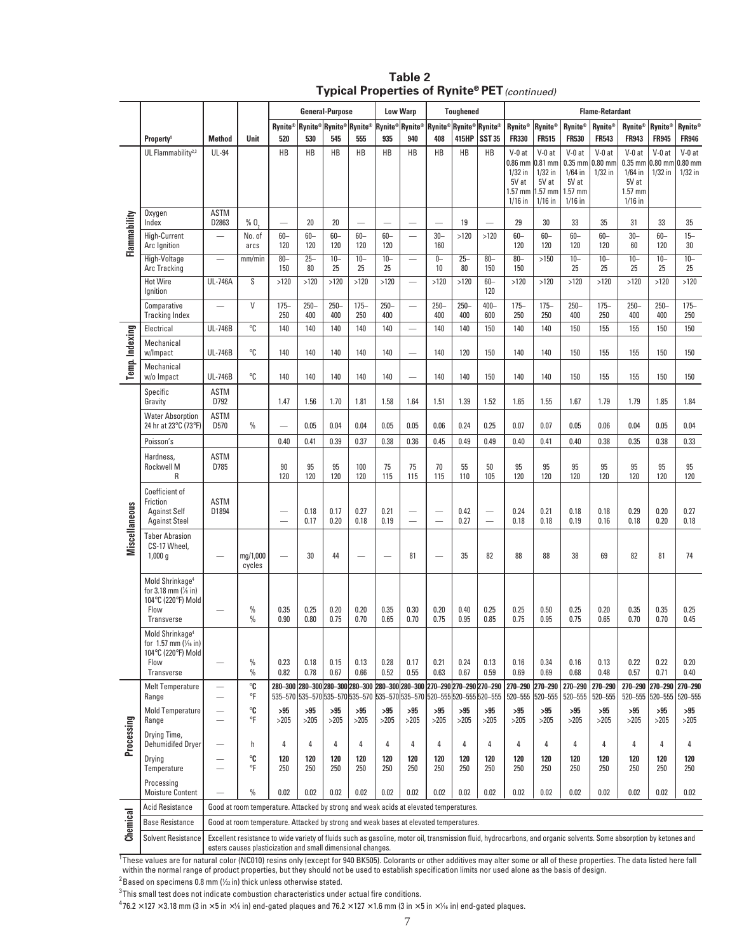| Table 2                                              |  |
|------------------------------------------------------|--|
| <b>Typical Properties of Rynite® PET</b> (continued) |  |

|                      |                                                                                                                               |                                                                                       |                                                                                                                                                                                                                                   | <b>General-Purpose</b>                               |                              |                |                                                                                                                    |                          | <b>Low Warp</b><br><b>Toughened</b> |                                                      |                         |                               | <b>Flame-Retardant</b>                                                |                                                                       |                                                                       |                                    |                                                                                 |                            |                                    |
|----------------------|-------------------------------------------------------------------------------------------------------------------------------|---------------------------------------------------------------------------------------|-----------------------------------------------------------------------------------------------------------------------------------------------------------------------------------------------------------------------------------|------------------------------------------------------|------------------------------|----------------|--------------------------------------------------------------------------------------------------------------------|--------------------------|-------------------------------------|------------------------------------------------------|-------------------------|-------------------------------|-----------------------------------------------------------------------|-----------------------------------------------------------------------|-----------------------------------------------------------------------|------------------------------------|---------------------------------------------------------------------------------|----------------------------|------------------------------------|
|                      |                                                                                                                               |                                                                                       |                                                                                                                                                                                                                                   | Rynite®                                              | <b>Rynite®Rynite®Rynite®</b> |                |                                                                                                                    | Rynite® Rynite®          |                                     |                                                      | Rynite® Rynite® Rynite® |                               | Rynite®                                                               | Rynite®                                                               | <b>Rynite®</b>                                                        | <b>Rynite®</b>                     | Rynite®                                                                         | Rynite®                    | <b>Rynite®</b>                     |
|                      | Property <sup>1</sup>                                                                                                         | <b>Method</b>                                                                         | Unit                                                                                                                                                                                                                              | 520                                                  | 530                          | 545            | 555                                                                                                                | 935                      | 940                                 | 408                                                  | 415HP                   | <b>SST 35</b>                 | <b>FR330</b>                                                          | <b>FR515</b>                                                          | <b>FR530</b>                                                          | <b>FR543</b>                       | <b>FR943</b>                                                                    | <b>FR945</b>               | <b>FR946</b>                       |
|                      | UL Flammability <sup>2,3</sup>                                                                                                | <b>UL-94</b>                                                                          |                                                                                                                                                                                                                                   | HB                                                   | HB                           | HB             | HB                                                                                                                 | HB                       | HB                                  | HB                                                   | HB                      | <b>HB</b>                     | $V-0$ at<br>$0.86$ mm<br>$1/32$ in<br>5V at<br>$1.57$ mm<br>$1/16$ in | $V-0$ at<br>$0.81$ mm<br>$1/32$ in<br>5V at<br>$1.57$ mm<br>$1/16$ in | $V-0$ at<br>$0.35$ mm<br>$1/64$ in<br>5V at<br>$1.57$ mm<br>$1/16$ in | $V-0$ at<br>$0.80$ mm<br>$1/32$ in | $V-0$ at<br>$0.35$ mm $0.80$ mm<br>$1/64$ in<br>5V at<br>$1.57$ mm<br>$1/16$ in | $V-0$ at<br>$1/32$ in      | $V-0$ at<br>$0.80$ mm<br>$1/32$ in |
|                      | Oxygen<br>Index                                                                                                               | <b>ASTM</b><br>D2863                                                                  | % 0,                                                                                                                                                                                                                              |                                                      | 20                           | 20             | $\overline{\phantom{0}}$                                                                                           |                          |                                     |                                                      | 19                      | $\overline{\phantom{0}}$      | 29                                                                    | 30                                                                    | 33                                                                    | 35                                 | 31                                                                              | 33                         | 35                                 |
| Flammability         | High-Current<br>Arc Ignition                                                                                                  | $\overline{\phantom{0}}$                                                              | No. of<br>arcs                                                                                                                                                                                                                    | $60 -$<br>120                                        | $60 -$<br>120                | $60 -$<br>120  | $60 -$<br>120                                                                                                      | $60-$<br>120             | $\overline{\phantom{0}}$            | $30 -$<br>160                                        | >120                    | >120                          | $60-$<br>120                                                          | $60 -$<br>120                                                         | $60-$<br>120                                                          | $60 -$<br>120                      | $30 -$<br>60                                                                    | $60 -$<br>120              | $15 -$<br>30                       |
|                      | High-Voltage<br>Arc Tracking                                                                                                  |                                                                                       | mm/min                                                                                                                                                                                                                            | $80 -$<br>150                                        | $25 -$<br>80                 | $10 -$<br>25   | $10 -$<br>25                                                                                                       | $10 -$<br>25             | $\overline{\phantom{0}}$            | $0-$<br>10                                           | $25 -$<br>80            | $80 -$<br>150                 | $80 -$<br>150                                                         | >150                                                                  | $10 -$<br>25                                                          | $10 -$<br>25                       | $10 -$<br>25                                                                    | $10 -$<br>25               | $10 -$<br>25                       |
|                      | <b>Hot Wire</b><br>lgnition                                                                                                   | <b>UL-746A</b>                                                                        | S                                                                                                                                                                                                                                 | >120                                                 | >120                         | >120           | >120                                                                                                               | >120                     | $\overline{\phantom{0}}$            | >120                                                 | >120                    | $60-$<br>120                  | >120                                                                  | >120                                                                  | >120                                                                  | $>120$                             | >120                                                                            | >120                       | >120                               |
|                      | Comparative<br><b>Tracking Index</b>                                                                                          |                                                                                       | V                                                                                                                                                                                                                                 | $175 -$<br>250                                       | $250 -$<br>400               | $250 -$<br>400 | $175 -$<br>250                                                                                                     | $250 -$<br>400           |                                     | $250 -$<br>400                                       | $250 -$<br>400          | $400 -$<br>600                | $175 -$<br>250                                                        | $175 -$<br>250                                                        | $250 -$<br>400                                                        | $175 -$<br>250                     | $250 -$<br>400                                                                  | $250 -$<br>400             | $175 -$<br>250                     |
|                      | Electrical                                                                                                                    | <b>UL-746B</b>                                                                        | °C                                                                                                                                                                                                                                | 140                                                  | 140                          | 140            | 140                                                                                                                | 140                      | $\overline{\phantom{0}}$            | 140                                                  | 140                     | 150                           | 140                                                                   | 140                                                                   | 150                                                                   | 155                                | 155                                                                             | 150                        | 150                                |
| Temp. Indexing       | Mechanical<br>w/Impact                                                                                                        | <b>UL-746B</b>                                                                        | °C                                                                                                                                                                                                                                | 140                                                  | 140                          | 140            | 140                                                                                                                | 140                      | $\overline{\phantom{0}}$            | 140                                                  | 120                     | 150                           | 140                                                                   | 140                                                                   | 150                                                                   | 155                                | 155                                                                             | 150                        | 150                                |
|                      | Mechanical<br>w/o Impact                                                                                                      | <b>UL-746B</b>                                                                        | °C                                                                                                                                                                                                                                | 140                                                  | 140                          | 140            | 140                                                                                                                | 140                      | $\overline{\phantom{0}}$            | 140                                                  | 140                     | 150                           | 140                                                                   | 140                                                                   | 150                                                                   | 155                                | 155                                                                             | 150                        | 150                                |
|                      | Specific<br>Gravity                                                                                                           | <b>ASTM</b><br>D792                                                                   |                                                                                                                                                                                                                                   | 1.47                                                 | 1.56                         | 1.70           | 1.81                                                                                                               | 1.58                     | 1.64                                | 1.51                                                 | 1.39                    | 1.52                          | 1.65                                                                  | 1.55                                                                  | 1.67                                                                  | 1.79                               | 1.79                                                                            | 1.85                       | 1.84                               |
|                      | <b>Water Absorption</b><br>24 hr at 23°C (73°F)                                                                               | <b>ASTM</b><br>D570                                                                   | $\%$                                                                                                                                                                                                                              | $\overline{\phantom{0}}$                             | 0.05                         | 0.04           | 0.04                                                                                                               | 0.05                     | 0.05                                | 0.06                                                 | 0.24                    | 0.25                          | 0.07                                                                  | 0.07                                                                  | 0.05                                                                  | 0.06                               | 0.04                                                                            | 0.05                       | 0.04                               |
|                      | Poisson's                                                                                                                     |                                                                                       |                                                                                                                                                                                                                                   | 0.40                                                 | 0.41                         | 0.39           | 0.37                                                                                                               | 0.38                     | 0.36                                | 0.45                                                 | 0.49                    | 0.49                          | 0.40                                                                  | 0.41                                                                  | 0.40                                                                  | 0.38                               | 0.35                                                                            | 0.38                       | 0.33                               |
|                      | Hardness,<br>Rockwell M<br>R                                                                                                  | <b>ASTM</b><br>D785                                                                   |                                                                                                                                                                                                                                   | 90<br>120                                            | 95<br>120                    | 95<br>120      | 100<br>120                                                                                                         | 75<br>115                | 75<br>115                           | 70<br>115                                            | 55<br>110               | 50<br>105                     | 95<br>120                                                             | 95<br>120                                                             | 95<br>120                                                             | 95<br>120                          | 95<br>120                                                                       | 95<br>120                  | 95<br>120                          |
|                      | Coefficient of<br>Friction<br><b>Against Self</b><br><b>Against Steel</b>                                                     | <b>ASTM</b><br>D1894                                                                  |                                                                                                                                                                                                                                   | $\overline{\phantom{0}}$<br>$\overline{\phantom{0}}$ | 0.18<br>0.17                 | 0.17<br>0.20   | 0.27<br>0.18                                                                                                       | 0.21<br>0.19             | $\overline{\phantom{0}}$            | $\overline{\phantom{0}}$<br>$\overline{\phantom{0}}$ | 0.42<br>0.27            | —<br>$\overline{\phantom{0}}$ | 0.24<br>0.18                                                          | 0.21<br>0.18                                                          | 0.18<br>0.19                                                          | 0.18<br>0.16                       | 0.29<br>0.18                                                                    | 0.20<br>0.20               | 0.27<br>0.18                       |
| <b>Miscellaneous</b> | <b>Taber Abrasion</b><br>CS-17 Wheel,<br>1,000 g                                                                              |                                                                                       | mg/1,000<br>cycles                                                                                                                                                                                                                |                                                      | 30                           | 44             |                                                                                                                    | $\overline{\phantom{a}}$ | 81                                  | $\overline{\phantom{a}}$                             | 35                      | 82                            | 88                                                                    | 88                                                                    | 38                                                                    | 69                                 | 82                                                                              | 81                         | 74                                 |
|                      | Mold Shrinkage <sup>4</sup><br>for 3.18 mm (1/8 in)<br>104°C (220°F) Mold<br>Flow<br>Transverse                               |                                                                                       | $\frac{0}{0}$<br>$\frac{9}{6}$                                                                                                                                                                                                    | 0.35<br>0.90                                         | 0.25<br>0.80                 | 0.20<br>0.75   | 0.20<br>0.70                                                                                                       | 0.35<br>0.65             | 0.30<br>0.70                        | 0.20<br>0.75                                         | 0.40<br>0.95            | 0.25<br>0.85                  | 0.25<br>0.75                                                          | 0.50<br>0.95                                                          | 0.25<br>0.75                                                          | 0.20<br>0.65                       | 0.35<br>0.70                                                                    | 0.35<br>0.70               | 0.25<br>0.45                       |
|                      | Mold Shrinkage <sup>4</sup><br>for 1.57 mm $\left(\frac{1}{16} \text{ in}\right)$<br>104°C (220°F) Mold<br>Flow<br>Transverse |                                                                                       | $\%$<br>$\%$                                                                                                                                                                                                                      | 0.23<br>0.82                                         | 0.18<br>0.78                 | 0.15<br>0.67   | 0.13<br>0.66                                                                                                       | 0.28<br>0.52             | 0.17<br>0.55                        | 0.21<br>0.63                                         | 0.24<br>0.67            | 0.13<br>0.59                  | 0.16<br>0.69                                                          | 0.34<br>0.69                                                          | 0.16<br>0.68                                                          | 0.13<br>0.48                       | 0.22<br>0.57                                                                    | 0.22<br>0.71               | 0.20<br>0.40                       |
|                      | <b>Melt Temperature</b><br>Range                                                                                              |                                                                                       | °C<br>°F                                                                                                                                                                                                                          | 280-300                                              |                              |                | 280-300 280-300 280-300 280-300 280-300<br>535-570 535-570 535-570 535-570 535-570 535-570 520-555 520-555 520-555 |                          |                                     |                                                      | 270-290 270-290 270-290 |                               | 270-290<br>520-555                                                    | 270-290<br>520-555                                                    | 270-290<br>520-555                                                    | 270-290<br>520-555                 | 270-290                                                                         | 270-290<br>520-555 520-555 | 270-290<br>520-555                 |
|                      | Mold Temperature<br>Range                                                                                                     |                                                                                       | °C<br>°F                                                                                                                                                                                                                          | >95<br>>205                                          | >95<br>>205                  | >95<br>>205    | >95<br>>205                                                                                                        | >95<br>>205              | >95<br>>205                         | >95<br>$>205$                                        | >95<br>>205             | >95<br>>205                   | >95<br>>205                                                           | >95<br>>205                                                           | >95<br>>205                                                           | >95<br>>205                        | >95<br>>205                                                                     | >95<br>>205                | >95<br>>205                        |
| Processing           | Drying Time,<br>Dehumidifed Dryer                                                                                             |                                                                                       | h                                                                                                                                                                                                                                 | 4                                                    | 4                            | 4              | 4                                                                                                                  | 4                        | 4                                   | 4                                                    | 4                       | 4                             | 4                                                                     | 4                                                                     | 4                                                                     | 4                                  | 4                                                                               | 4                          | 4                                  |
|                      | Drying<br>Temperature                                                                                                         |                                                                                       | $^{\circ}$ C<br>°F                                                                                                                                                                                                                | 120<br>250                                           | 120<br>250                   | 120<br>250     | 120<br>250                                                                                                         | 120<br>250               | 120<br>250                          | 120<br>250                                           | 120<br>250              | 120<br>250                    | 120<br>250                                                            | 120<br>250                                                            | 120<br>250                                                            | 120<br>250                         | 120<br>250                                                                      | 120<br>250                 | 120<br>250                         |
|                      | Processing<br><b>Moisture Content</b>                                                                                         |                                                                                       | $\%$                                                                                                                                                                                                                              | 0.02                                                 | 0.02                         | 0.02           | 0.02                                                                                                               | 0.02                     | 0.02                                | 0.02                                                 | 0.02                    | 0.02                          | 0.02                                                                  | 0.02                                                                  | 0.02                                                                  | 0.02                               | 0.02                                                                            | 0.02                       | 0.02                               |
|                      | Acid Resistance                                                                                                               | Good at room temperature. Attacked by strong and weak acids at elevated temperatures. |                                                                                                                                                                                                                                   |                                                      |                              |                |                                                                                                                    |                          |                                     |                                                      |                         |                               |                                                                       |                                                                       |                                                                       |                                    |                                                                                 |                            |                                    |
| Chemical             | <b>Base Resistance</b>                                                                                                        |                                                                                       | Good at room temperature. Attacked by strong and weak bases at elevated temperatures.                                                                                                                                             |                                                      |                              |                |                                                                                                                    |                          |                                     |                                                      |                         |                               |                                                                       |                                                                       |                                                                       |                                    |                                                                                 |                            |                                    |
|                      | <b>Solvent Resistance</b>                                                                                                     |                                                                                       | Excellent resistance to wide variety of fluids such as gasoline, motor oil, transmission fluid, hydrocarbons, and organic solvents. Some absorption by ketones and<br>esters causes plasticization and small dimensional changes. |                                                      |                              |                |                                                                                                                    |                          |                                     |                                                      |                         |                               |                                                                       |                                                                       |                                                                       |                                    |                                                                                 |                            |                                    |

<sup>1</sup>These values are for natural color (NC010) resins only (except for 940 BK505). Colorants or other additives may alter some or all of these properties. The data listed here fall within the normal range of product properties, but they should not be used to establish specification limits nor used alone as the basis of design.

 $^2$ Based on specimens 0.8 mm (1/32 in) thick unless otherwise stated.

 $^3$  This small test does not indicate combustion characteristics under actual fire conditions.

 $476.2 \times 127 \times 3.18$  mm (3 in  $\times$  5 in  $\times$  1/8 in) end-gated plaques and 76.2  $\times$  1.27  $\times$  1.6 mm (3 in  $\times$  5 in  $\times$  1/6 in) end-gated plaques.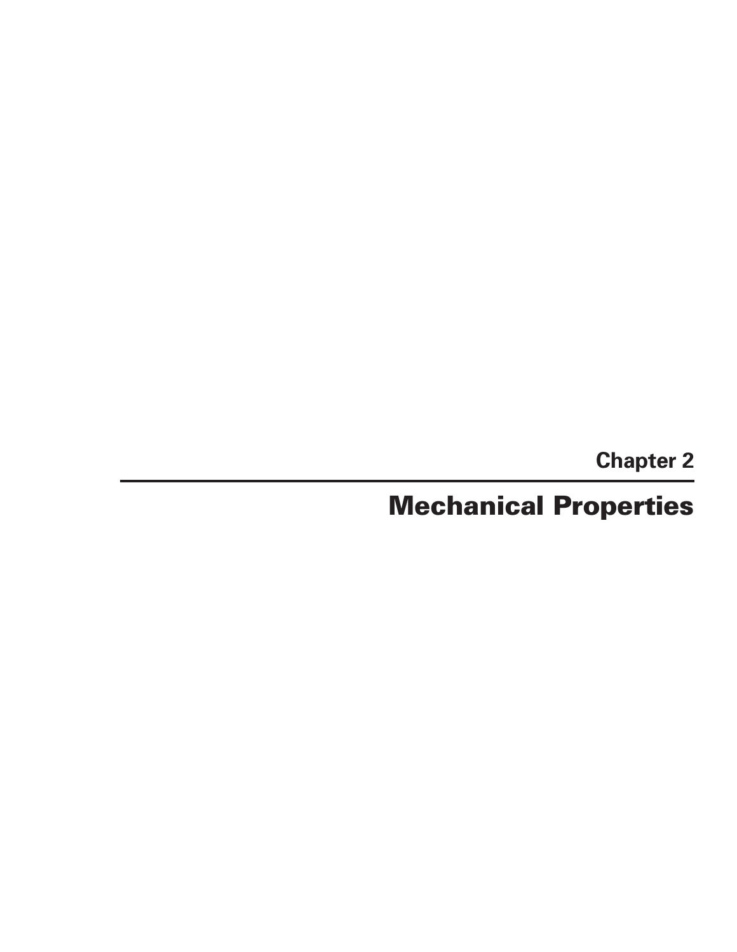**Chapter 2**

# **Mechanical Properties**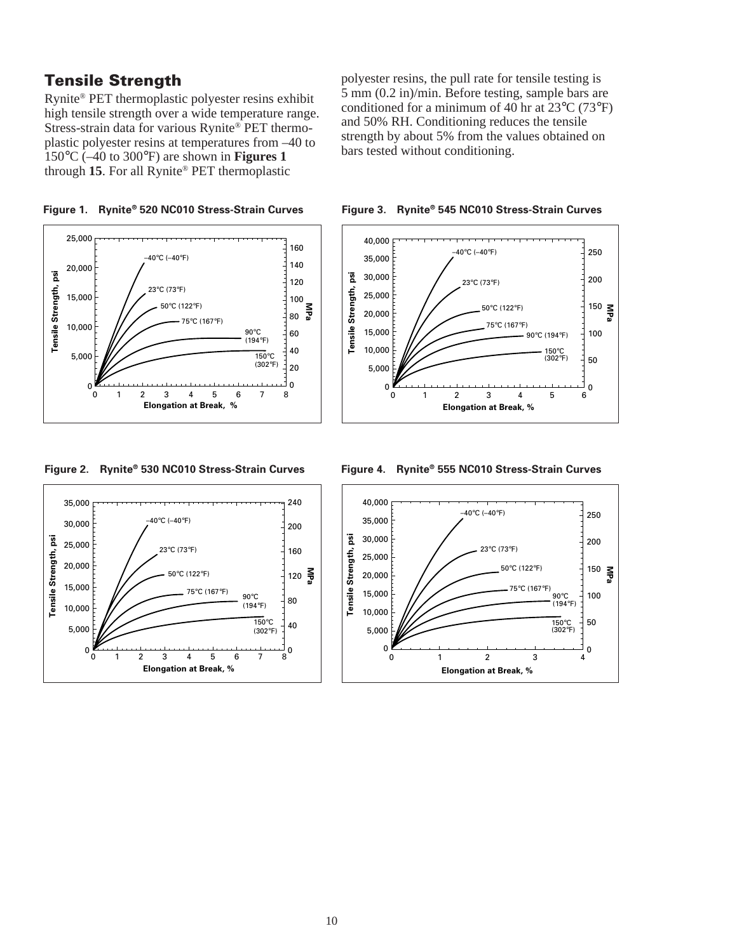# **Tensile Strength**

Rynite® PET thermoplastic polyester resins exhibit high tensile strength over a wide temperature range. Stress-strain data for various Rynite® PET thermoplastic polyester resins at temperatures from –40 to 150°C (–40 to 300°F) are shown in **Figures 1** through **15**. For all Rynite® PET thermoplastic

polyester resins, the pull rate for tensile testing is 5 mm (0.2 in)/min. Before testing, sample bars are conditioned for a minimum of 40 hr at 23°C (73°F) and 50% RH. Conditioning reduces the tensile strength by about 5% from the values obtained on bars tested without conditioning.



**Figure 1. Rynite® 520 NC010 Stress-Strain Curves**



**Figure 2. Rynite® 530 NC010 Stress-Strain Curves**



#### **Figure 4. Rynite® 555 NC010 Stress-Strain Curves**

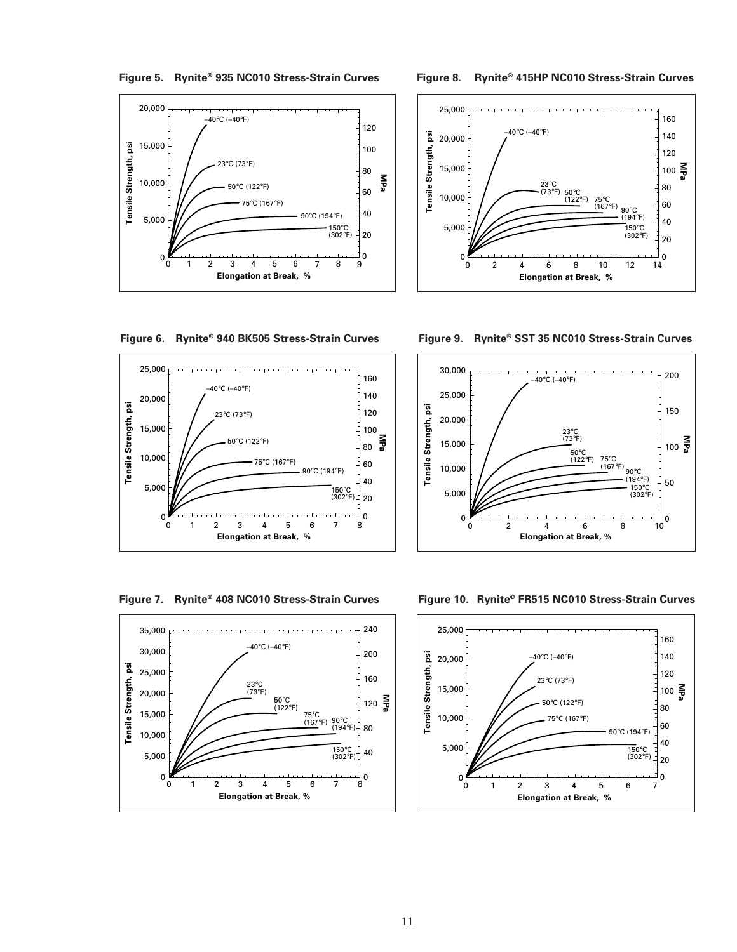**Figure 5. Rynite® 935 NC010 Stress-Strain Curves**



**Figure 8. Rynite® 415HP NC010 Stress-Strain Curves**



**Figure 6. Rynite® 940 BK505 Stress-Strain Curves**



**Figure 9. Rynite® SST 35 NC010 Stress-Strain Curves**



**Figure 7. Rynite® 408 NC010 Stress-Strain Curves**



**Figure 10. Rynite® FR515 NC010 Stress-Strain Curves**

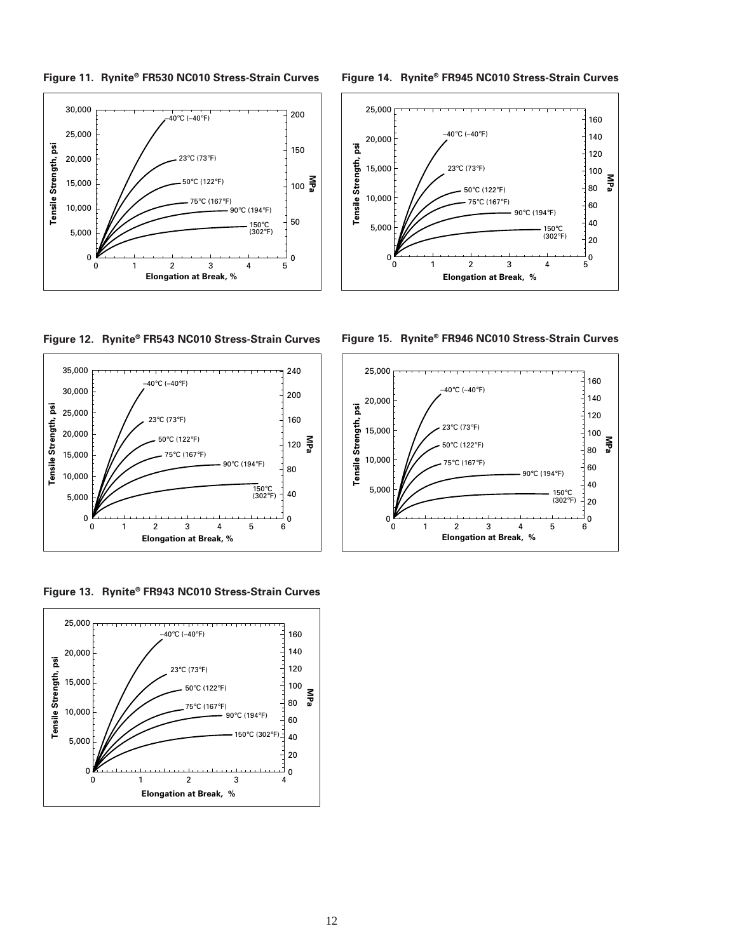



**Figure 14. Rynite® FR945 NC010 Stress-Strain Curves**



**Figure 12. Rynite® FR543 NC010 Stress-Strain Curves**



**Figure 13. Rynite® FR943 NC010 Stress-Strain Curves**





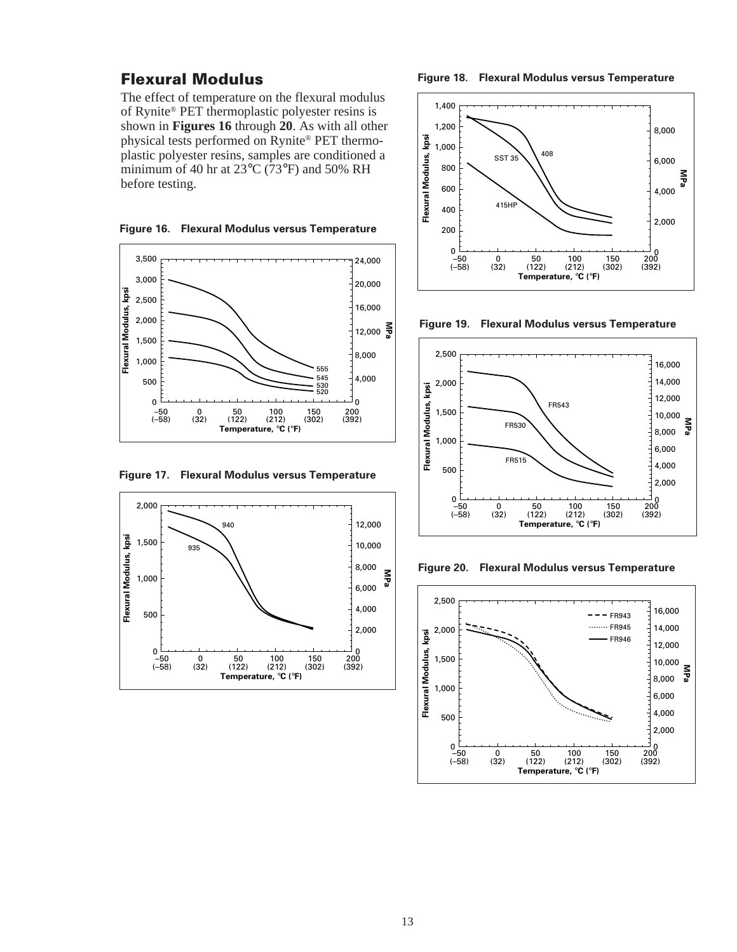### **Flexural Modulus**

The effect of temperature on the flexural modulus of Rynite® PET thermoplastic polyester resins is shown in **Figures 16** through **20**. As with all other physical tests performed on Rynite® PET thermoplastic polyester resins, samples are conditioned a minimum of 40 hr at 23°C (73°F) and 50% RH before testing.

**Figure 16. Flexural Modulus versus Temperature**



**Figure 17. Flexural Modulus versus Temperature**



**Figure 18. Flexural Modulus versus Temperature**







**Figure 20. Flexural Modulus versus Temperature**

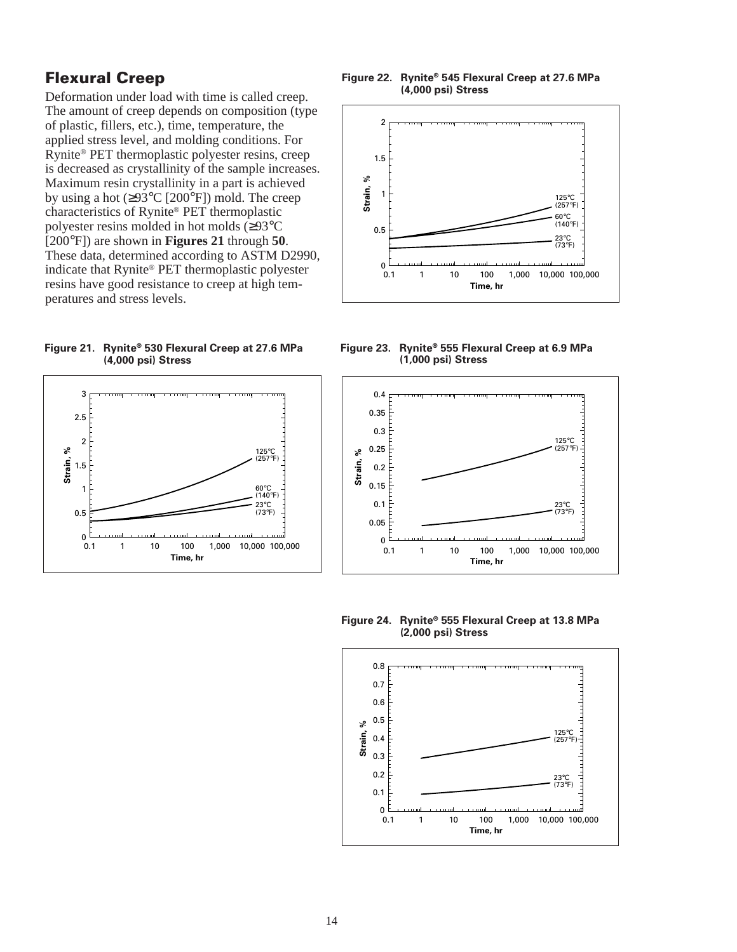# **Flexural Creep**

Deformation under load with time is called creep. The amount of creep depends on composition (type of plastic, fillers, etc.), time, temperature, the applied stress level, and molding conditions. For Rynite® PET thermoplastic polyester resins, creep is decreased as crystallinity of the sample increases. Maximum resin crystallinity in a part is achieved by using a hot  $(\geq 93^{\circ}C \; [200^{\circ}F])$  mold. The creep characteristics of Rynite® PET thermoplastic polyester resins molded in hot molds (≥93°C [200°F]) are shown in **Figures 21** through **50**. These data, determined according to ASTM D2990, indicate that Rynite® PET thermoplastic polyester resins have good resistance to creep at high temperatures and stress levels.

**Figure 21. Rynite® 530 Flexural Creep at 27.6 MPa (4,000 psi) Stress**



#### **Figure 22. Rynite® 545 Flexural Creep at 27.6 MPa (4,000 psi) Stress**



**Figure 23. Rynite® 555 Flexural Creep at 6.9 MPa (1,000 psi) Stress**



**Figure 24. Rynite® 555 Flexural Creep at 13.8 MPa (2,000 psi) Stress**

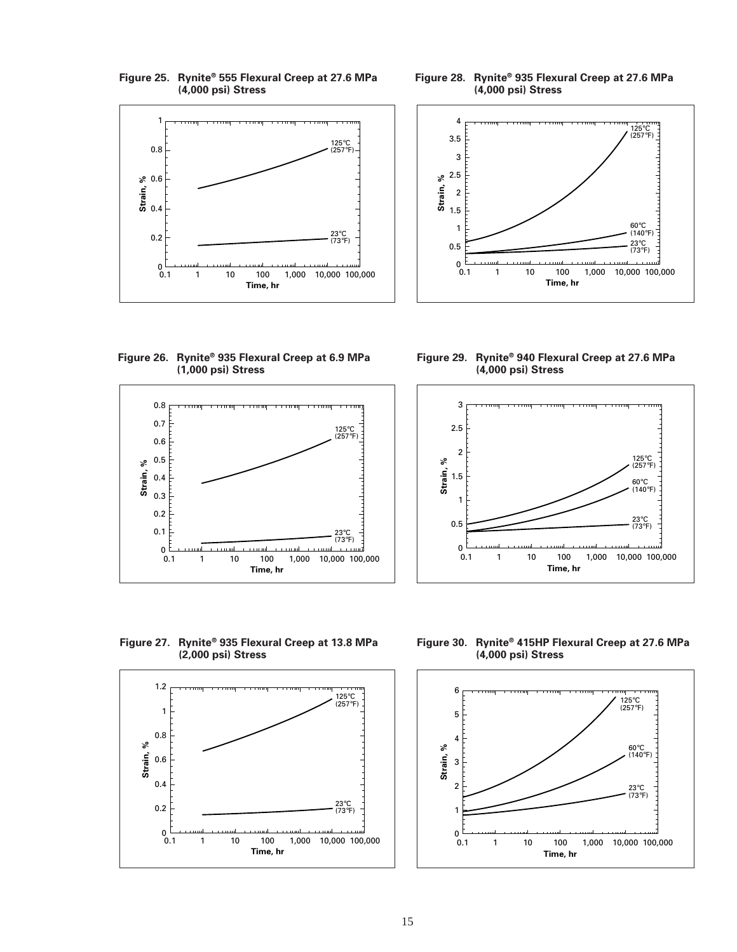

**Figure 25. Rynite® 555 Flexural Creep at 27.6 MPa**

**Figure 28. Rynite® 935 Flexural Creep at 27.6 MPa (4,000 psi) Stress**



**Figure 26. Rynite® 935 Flexural Creep at 6.9 MPa (1,000 psi) Stress**



**Figure 29. Rynite® 940 Flexural Creep at 27.6 MPa (4,000 psi) Stress**



**Figure 27. Rynite® 935 Flexural Creep at 13.8 MPa (2,000 psi) Stress**



**Figure 30. Rynite® 415HP Flexural Creep at 27.6 MPa (4,000 psi) Stress**

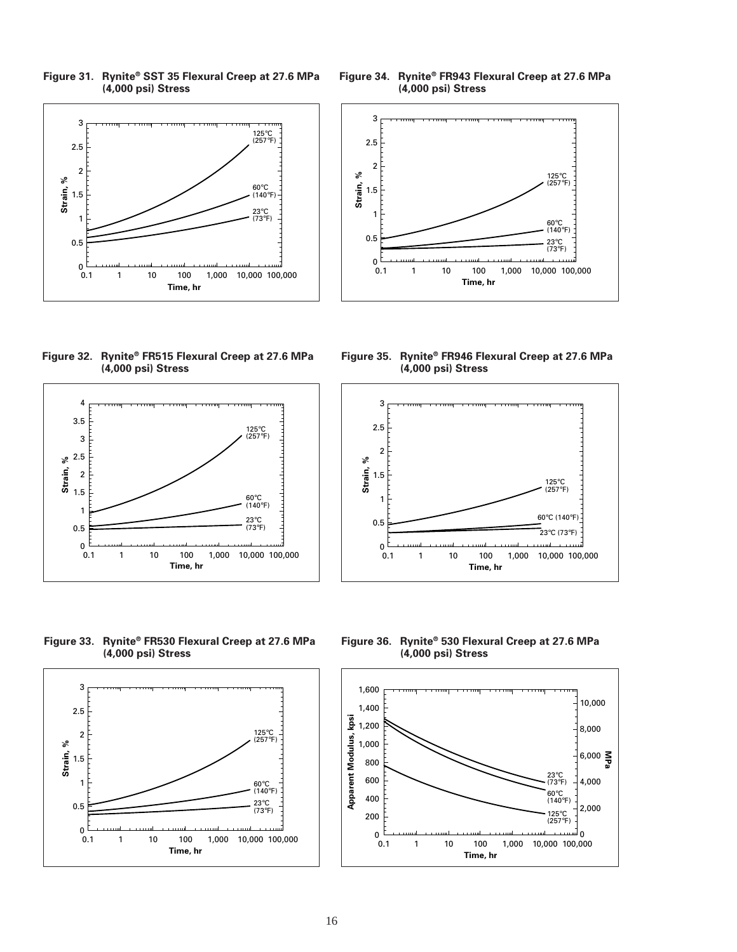**Figure 31. Rynite® SST 35 Flexural Creep at 27.6 MPa (4,000 psi) Stress**



**Figure 32. Rynite® FR515 Flexural Creep at 27.6 MPa (4,000 psi) Stress**



**Figure 34. Rynite® FR943 Flexural Creep at 27.6 MPa (4,000 psi) Stress**



**Figure 35. Rynite® FR946 Flexural Creep at 27.6 MPa (4,000 psi) Stress**



**Figure 33. Rynite® FR530 Flexural Creep at 27.6 MPa (4,000 psi) Stress**



**Figure 36. Rynite® 530 Flexural Creep at 27.6 MPa (4,000 psi) Stress**

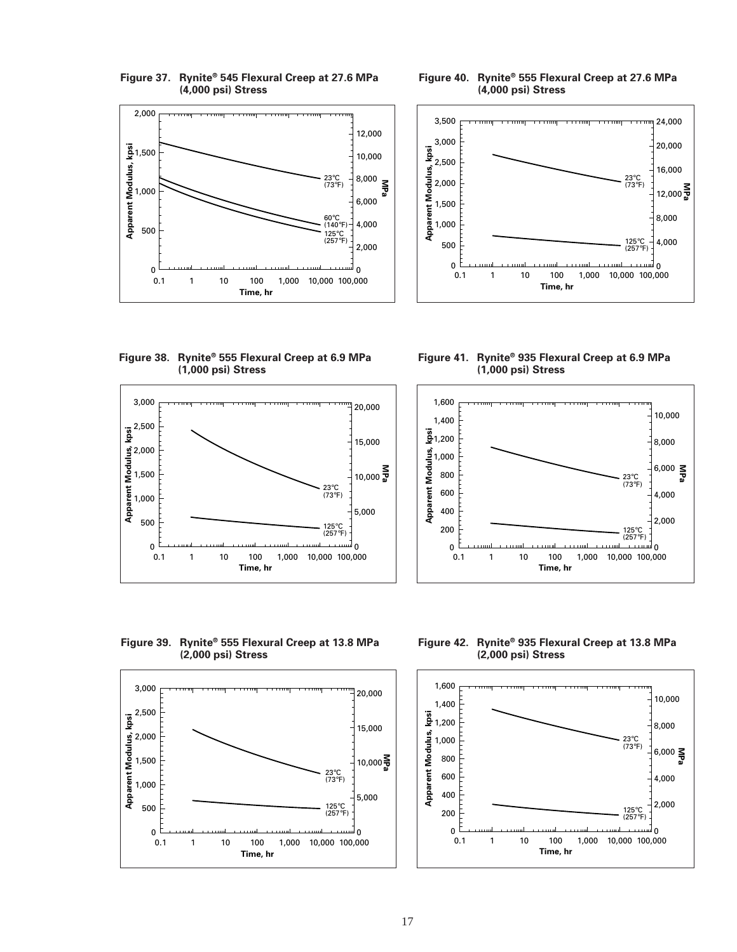

**Figure 37. Rynite® 545 Flexural Creep at 27.6 MPa**

**Figure 40. Rynite® 555 Flexural Creep at 27.6 MPa (4,000 psi) Stress**



**Figure 38. Rynite® 555 Flexural Creep at 6.9 MPa (1,000 psi) Stress**



**Figure 41. Rynite® 935 Flexural Creep at 6.9 MPa (1,000 psi) Stress**



**Figure 39. Rynite® 555 Flexural Creep at 13.8 MPa (2,000 psi) Stress**



**Figure 42. Rynite® 935 Flexural Creep at 13.8 MPa (2,000 psi) Stress**

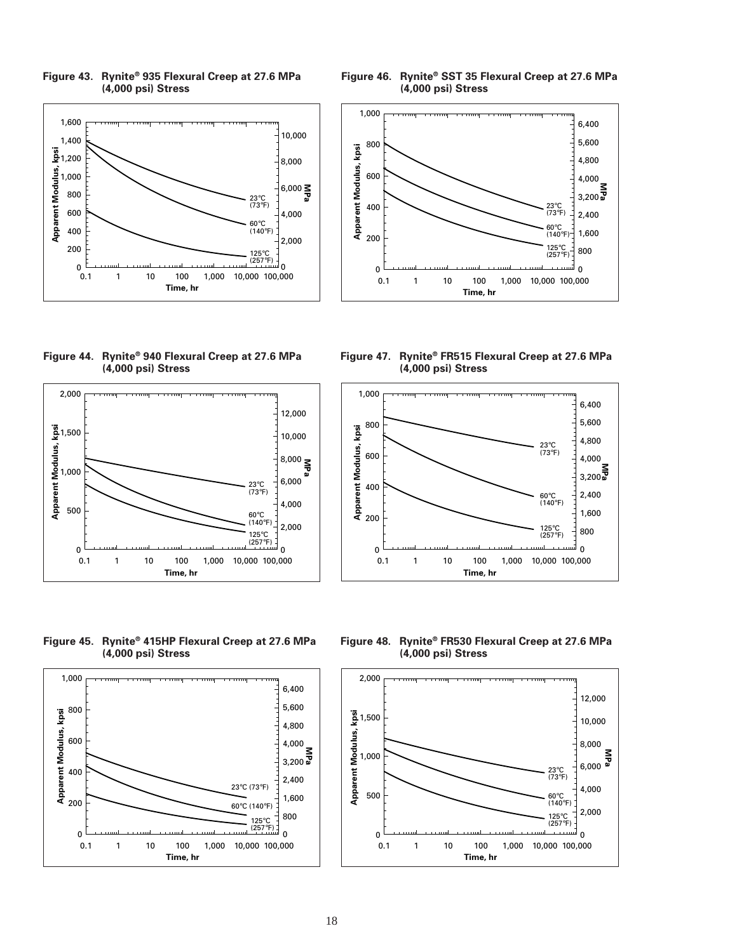

**Figure 43. Rynite® 935 Flexural Creep at 27.6 MPa (4,000 psi) Stress**

**Figure 44. Rynite® 940 Flexural Creep at 27.6 MPa (4,000 psi) Stress**



**Figure 45. Rynite® 415HP Flexural Creep at 27.6 MPa (4,000 psi) Stress**







**Figure 47. Rynite® FR515 Flexural Creep at 27.6 MPa (4,000 psi) Stress**



**Figure 48. Rynite® FR530 Flexural Creep at 27.6 MPa (4,000 psi) Stress**

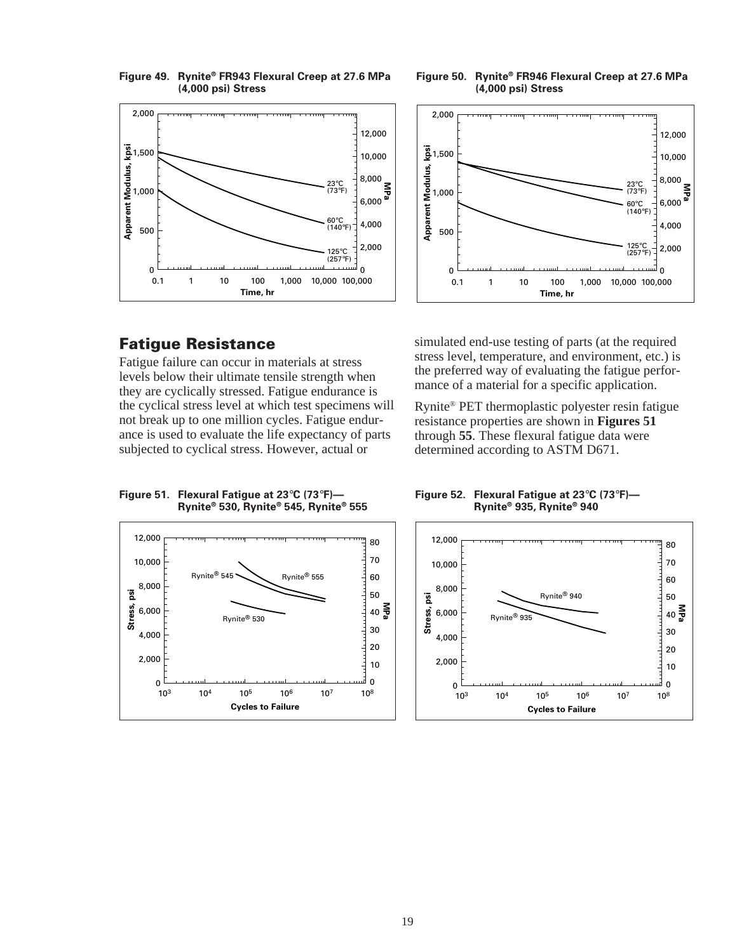**Figure 49. Rynite® FR943 Flexural Creep at 27.6 MPa (4,000 psi) Stress**



**Figure 50. Rynite® FR946 Flexural Creep at 27.6 MPa (4,000 psi) Stress**



# **Fatigue Resistance**

Fatigue failure can occur in materials at stress levels below their ultimate tensile strength when they are cyclically stressed. Fatigue endurance is the cyclical stress level at which test specimens will not break up to one million cycles. Fatigue endurance is used to evaluate the life expectancy of parts subjected to cyclical stress. However, actual or

simulated end-use testing of parts (at the required stress level, temperature, and environment, etc.) is the preferred way of evaluating the fatigue performance of a material for a specific application.

Rynite® PET thermoplastic polyester resin fatigue resistance properties are shown in **Figures 51** through **55**. These flexural fatigue data were determined according to ASTM D671.

**Figure 51. Flexural Fatigue at 23**°**C (73**°**F)— Rynite® 530, Rynite® 545, Rynite® 555**



**Figure 52. Flexural Fatigue at 23**°**C (73**°**F)— Rynite® 935, Rynite® 940**

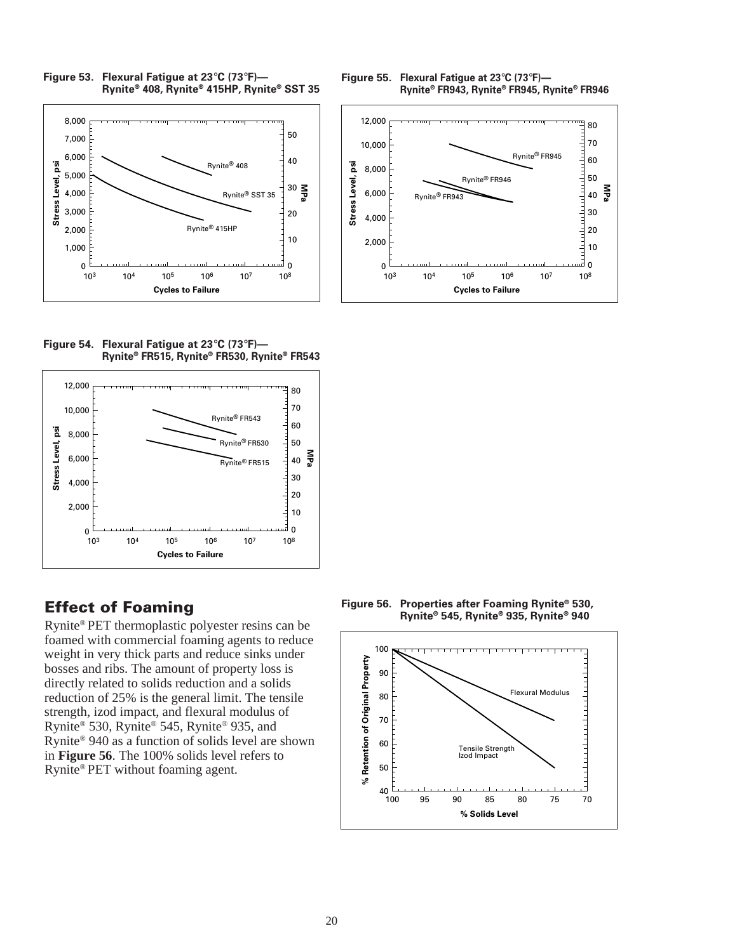

**Figure 53. Flexural Fatigue at 23**°**C (73**°**F)—**

**Figure 55. Flexural Fatigue at 23**°**C (73**°**F)— Rynite® FR943, Rynite® FR945, Rynite® FR946**



**Figure 54. Flexural Fatigue at 23**°**C (73**°**F)— Rynite® FR515, Rynite® FR530, Rynite® FR543**



# **Effect of Foaming**

Rynite® PET thermoplastic polyester resins can be foamed with commercial foaming agents to reduce weight in very thick parts and reduce sinks under bosses and ribs. The amount of property loss is directly related to solids reduction and a solids reduction of 25% is the general limit. The tensile strength, izod impact, and flexural modulus of Rynite® 530, Rynite® 545, Rynite® 935, and Rynite® 940 as a function of solids level are shown in **Figure 56**. The 100% solids level refers to Rynite® PET without foaming agent.

**Figure 56. Properties after Foaming Rynite® 530, Rynite® 545, Rynite® 935, Rynite® 940**

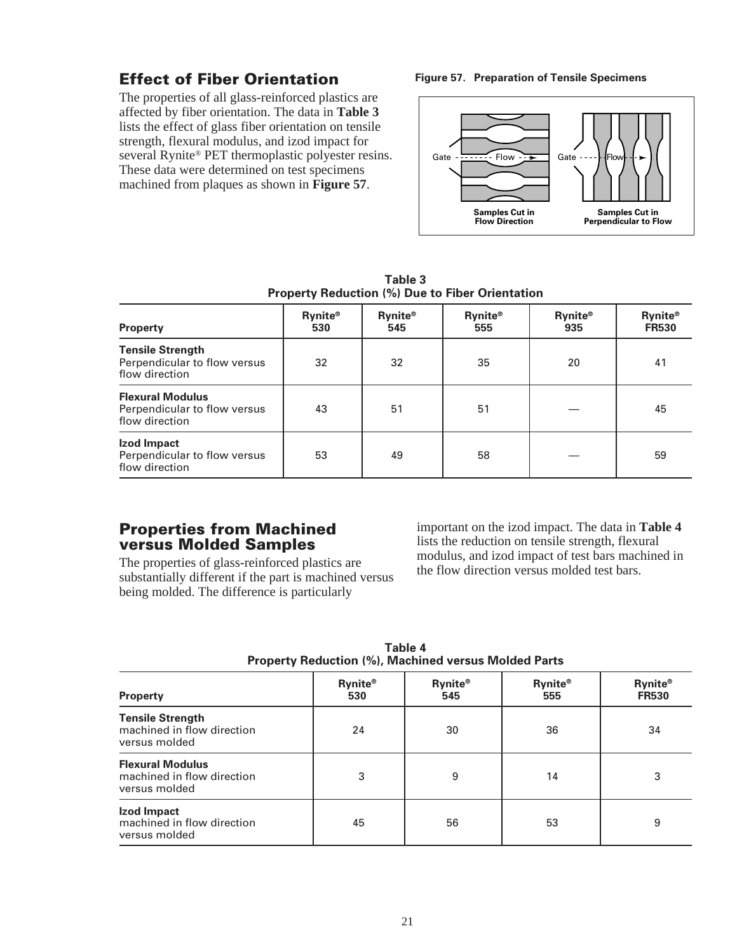# **Effect of Fiber Orientation**

The properties of all glass-reinforced plastics are affected by fiber orientation. The data in **Table 3** lists the effect of glass fiber orientation on tensile strength, flexural modulus, and izod impact for several Rynite® PET thermoplastic polyester resins. These data were determined on test specimens machined from plaques as shown in **Figure 57**.

#### **Figure 57. Preparation of Tensile Specimens**



**Table 3 Property Reduction (%) Due to Fiber Orientation**

| <b>Property</b>                                                           | <b>Rynite®</b><br>530 | <b>Rynite®</b><br>545 | <b>Rynite®</b><br>555 | <b>Rynite®</b><br>935 | <b>Rynite®</b><br><b>FR530</b> |
|---------------------------------------------------------------------------|-----------------------|-----------------------|-----------------------|-----------------------|--------------------------------|
| <b>Tensile Strength</b><br>Perpendicular to flow versus<br>flow direction | 32                    | 32                    | 35                    | 20                    | 41                             |
| <b>Flexural Modulus</b><br>Perpendicular to flow versus<br>flow direction | 43                    | 51                    | 51                    |                       | 45                             |
| Izod Impact<br>Perpendicular to flow versus<br>flow direction             | 53                    | 49                    | 58                    |                       | 59                             |

# **Properties from Machined versus Molded Samples**

The properties of glass-reinforced plastics are substantially different if the part is machined versus being molded. The difference is particularly

important on the izod impact. The data in **Table 4** lists the reduction on tensile strength, flexural modulus, and izod impact of test bars machined in the flow direction versus molded test bars.

| <b>Property Reduction (%), Machined versus Molded Parts</b>            |                       |                       |                       |                                |  |  |  |  |  |  |
|------------------------------------------------------------------------|-----------------------|-----------------------|-----------------------|--------------------------------|--|--|--|--|--|--|
| <b>Property</b>                                                        | <b>Rynite®</b><br>530 | <b>Rynite®</b><br>545 | <b>Rynite®</b><br>555 | <b>Rynite®</b><br><b>FR530</b> |  |  |  |  |  |  |
| <b>Tensile Strength</b><br>machined in flow direction<br>versus molded | 24                    | 30                    | 36                    | 34                             |  |  |  |  |  |  |
| <b>Flexural Modulus</b><br>machined in flow direction<br>versus molded | 3                     | 9                     | 14                    | 3                              |  |  |  |  |  |  |
| Izod Impact<br>machined in flow direction<br>versus molded             | 45                    | 56                    | 53                    | 9                              |  |  |  |  |  |  |

**Table 4**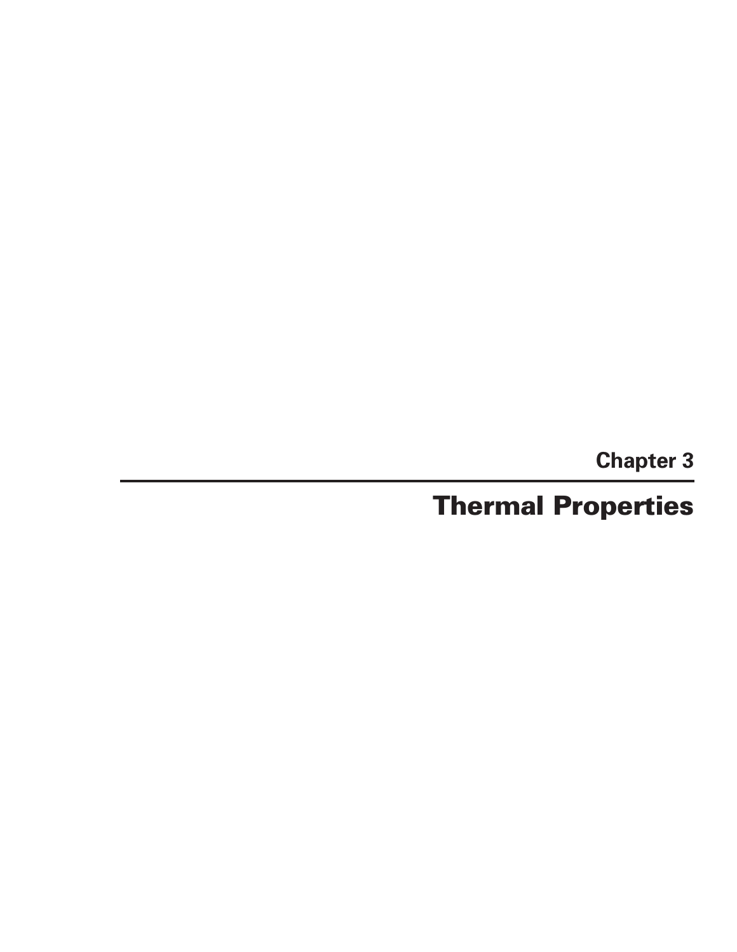**Chapter 3**

# **Thermal Properties**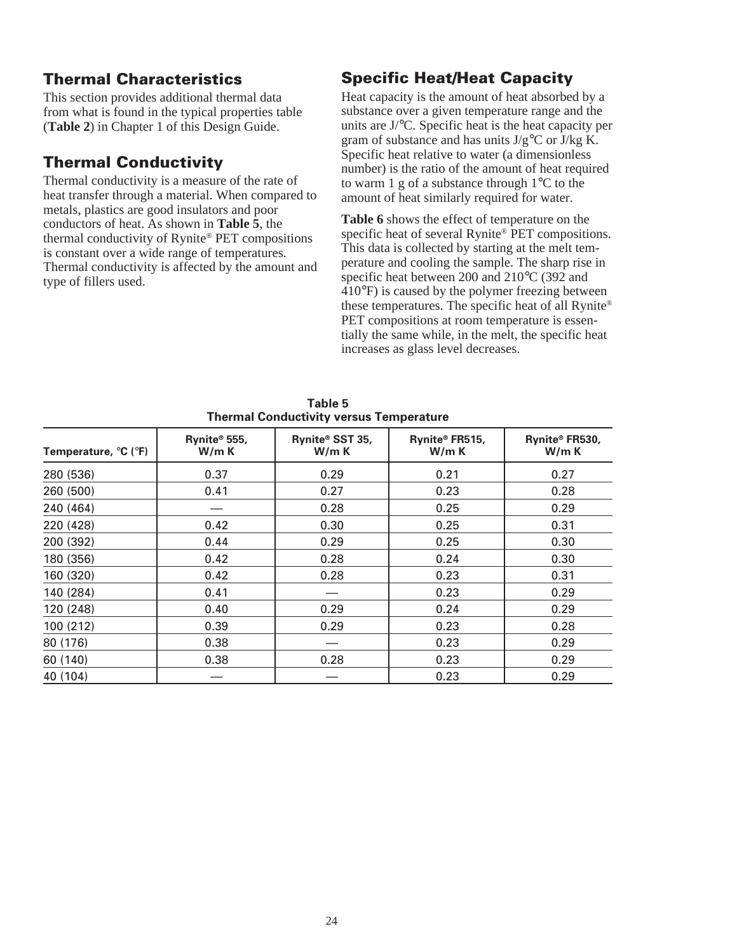# **Thermal Characteristics**

This section provides additional thermal data from what is found in the typical properties table (**Table 2**) in Chapter 1 of this Design Guide.

# **Thermal Conductivity**

Thermal conductivity is a measure of the rate of heat transfer through a material. When compared to metals, plastics are good insulators and poor conductors of heat. As shown in **Table 5**, the thermal conductivity of Rynite® PET compositions is constant over a wide range of temperatures. Thermal conductivity is affected by the amount and type of fillers used.

# **Specific Heat/Heat Capacity**

Heat capacity is the amount of heat absorbed by a substance over a given temperature range and the units are J/°C. Specific heat is the heat capacity per gram of substance and has units  $J/g^{\circ}C$  or  $J/kg$  K. Specific heat relative to water (a dimensionless number) is the ratio of the amount of heat required to warm 1 g of a substance through 1°C to the amount of heat similarly required for water.

**Table 6** shows the effect of temperature on the specific heat of several Rynite® PET compositions. This data is collected by starting at the melt temperature and cooling the sample. The sharp rise in specific heat between 200 and 210°C (392 and 410°F) is caused by the polymer freezing between these temperatures. The specific heat of all Rynite® PET compositions at room temperature is essentially the same while, in the melt, the specific heat increases as glass level decreases.

| Temperature, °C (°F) | Rynite® 555,<br>W/m K | Rynite® SST 35,<br>W/mK | Rynite® FR515,<br>W/m K | Rynite® FR530,<br>W/m K |
|----------------------|-----------------------|-------------------------|-------------------------|-------------------------|
| 280 (536)            | 0.37                  | 0.29                    | 0.21                    | 0.27                    |
| 260 (500)            | 0.41                  | 0.27                    | 0.23                    | 0.28                    |
| 240 (464)            |                       | 0.28                    | 0.25                    | 0.29                    |
| 220 (428)            | 0.42                  | 0.30                    | 0.25                    | 0.31                    |
| 200 (392)            | 0.44                  | 0.29                    | 0.25                    | 0.30                    |
| 180 (356)            | 0.42                  | 0.28                    | 0.24                    | 0.30                    |
| 160 (320)            | 0.42                  | 0.28                    | 0.23                    | 0.31                    |
| 140 (284)            | 0.41                  |                         | 0.23                    | 0.29                    |
| 120 (248)            | 0.40                  | 0.29                    | 0.24                    | 0.29                    |
| 100 (212)            | 0.39                  | 0.29                    | 0.23                    | 0.28                    |
| 80 (176)             | 0.38                  |                         | 0.23                    | 0.29                    |
| 60 (140)             | 0.38                  | 0.28                    | 0.23                    | 0.29                    |
| 40 (104)             |                       |                         | 0.23                    | 0.29                    |

**Table 5 Thermal Conductivity versus Temperature**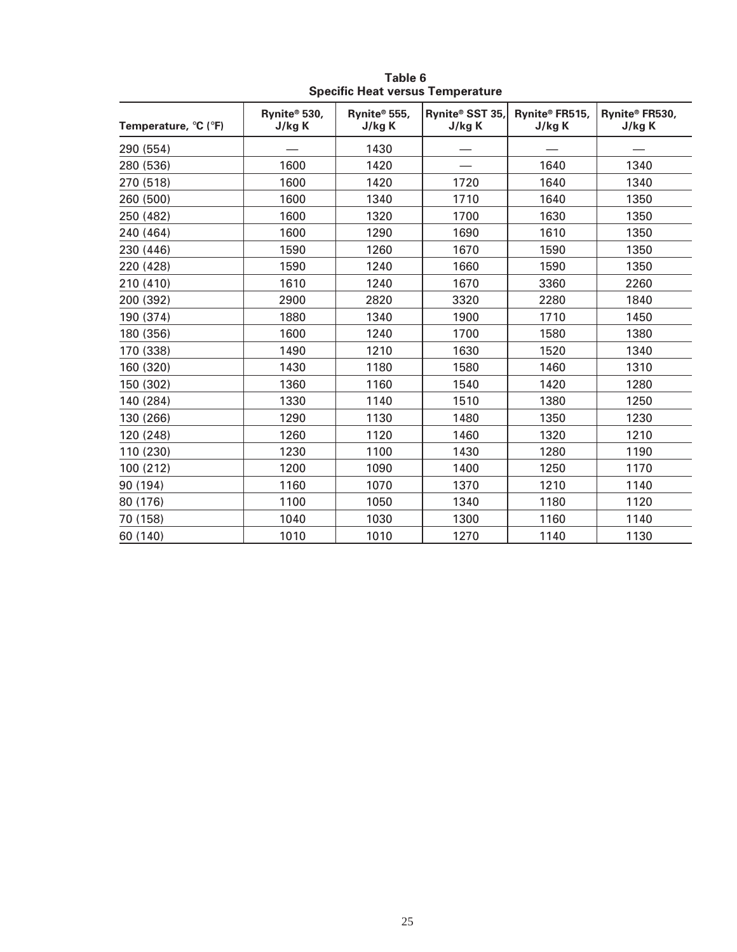| Temperature, °C (°F) | Rynite® 530,<br>J/kg K | Rynite® 555,<br>J/kg K | Rynite® SST 35,<br>J/kg K | Rynite® FR515,<br>J/kg K | Rynite® FR530,<br>J/kg K |
|----------------------|------------------------|------------------------|---------------------------|--------------------------|--------------------------|
| 290 (554)            |                        | 1430                   |                           |                          |                          |
| 280 (536)            | 1600                   | 1420                   |                           | 1640                     | 1340                     |
| 270 (518)            | 1600                   | 1420                   | 1720                      | 1640                     | 1340                     |
| 260 (500)            | 1600                   | 1340                   | 1710                      | 1640                     | 1350                     |
| 250 (482)            | 1600                   | 1320                   | 1700                      | 1630                     | 1350                     |
| 240 (464)            | 1600                   | 1290                   | 1690                      | 1610                     | 1350                     |
| 230 (446)            | 1590                   | 1260                   | 1670                      | 1590                     | 1350                     |
| 220 (428)            | 1590                   | 1240                   | 1660                      | 1590                     | 1350                     |
| 210 (410)            | 1610                   | 1240                   | 1670                      | 3360                     | 2260                     |
| 200 (392)            | 2900                   | 2820                   | 3320                      | 2280                     | 1840                     |
| 190 (374)            | 1880                   | 1340                   | 1900                      | 1710                     | 1450                     |
| 180 (356)            | 1600                   | 1240                   | 1700                      | 1580                     | 1380                     |
| 170 (338)            | 1490                   | 1210                   | 1630                      | 1520                     | 1340                     |
| 160 (320)            | 1430                   | 1180                   | 1580                      | 1460                     | 1310                     |
| 150 (302)            | 1360                   | 1160                   | 1540                      | 1420                     | 1280                     |
| 140 (284)            | 1330                   | 1140                   | 1510                      | 1380                     | 1250                     |
| 130 (266)            | 1290                   | 1130                   | 1480                      | 1350                     | 1230                     |
| 120 (248)            | 1260                   | 1120                   | 1460                      | 1320                     | 1210                     |
| 110 (230)            | 1230                   | 1100                   | 1430                      | 1280                     | 1190                     |
| 100 (212)            | 1200                   | 1090                   | 1400                      | 1250                     | 1170                     |
| 90 (194)             | 1160                   | 1070                   | 1370                      | 1210                     | 1140                     |
| 80 (176)             | 1100                   | 1050                   | 1340                      | 1180                     | 1120                     |
| 70 (158)             | 1040                   | 1030                   | 1300                      | 1160                     | 1140                     |
| 60 (140)             | 1010                   | 1010                   | 1270                      | 1140                     | 1130                     |

**Table 6 Specific Heat versus Temperature**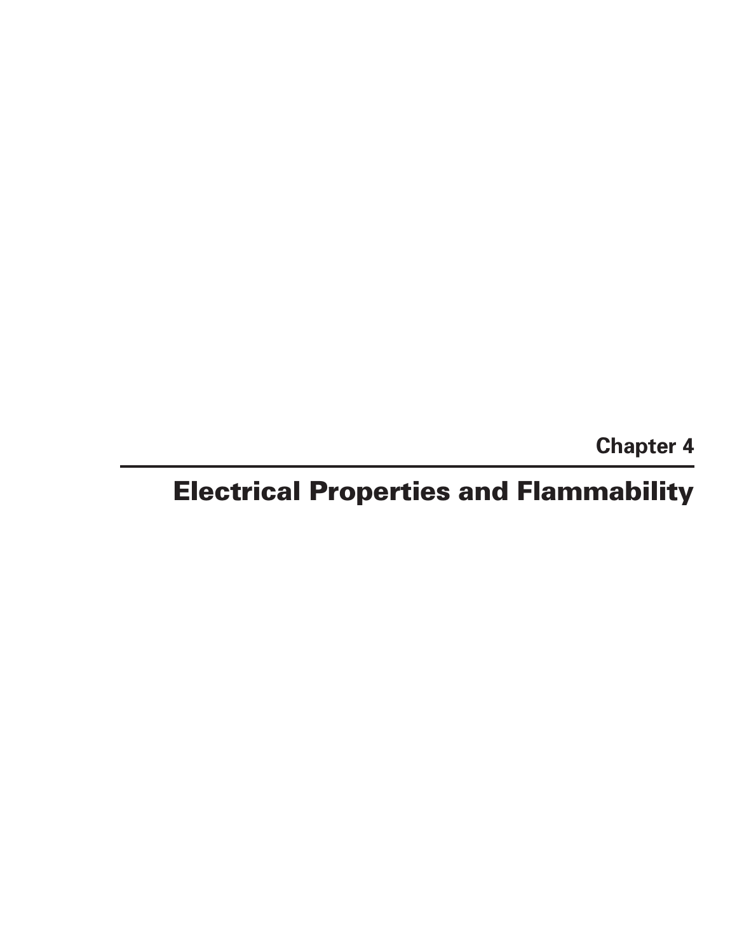**Chapter 4**

# **Electrical Properties and Flammability**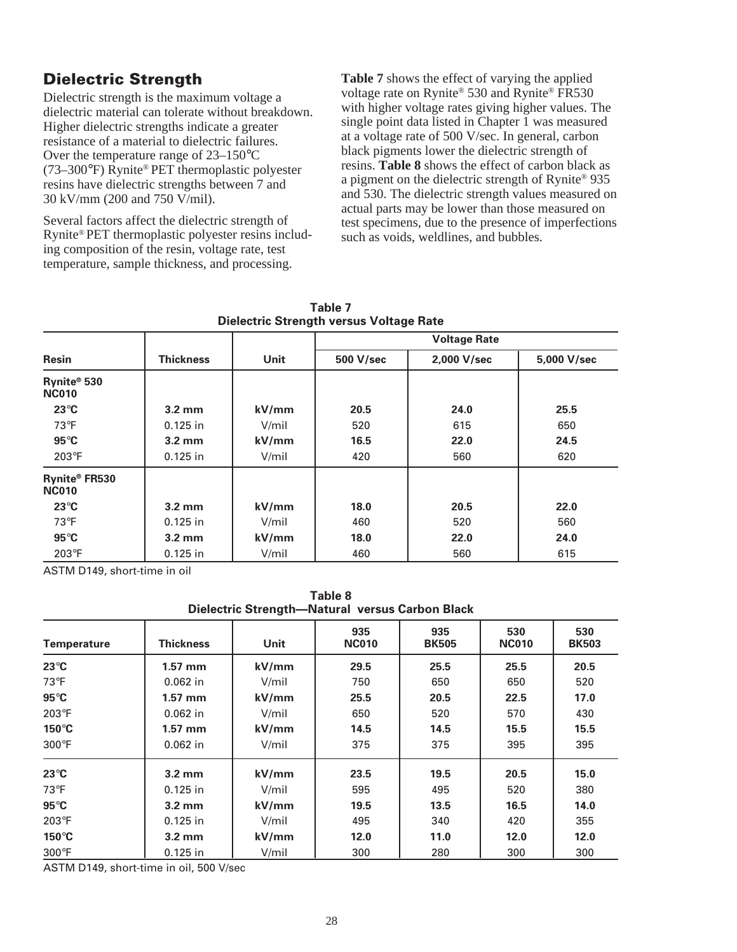# **Dielectric Strength**

Dielectric strength is the maximum voltage a dielectric material can tolerate without breakdown. Higher dielectric strengths indicate a greater resistance of a material to dielectric failures. Over the temperature range of 23–150°C (73–300°F) Rynite® PET thermoplastic polyester resins have dielectric strengths between 7 and 30 kV/mm (200 and 750 V/mil).

Several factors affect the dielectric strength of Rynite® PET thermoplastic polyester resins including composition of the resin, voltage rate, test temperature, sample thickness, and processing.

**Table 7** shows the effect of varying the applied voltage rate on Rynite® 530 and Rynite® FR530 with higher voltage rates giving higher values. The single point data listed in Chapter 1 was measured at a voltage rate of 500 V/sec. In general, carbon black pigments lower the dielectric strength of resins. **Table 8** shows the effect of carbon black as a pigment on the dielectric strength of Rynite® 935 and 530. The dielectric strength values measured on actual parts may be lower than those measured on test specimens, due to the presence of imperfections such as voids, weldlines, and bubbles.

| Dielectric Strength versus Voltage Rate |                  |       |                     |             |             |  |  |
|-----------------------------------------|------------------|-------|---------------------|-------------|-------------|--|--|
|                                         |                  |       | <b>Voltage Rate</b> |             |             |  |  |
| <b>Resin</b>                            | <b>Thickness</b> | Unit  | 500 V/sec           | 2,000 V/sec | 5,000 V/sec |  |  |
| Rynite® 530<br><b>NC010</b>             |                  |       |                     |             |             |  |  |
| $23^{\circ}$ C                          | $3.2 \text{ mm}$ | kV/mm | 20.5                | 24.0        | 25.5        |  |  |
| $73^{\circ}F$                           | $0.125$ in       | V/mil | 520                 | 615         | 650         |  |  |
| $95^{\circ}$ C                          | $3.2 \text{ mm}$ | kV/mm | 16.5                | 22.0        | 24.5        |  |  |
| $203^\circ F$                           | $0.125$ in       | V/mil | 420                 | 560         | 620         |  |  |
| Rynite® FR530<br><b>NC010</b>           |                  |       |                     |             |             |  |  |
| $23^{\circ}$ C                          | $3.2 \text{ mm}$ | kV/mm | 18.0                | 20.5        | 22.0        |  |  |
| $73^{\circ}F$                           | $0.125$ in       | V/mil | 460                 | 520         | 560         |  |  |
| $95^{\circ}$ C                          | $3.2 \text{ mm}$ | kV/mm | 18.0                | 22.0        | 24.0        |  |  |
| $203^{\circ}F$                          | $0.125$ in       | V/mil | 460                 | 560         | 615         |  |  |

**Table 7 Dielectric Strength versus Voltage Rate**

ASTM D149, short-time in oil

**Table 8 Dielectric Strength—Natural versus Carbon Black**

|                    |                  |             | 1                   |                     |                     |                     |
|--------------------|------------------|-------------|---------------------|---------------------|---------------------|---------------------|
| <b>Temperature</b> | Thickness        | <b>Unit</b> | 935<br><b>NC010</b> | 935<br><b>BK505</b> | 530<br><b>NC010</b> | 530<br><b>BK503</b> |
| $23^{\circ}$ C     | $1.57$ mm        | kV/mm       | 29.5                | 25.5                | 25.5                | 20.5                |
| $73^{\circ}F$      | $0.062$ in       | V/mil       | 750                 | 650                 | 650                 | 520                 |
| $95^{\circ}$ C     | $1.57$ mm        | kV/mm       | 25.5                | 20.5                | 22.5                | 17.0                |
| 203°F              | $0.062$ in       | V/mil       | 650                 | 520                 | 570                 | 430                 |
| $150^{\circ}$ C    | $1.57$ mm        | kV/mm       | 14.5                | 14.5                | 15.5                | 15.5                |
| $300^\circ F$      | $0.062$ in       | V/mil       | 375                 | 375                 | 395                 | 395                 |
| $23^{\circ}$ C     | $3.2 \text{ mm}$ | kV/mm       | 23.5                | 19.5                | 20.5                | 15.0                |
| $73^{\circ}F$      | $0.125$ in       | V/mil       | 595                 | 495                 | 520                 | 380                 |
| $95^{\circ}$ C     | $3.2 \text{ mm}$ | kV/mm       | 19.5                | 13.5                | 16.5                | 14.0                |
| 203°F              | $0.125$ in       | V/mil       | 495                 | 340                 | 420                 | 355                 |
| $150^{\circ}$ C    | $3.2 \text{ mm}$ | kV/mm       | 12.0                | 11.0                | 12.0                | 12.0                |
| $300^\circ F$      | $0.125$ in       | V/mil       | 300                 | 280                 | 300                 | 300                 |

ASTM D149, short-time in oil, 500 V/sec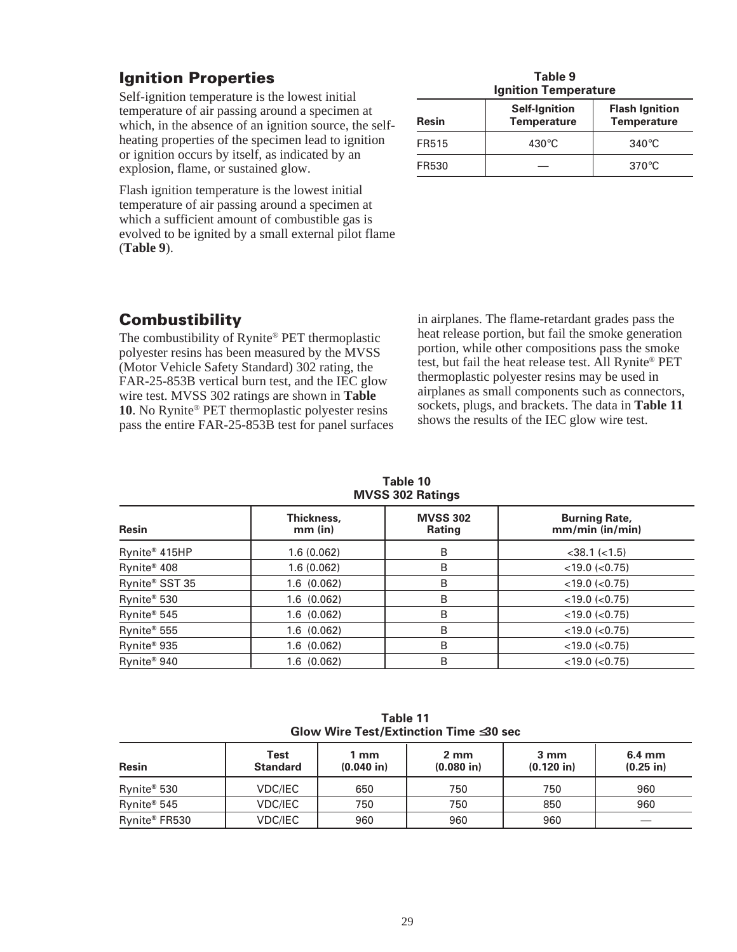# **Ignition Properties**

Self-ignition temperature is the lowest initial temperature of air passing around a specimen at which, in the absence of an ignition source, the selfheating properties of the specimen lead to ignition or ignition occurs by itself, as indicated by an explosion, flame, or sustained glow.

Flash ignition temperature is the lowest initial temperature of air passing around a specimen at which a sufficient amount of combustible gas is evolved to be ignited by a small external pilot flame (**Table 9**).

| Table 9                     |
|-----------------------------|
| <b>Ignition Temperature</b> |

| Resin | <b>Self-Ignition</b><br><b>Temperature</b> | <b>Flash Ignition</b><br><b>Temperature</b> |
|-------|--------------------------------------------|---------------------------------------------|
| FR515 | $430^{\circ}$ C                            | $340^{\circ}$ C                             |
| FR530 |                                            | $370^{\circ}$ C                             |

# **Combustibility**

The combustibility of Rynite® PET thermoplastic polyester resins has been measured by the MVSS (Motor Vehicle Safety Standard) 302 rating, the FAR-25-853B vertical burn test, and the IEC glow wire test. MVSS 302 ratings are shown in **Table 10**. No Rynite® PET thermoplastic polyester resins pass the entire FAR-25-853B test for panel surfaces in airplanes. The flame-retardant grades pass the heat release portion, but fail the smoke generation portion, while other compositions pass the smoke test, but fail the heat release test. All Rynite® PET thermoplastic polyester resins may be used in airplanes as small components such as connectors, sockets, plugs, and brackets. The data in **Table 11** shows the results of the IEC glow wire test.

**Table 10 MVSS 302 Ratings**

| <b>Resin</b>            | Thickness,<br>$mm$ (in) | <b>MVSS 302</b><br><b>Rating</b> | <b>Burning Rate,</b><br>mm/min (in/min) |  |  |  |  |
|-------------------------|-------------------------|----------------------------------|-----------------------------------------|--|--|--|--|
| Rynite® 415HP           | 1.6(0.062)              | B                                | $<$ 38.1 $(<$ 1.5)                      |  |  |  |  |
| Rynite <sup>®</sup> 408 | 1.6(0.062)              | B                                | $<$ 19.0 ( $<$ 0.75)                    |  |  |  |  |
| Rynite® SST 35          | 1.6(0.062)              | B                                | $<$ 19.0 ( $<$ 0.75)                    |  |  |  |  |
| Rynite <sup>®</sup> 530 | 1.6(0.062)              | B                                | $<$ 19.0 ( $<$ 0.75)                    |  |  |  |  |
| Rynite <sup>®</sup> 545 | 1.6(0.062)              | B                                | $<$ 19.0 ( $<$ 0.75)                    |  |  |  |  |
| Rynite <sup>®</sup> 555 | 1.6(0.062)              | B                                | $<$ 19.0 ( $<$ 0.75)                    |  |  |  |  |
| Rynite <sup>®</sup> 935 | 1.6(0.062)              | B                                | $<$ 19.0 ( $<$ 0.75)                    |  |  |  |  |
| Rynite <sup>®</sup> 940 | 1.6(0.062)              | B                                | $<$ 19.0 ( $<$ 0.75)                    |  |  |  |  |

| Table 11                                     |
|----------------------------------------------|
| Glow Wire Test/Extinction Time $\leq$ 30 sec |

| <b>Resin</b>  | Test<br><b>Standard</b> | 1 mm<br>$(0.040)$ in) | 2 mm<br>$(0.080)$ in) | 3 mm<br>$(0.120$ in) | $6.4 \text{ mm}$<br>$(0.25$ in) |
|---------------|-------------------------|-----------------------|-----------------------|----------------------|---------------------------------|
| Rynite® 530   | VDC/IEC                 | 650                   | 750                   | 750                  | 960                             |
| Rynite® 545   | VDC/IEC                 | 750                   | 750                   | 850                  | 960                             |
| Rynite® FR530 | VDC/IEC                 | 960                   | 960                   | 960                  |                                 |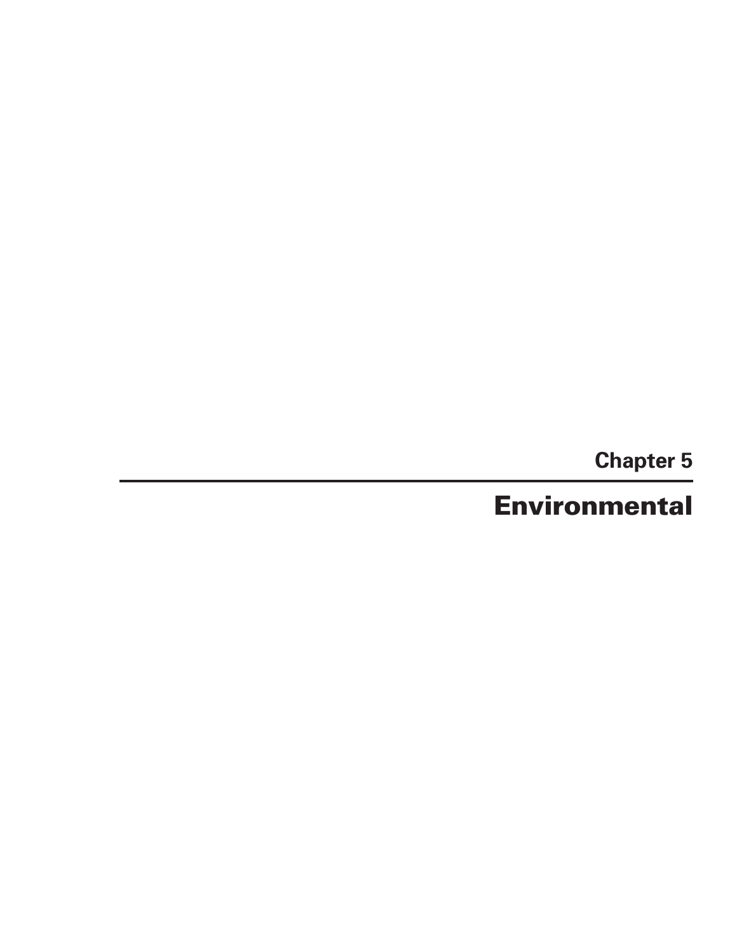**Chapter 5**

**Environmental**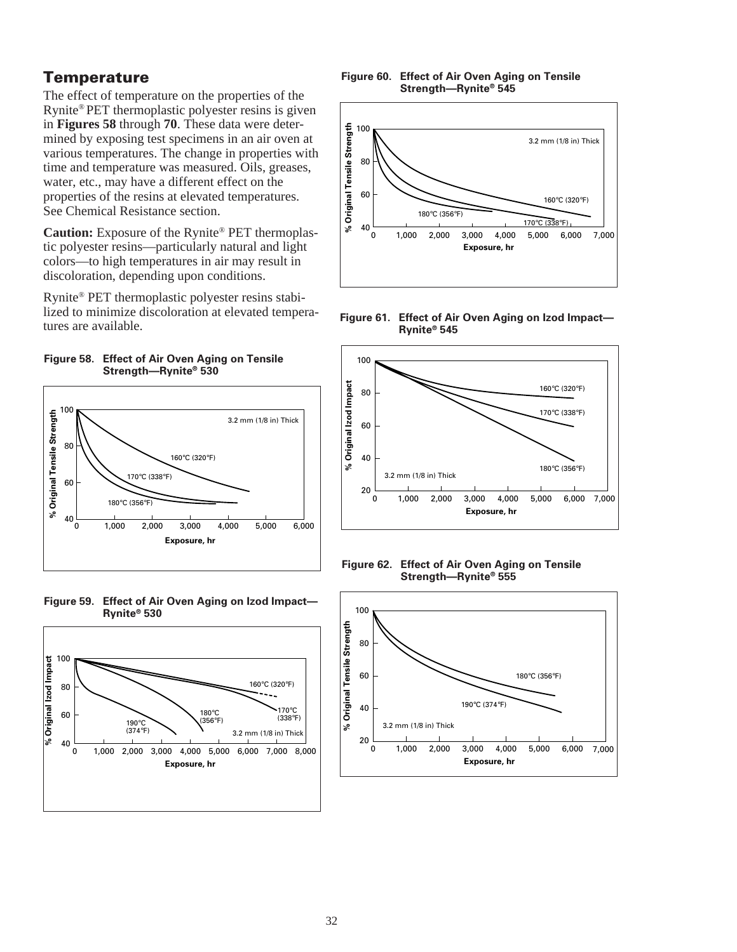### **Temperature**

The effect of temperature on the properties of the Rynite® PET thermoplastic polyester resins is given in **Figures 58** through **70**. These data were determined by exposing test specimens in an air oven at various temperatures. The change in properties with time and temperature was measured. Oils, greases, water, etc., may have a different effect on the properties of the resins at elevated temperatures. See Chemical Resistance section.

**Caution:** Exposure of the Rynite® PET thermoplastic polyester resins—particularly natural and light colors—to high temperatures in air may result in discoloration, depending upon conditions.

Rynite® PET thermoplastic polyester resins stabilized to minimize discoloration at elevated temperatures are available.

















**Figure 62. Effect of Air Oven Aging on Tensile Strength—Rynite® 555**

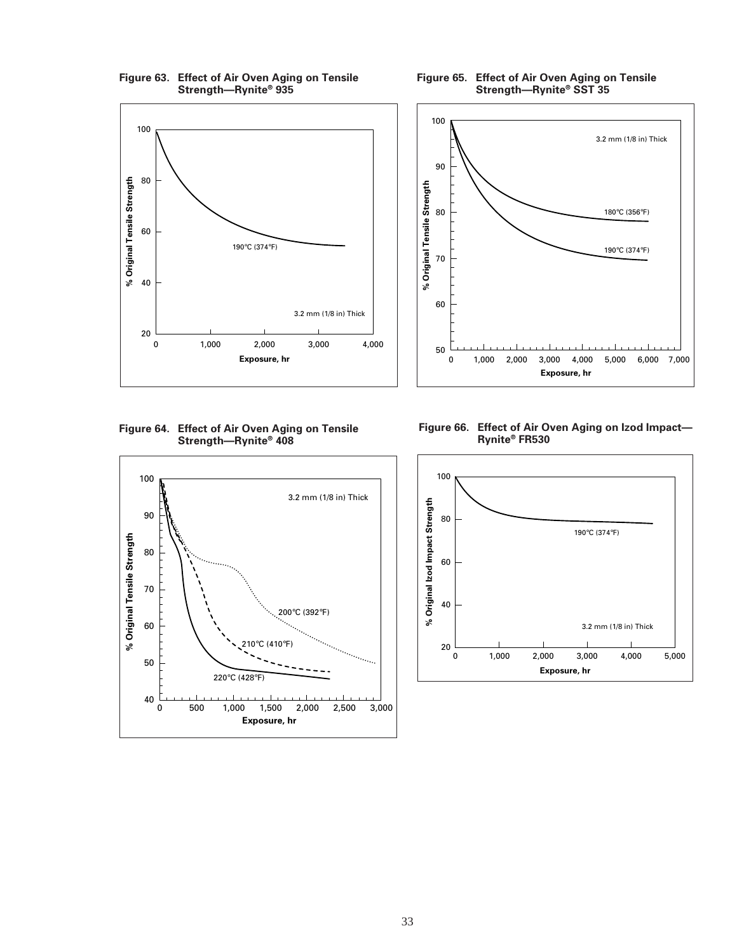

100 3.2 mm (1/8 in) Thick 90 % Original Tensile Strength **% Original Tensile Strength** 80 180°C (356°F) 190°C (374°F) 70 60

**Figure 64. Effect of Air Oven Aging on Tensile Strength—Rynite® 408**



**Figure 66. Effect of Air Oven Aging on Izod Impact— Rynite® FR530**

**Exposure, hr** 0 1,000 2,000 3,000 4,000 5,000 6,000 7,000

50



**Figure 65. Effect of Air Oven Aging on Tensile Strength—Rynite® SST 35**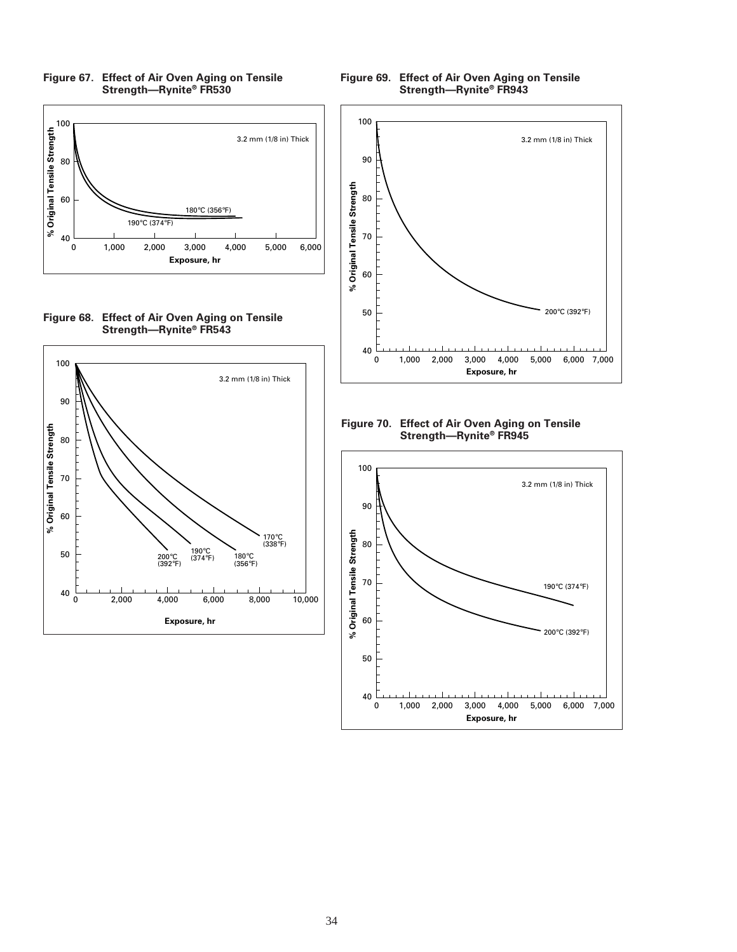







**Figure 69. Effect of Air Oven Aging on Tensile Strength—Rynite® FR943**



**Figure 70. Effect of Air Oven Aging on Tensile Strength—Rynite® FR945**

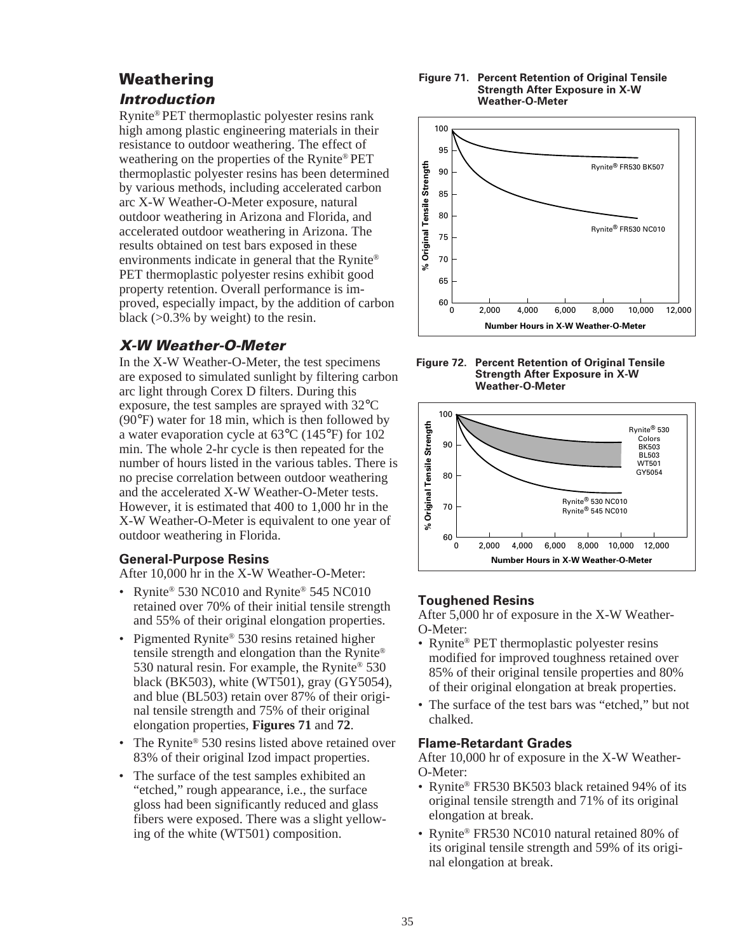# **Weathering**

### **Introduction**

Rynite® PET thermoplastic polyester resins rank high among plastic engineering materials in their resistance to outdoor weathering. The effect of weathering on the properties of the Rynite® PET thermoplastic polyester resins has been determined by various methods, including accelerated carbon arc X-W Weather-O-Meter exposure, natural outdoor weathering in Arizona and Florida, and accelerated outdoor weathering in Arizona. The results obtained on test bars exposed in these environments indicate in general that the Rynite® PET thermoplastic polyester resins exhibit good property retention. Overall performance is improved, especially impact, by the addition of carbon black  $(>0.3\%$  by weight) to the resin.

# **X-W Weather-O-Meter**

In the X-W Weather-O-Meter, the test specimens are exposed to simulated sunlight by filtering carbon arc light through Corex D filters. During this exposure, the test samples are sprayed with 32°C (90°F) water for 18 min, which is then followed by a water evaporation cycle at 63°C (145°F) for 102 min. The whole 2-hr cycle is then repeated for the number of hours listed in the various tables. There is no precise correlation between outdoor weathering and the accelerated X-W Weather-O-Meter tests. However, it is estimated that 400 to 1,000 hr in the X-W Weather-O-Meter is equivalent to one year of outdoor weathering in Florida.

#### **General-Purpose Resins**

After 10,000 hr in the X-W Weather-O-Meter:

- Rynite<sup>®</sup> 530 NC010 and Rynite<sup>®</sup> 545 NC010 retained over 70% of their initial tensile strength and 55% of their original elongation properties.
- Pigmented Rynite<sup>®</sup> 530 resins retained higher tensile strength and elongation than the Rynite® 530 natural resin. For example, the Rynite® 530 black (BK503), white (WT501), gray (GY5054), and blue (BL503) retain over 87% of their original tensile strength and 75% of their original elongation properties, **Figures 71** and **72**.
- The Rynite® 530 resins listed above retained over 83% of their original Izod impact properties.
- The surface of the test samples exhibited an "etched," rough appearance, i.e., the surface gloss had been significantly reduced and glass fibers were exposed. There was a slight yellowing of the white (WT501) composition.

#### **Figure 71. Percent Retention of Original Tensile Strength After Exposure in X-W Weather-O-Meter**



**Figure 72. Percent Retention of Original Tensile Strength After Exposure in X-W Weather-O-Meter**



#### **Toughened Resins**

After 5,000 hr of exposure in the X-W Weather-O-Meter:

- Rynite<sup>®</sup> PET thermoplastic polyester resins modified for improved toughness retained over 85% of their original tensile properties and 80% of their original elongation at break properties.
- The surface of the test bars was "etched," but not chalked.

#### **Flame-Retardant Grades**

After 10,000 hr of exposure in the X-W Weather-O-Meter:

- Rynite® FR530 BK503 black retained 94% of its original tensile strength and 71% of its original elongation at break.
- Rynite® FR530 NC010 natural retained 80% of its original tensile strength and 59% of its original elongation at break.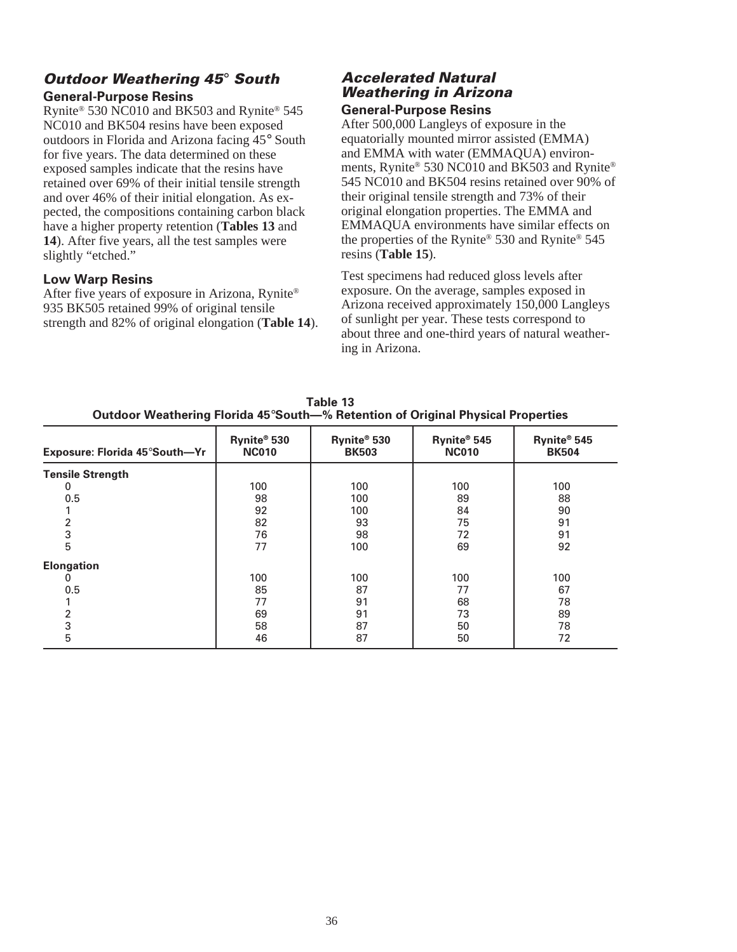### **Outdoor Weathering 45**° **South General-Purpose Resins**

Rynite® 530 NC010 and BK503 and Rynite® 545 NC010 and BK504 resins have been exposed outdoors in Florida and Arizona facing 45° South for five years. The data determined on these exposed samples indicate that the resins have retained over 69% of their initial tensile strength and over 46% of their initial elongation. As expected, the compositions containing carbon black have a higher property retention (**Tables 13** and **14**). After five years, all the test samples were slightly "etched."

#### **Low Warp Resins**

After five years of exposure in Arizona, Rynite® 935 BK505 retained 99% of original tensile strength and 82% of original elongation (**Table 14**).

#### **Accelerated Natural Weathering in Arizona General-Purpose Resins**

After 500,000 Langleys of exposure in the equatorially mounted mirror assisted (EMMA) and EMMA with water (EMMAQUA) environments, Rynite® 530 NC010 and BK503 and Rynite® 545 NC010 and BK504 resins retained over 90% of their original tensile strength and 73% of their original elongation properties. The EMMA and EMMAQUA environments have similar effects on the properties of the Rynite® 530 and Rynite® 545 resins (**Table 15**).

Test specimens had reduced gloss levels after exposure. On the average, samples exposed in Arizona received approximately 150,000 Langleys of sunlight per year. These tests correspond to about three and one-third years of natural weathering in Arizona.

| Exposure: Florida 45°South-Yr | Rynite® 530<br><b>NC010</b> | Rynite <sup>®</sup> 530<br><b>BK503</b> | Rynite® 545<br><b>NC010</b> | Rynite® 545<br><b>BK504</b> |
|-------------------------------|-----------------------------|-----------------------------------------|-----------------------------|-----------------------------|
| <b>Tensile Strength</b>       |                             |                                         |                             |                             |
| 0                             | 100                         | 100                                     | 100                         | 100                         |
| 0.5                           | 98                          | 100                                     | 89                          | 88                          |
|                               | 92                          | 100                                     | 84                          | 90                          |
|                               | 82                          | 93                                      | 75                          | 91                          |
| 3                             | 76                          | 98                                      | 72                          | 91                          |
| 5                             | 77                          | 100                                     | 69                          | 92                          |
| <b>Elongation</b>             |                             |                                         |                             |                             |
|                               | 100                         | 100                                     | 100                         | 100                         |
| 0.5                           | 85                          | 87                                      | 77                          | 67                          |
|                               | 77                          | 91                                      | 68                          | 78                          |
|                               | 69                          | 91                                      | 73                          | 89                          |
| 3                             | 58                          | 87                                      | 50                          | 78                          |
| 5                             | 46                          | 87                                      | 50                          | 72                          |

**Table 13 Outdoor Weathering Florida 45**°**South—% Retention of Original Physical Properties**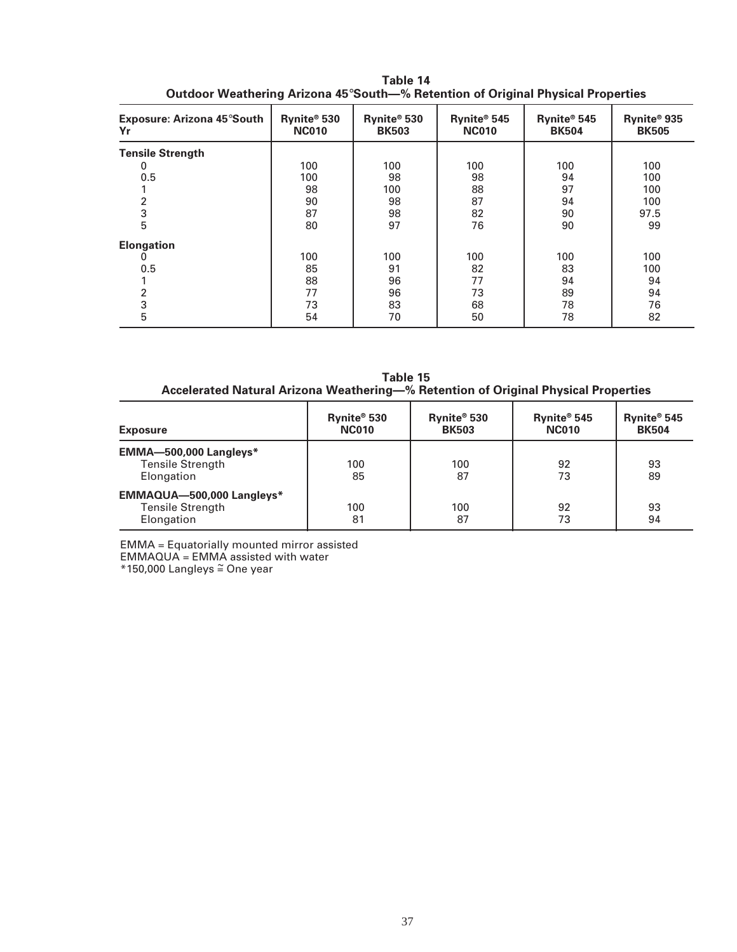| Exposure: Arizona 45°South<br>Yr | Rynite® 530<br><b>NC010</b> | Rynite <sup>®</sup> 530<br><b>BK503</b> | Rynite <sup>®</sup> 545<br><b>NC010</b> | Rynite® 545<br><b>BK504</b> | Rynite <sup>®</sup> 935<br><b>BK505</b> |
|----------------------------------|-----------------------------|-----------------------------------------|-----------------------------------------|-----------------------------|-----------------------------------------|
| <b>Tensile Strength</b>          |                             |                                         |                                         |                             |                                         |
| 0                                | 100                         | 100                                     | 100                                     | 100                         | 100                                     |
| 0.5                              | 100                         | 98                                      | 98                                      | 94                          | 100                                     |
|                                  | 98                          | 100                                     | 88                                      | 97                          | 100                                     |
|                                  | 90                          | 98                                      | 87                                      | 94                          | 100                                     |
| 3                                | 87                          | 98                                      | 82                                      | 90                          | 97.5                                    |
| 5                                | 80                          | 97                                      | 76                                      | 90                          | 99                                      |
| <b>Elongation</b>                |                             |                                         |                                         |                             |                                         |
| 0                                | 100                         | 100                                     | 100                                     | 100                         | 100                                     |
| 0.5                              | 85                          | 91                                      | 82                                      | 83                          | 100                                     |
|                                  | 88                          | 96                                      | 77                                      | 94                          | 94                                      |
|                                  | 77                          | 96                                      | 73                                      | 89                          | 94                                      |
| 3                                | 73                          | 83                                      | 68                                      | 78                          | 76                                      |
| 5                                | 54                          | 70                                      | 50                                      | 78                          | 82                                      |

**Table 14 Outdoor Weathering Arizona 45**°**South—% Retention of Original Physical Properties**

**Table 15 Accelerated Natural Arizona Weathering—% Retention of Original Physical Properties**

| <b>Exposure</b>                                                    | Rynite <sup>®</sup> 530<br><b>NC010</b> | Rynite® 530<br><b>BK503</b> | Rynite <sup>®</sup> 545<br><b>NC010</b> | Rynite <sup>®</sup> 545<br><b>BK504</b> |
|--------------------------------------------------------------------|-----------------------------------------|-----------------------------|-----------------------------------------|-----------------------------------------|
| EMMA-500,000 Langleys*<br><b>Tensile Strength</b><br>Elongation    | 100<br>85                               | 100<br>87                   | 92<br>73                                | 93<br>89                                |
| EMMAQUA-500,000 Langleys*<br><b>Tensile Strength</b><br>Elongation | 100<br>81                               | 100<br>87                   | 92<br>73                                | 93<br>94                                |

EMMA = Equatorially mounted mirror assisted EMMAQUA = EMMA assisted with water \*150,000 Langleys = One year ~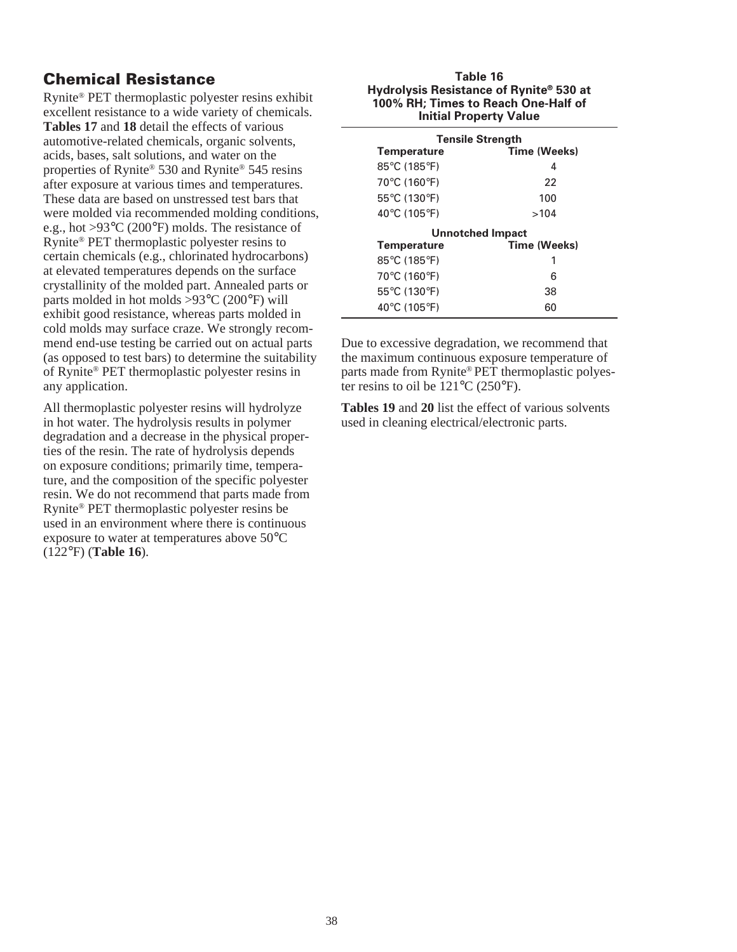# **Chemical Resistance**

Rynite® PET thermoplastic polyester resins exhibit excellent resistance to a wide variety of chemicals. **Tables 17** and **18** detail the effects of various automotive-related chemicals, organic solvents, acids, bases, salt solutions, and water on the properties of Rynite® 530 and Rynite® 545 resins after exposure at various times and temperatures. These data are based on unstressed test bars that were molded via recommended molding conditions, e.g., hot >93°C (200°F) molds. The resistance of Rynite® PET thermoplastic polyester resins to certain chemicals (e.g., chlorinated hydrocarbons) at elevated temperatures depends on the surface crystallinity of the molded part. Annealed parts or parts molded in hot molds  $>93^{\circ}$ C (200 $^{\circ}$ F) will exhibit good resistance, whereas parts molded in cold molds may surface craze. We strongly recommend end-use testing be carried out on actual parts (as opposed to test bars) to determine the suitability of Rynite® PET thermoplastic polyester resins in any application.

All thermoplastic polyester resins will hydrolyze in hot water. The hydrolysis results in polymer degradation and a decrease in the physical properties of the resin. The rate of hydrolysis depends on exposure conditions; primarily time, temperature, and the composition of the specific polyester resin. We do not recommend that parts made from Rynite® PET thermoplastic polyester resins be used in an environment where there is continuous exposure to water at temperatures above 50°C (122°F) (**Table 16**).

#### **Table 16 Hydrolysis Resistance of Rynite® 530 at 100% RH; Times to Reach One-Half of Initial Property Value**

| <b>Tensile Strength</b>          |              |  |  |  |  |
|----------------------------------|--------------|--|--|--|--|
| <b>Temperature</b>               | Time (Weeks) |  |  |  |  |
| 85°C (185°F)                     | 4            |  |  |  |  |
| 70°C (160°F)                     | 22           |  |  |  |  |
| 55°C (130°F)                     | 100          |  |  |  |  |
| 40 $\degree$ C (105 $\degree$ F) | >104         |  |  |  |  |
| <b>Unnotched Impact</b>          |              |  |  |  |  |
| <b>Temperature</b>               | Time (Weeks) |  |  |  |  |
| 85°C (185°F)                     | 1            |  |  |  |  |
| 70°C (160°F)                     | 6            |  |  |  |  |
| 55°C (130°F)                     | 38           |  |  |  |  |
| 40°C (105°F)                     | 60           |  |  |  |  |

Due to excessive degradation, we recommend that the maximum continuous exposure temperature of parts made from Rynite® PET thermoplastic polyester resins to oil be 121°C (250°F).

**Tables 19** and **20** list the effect of various solvents used in cleaning electrical/electronic parts.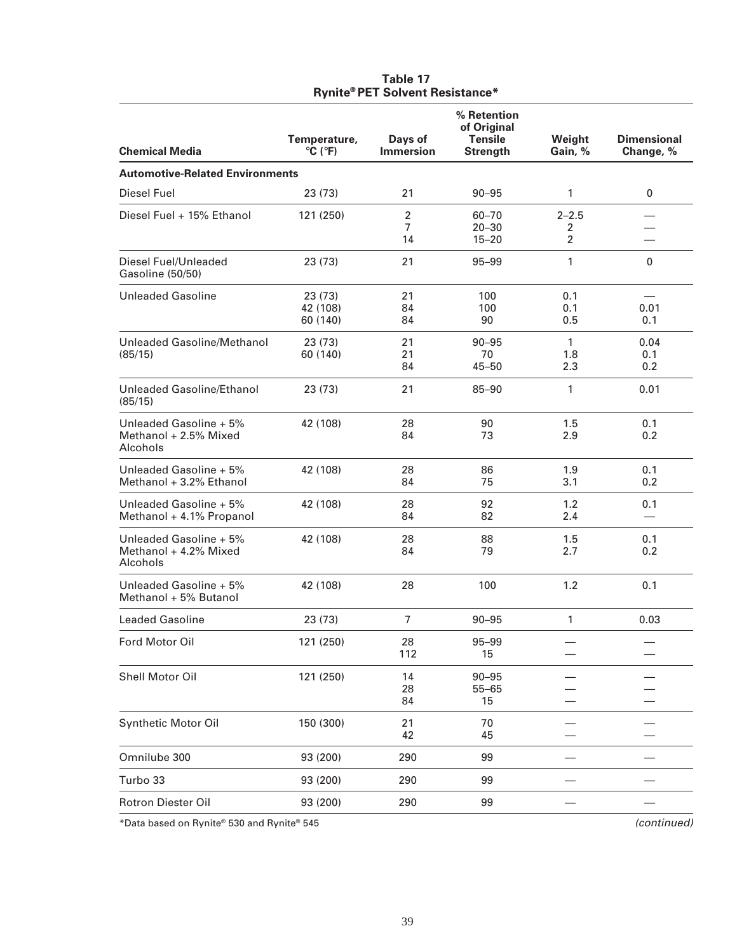| <b>Chemical Media</b>                                       | Temperature,<br>$\circ$ C ( $\circ$ F) | Days of<br><b>Immersion</b>            | % Retention<br>of Original<br><b>Tensile</b><br><b>Strength</b> | Weight<br>Gain, %                | <b>Dimensional</b><br>Change, % |
|-------------------------------------------------------------|----------------------------------------|----------------------------------------|-----------------------------------------------------------------|----------------------------------|---------------------------------|
| <b>Automotive-Related Environments</b>                      |                                        |                                        |                                                                 |                                  |                                 |
| <b>Diesel Fuel</b>                                          | 23 (73)                                | 21                                     | $90 - 95$                                                       | 1                                | 0                               |
| Diesel Fuel + 15% Ethanol                                   | 121 (250)                              | $\overline{2}$<br>$\overline{7}$<br>14 | 60-70<br>$20 - 30$<br>$15 - 20$                                 | $2 - 2.5$<br>2<br>$\overline{2}$ |                                 |
| Diesel Fuel/Unleaded<br>Gasoline (50/50)                    | 23 (73)                                | 21                                     | 95-99                                                           | 1                                | $\mathbf 0$                     |
| <b>Unleaded Gasoline</b>                                    | 23 (73)<br>42 (108)<br>60 (140)        | 21<br>84<br>84                         | 100<br>100<br>90                                                | 0.1<br>0.1<br>0.5                | 0.01<br>0.1                     |
| Unleaded Gasoline/Methanol<br>(85/15)                       | 23(73)<br>60 (140)                     | 21<br>21<br>84                         | $90 - 95$<br>70<br>$45 - 50$                                    | $\mathbf{1}$<br>1.8<br>2.3       | 0.04<br>0.1<br>0.2 <sub>0</sub> |
| Unleaded Gasoline/Ethanol<br>(85/15)                        | 23 (73)                                | 21                                     | 85-90                                                           | 1                                | 0.01                            |
| Unleaded Gasoline + 5%<br>Methanol + 2.5% Mixed<br>Alcohols | 42 (108)                               | 28<br>84                               | 90<br>73                                                        | 1.5<br>2.9                       | 0.1<br>0.2                      |
| Unleaded Gasoline + 5%<br>Methanol + 3.2% Ethanol           | 42 (108)                               | 28<br>84                               | 86<br>75                                                        | 1.9<br>3.1                       | 0.1<br>0.2                      |
| Unleaded Gasoline + 5%<br>Methanol + 4.1% Propanol          | 42 (108)                               | 28<br>84                               | 92<br>82                                                        | 1.2<br>2.4                       | 0.1                             |
| Unleaded Gasoline + 5%<br>Methanol + 4.2% Mixed<br>Alcohols | 42 (108)                               | 28<br>84                               | 88<br>79                                                        | 1.5<br>2.7                       | 0.1<br>0.2                      |
| Unleaded Gasoline + 5%<br>Methanol + 5% Butanol             | 42 (108)                               | 28                                     | 100                                                             | 1.2                              | 0.1                             |
| <b>Leaded Gasoline</b>                                      | 23 (73)                                | $\overline{7}$                         | $90 - 95$                                                       | 1                                | 0.03                            |
| Ford Motor Oil                                              | 121 (250)                              | 28<br>112                              | 95-99<br>15                                                     |                                  |                                 |
| Shell Motor Oil                                             | 121 (250)                              | 14<br>28<br>84                         | $90 - 95$<br>$55 - 65$<br>15                                    |                                  |                                 |
| <b>Synthetic Motor Oil</b>                                  | 150 (300)                              | 21<br>42                               | 70<br>45                                                        |                                  |                                 |
| Omnilube 300                                                | 93 (200)                               | 290                                    | 99                                                              |                                  |                                 |
| Turbo 33                                                    | 93 (200)                               | 290                                    | 99                                                              |                                  |                                 |
| Rotron Diester Oil                                          | 93 (200)                               | 290                                    | 99                                                              |                                  |                                 |

#### **Table 17 Rynite® PET Solvent Resistance\***

\*Data based on Rynite® 530 and Rynite® 545 (continued)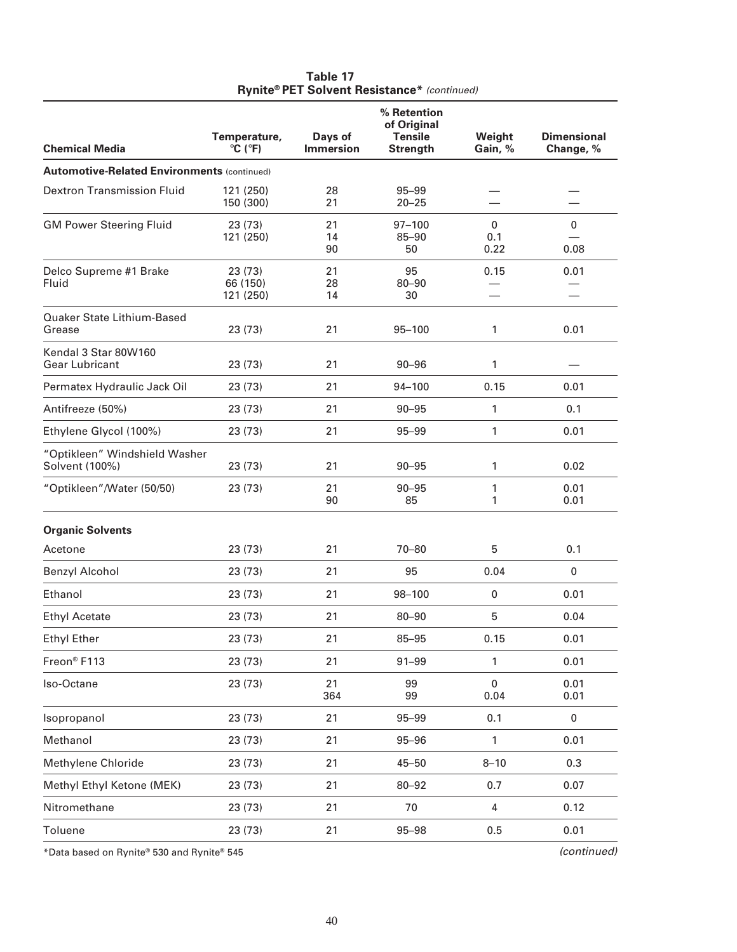| <b>Chemical Media</b>                              | Temperature,<br>$\circ$ C ( $\circ$ F) | Days of<br><b>Immersion</b> | % Retention<br>of Original<br><b>Tensile</b><br><b>Strength</b> | Weight<br>Gain, % | <b>Dimensional</b><br>Change, % |
|----------------------------------------------------|----------------------------------------|-----------------------------|-----------------------------------------------------------------|-------------------|---------------------------------|
| <b>Automotive-Related Environments (continued)</b> |                                        |                             |                                                                 |                   |                                 |
| <b>Dextron Transmission Fluid</b>                  | 121 (250)<br>150 (300)                 | 28<br>21                    | 95-99<br>$20 - 25$                                              |                   |                                 |
| <b>GM Power Steering Fluid</b>                     | 23 (73)<br>121 (250)                   | 21<br>14<br>90              | $97 - 100$<br>$85 - 90$<br>50                                   | 0<br>0.1<br>0.22  | 0<br>0.08                       |
| Delco Supreme #1 Brake<br>Fluid                    | 23 (73)<br>66 (150)<br>121 (250)       | 21<br>28<br>14              | 95<br>$80 - 90$<br>30                                           | 0.15              | 0.01                            |
| Quaker State Lithium-Based<br>Grease               | 23 (73)                                | 21                          | $95 - 100$                                                      | 1                 | 0.01                            |
| Kendal 3 Star 80W160<br><b>Gear Lubricant</b>      | 23 (73)                                | 21                          | $90 - 96$                                                       | 1                 |                                 |
| Permatex Hydraulic Jack Oil                        | 23 (73)                                | 21                          | 94-100                                                          | 0.15              | 0.01                            |
| Antifreeze (50%)                                   | 23 (73)                                | 21                          | $90 - 95$                                                       | 1                 | 0.1                             |
| Ethylene Glycol (100%)                             | 23 (73)                                | 21                          | 95-99                                                           | $\mathbf{1}$      | 0.01                            |
| "Optikleen" Windshield Washer<br>Solvent (100%)    | 23 (73)                                | 21                          | $90 - 95$                                                       | 1                 | 0.02                            |
| "Optikleen"/Water (50/50)                          | 23 (73)                                | 21<br>90                    | $90 - 95$<br>85                                                 | 1<br>1            | 0.01<br>0.01                    |
| <b>Organic Solvents</b>                            |                                        |                             |                                                                 |                   |                                 |
| Acetone                                            | 23 (73)                                | 21                          | $70 - 80$                                                       | 5                 | 0.1                             |
| <b>Benzyl Alcohol</b>                              | 23(73)                                 | 21                          | 95                                                              | 0.04              | $\mathbf 0$                     |
| Ethanol                                            | 23 (73)                                | 21                          | 98-100                                                          | 0                 | 0.01                            |
| <b>Ethyl Acetate</b>                               | 23 (73)                                | 21                          | $80 - 90$                                                       | 5                 | 0.04                            |
| <b>Ethyl Ether</b>                                 | 23 (73)                                | 21                          | 85-95                                                           | 0.15              | 0.01                            |
| Freon® F113                                        | 23 (73)                                | 21                          | $91 - 99$                                                       | 1                 | 0.01                            |
| Iso-Octane                                         | 23 (73)                                | 21<br>364                   | 99<br>99                                                        | $\pmb{0}$<br>0.04 | 0.01<br>0.01                    |
| Isopropanol                                        | 23 (73)                                | 21                          | 95-99                                                           | 0.1               | $\pmb{0}$                       |
| Methanol                                           | 23 (73)                                | 21                          | $95 - 96$                                                       | 1                 | 0.01                            |
| Methylene Chloride                                 | 23 (73)                                | 21                          | $45 - 50$                                                       | $8 - 10$          | 0.3                             |
| Methyl Ethyl Ketone (MEK)                          | 23 (73)                                | 21                          | $80 - 92$                                                       | 0.7               | 0.07                            |
| Nitromethane                                       | 23 (73)                                | 21                          | 70                                                              | $\pmb{4}$         | 0.12                            |
| Toluene                                            | 23 (73)                                | 21                          | 95-98                                                           | 0.5               | 0.01                            |
|                                                    |                                        |                             |                                                                 |                   |                                 |

#### **Table 17 Rynite® PET Solvent Resistance\*** (continued)

\*Data based on Rynite® 530 and Rynite® 545 (continued)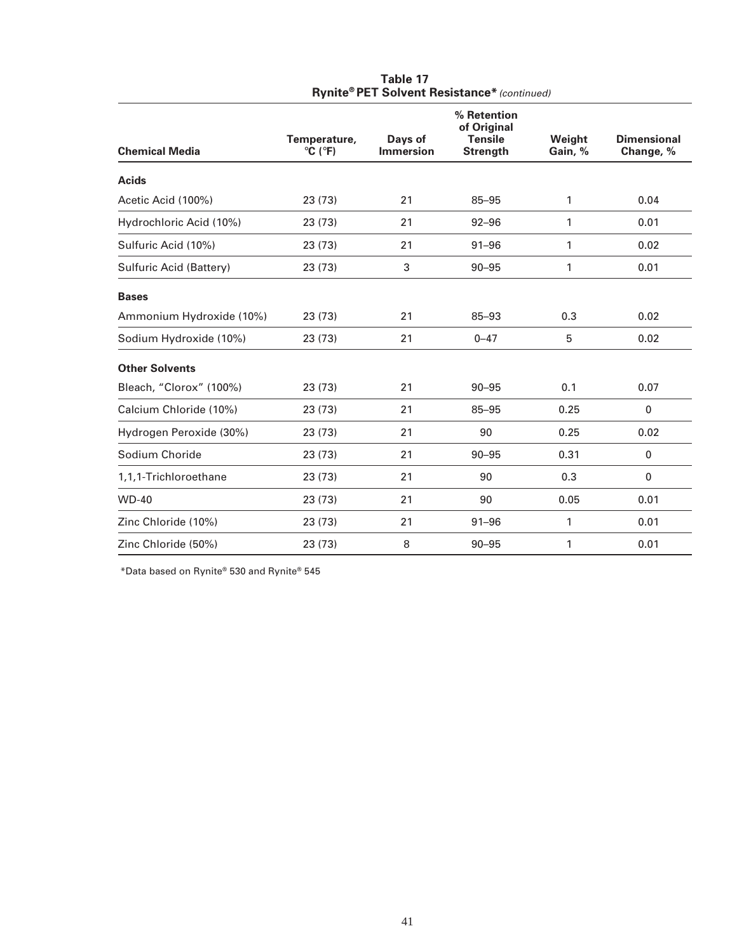|                          |                                        |                             | % Retention<br>of Original        |                   |                                 |
|--------------------------|----------------------------------------|-----------------------------|-----------------------------------|-------------------|---------------------------------|
| <b>Chemical Media</b>    | Temperature,<br>$\circ$ C ( $\circ$ F) | Days of<br><b>Immersion</b> | <b>Tensile</b><br><b>Strength</b> | Weight<br>Gain, % | <b>Dimensional</b><br>Change, % |
| <b>Acids</b>             |                                        |                             |                                   |                   |                                 |
| Acetic Acid (100%)       | 23 (73)                                | 21                          | 85-95                             | 1                 | 0.04                            |
| Hydrochloric Acid (10%)  | 23(73)                                 | 21                          | $92 - 96$                         | 1                 | 0.01                            |
| Sulfuric Acid (10%)      | 23 (73)                                | 21                          | $91 - 96$                         | 1                 | 0.02                            |
| Sulfuric Acid (Battery)  | 23 (73)                                | 3                           | $90 - 95$                         | 1                 | 0.01                            |
| <b>Bases</b>             |                                        |                             |                                   |                   |                                 |
| Ammonium Hydroxide (10%) | 23 (73)                                | 21                          | $85 - 93$                         | 0.3               | 0.02                            |
| Sodium Hydroxide (10%)   | 23 (73)                                | 21                          | $0 - 47$                          | 5                 | 0.02                            |
| <b>Other Solvents</b>    |                                        |                             |                                   |                   |                                 |
| Bleach, "Clorox" (100%)  | 23 (73)                                | 21                          | $90 - 95$                         | 0.1               | 0.07                            |
| Calcium Chloride (10%)   | 23 (73)                                | 21                          | $85 - 95$                         | 0.25              | 0                               |
| Hydrogen Peroxide (30%)  | 23 (73)                                | 21                          | 90                                | 0.25              | 0.02                            |
| Sodium Choride           | 23 (73)                                | 21                          | $90 - 95$                         | 0.31              | 0                               |
| 1,1,1-Trichloroethane    | 23 (73)                                | 21                          | 90                                | 0.3               | 0                               |
| <b>WD-40</b>             | 23 (73)                                | 21                          | 90                                | 0.05              | 0.01                            |
| Zinc Chloride (10%)      | 23 (73)                                | 21                          | $91 - 96$                         | 1                 | 0.01                            |
| Zinc Chloride (50%)      | 23 (73)                                | 8                           | $90 - 95$                         | 1                 | 0.01                            |

**Table 17 Rynite® PET Solvent Resistance\*** (continued)

\*Data based on Rynite® 530 and Rynite® 545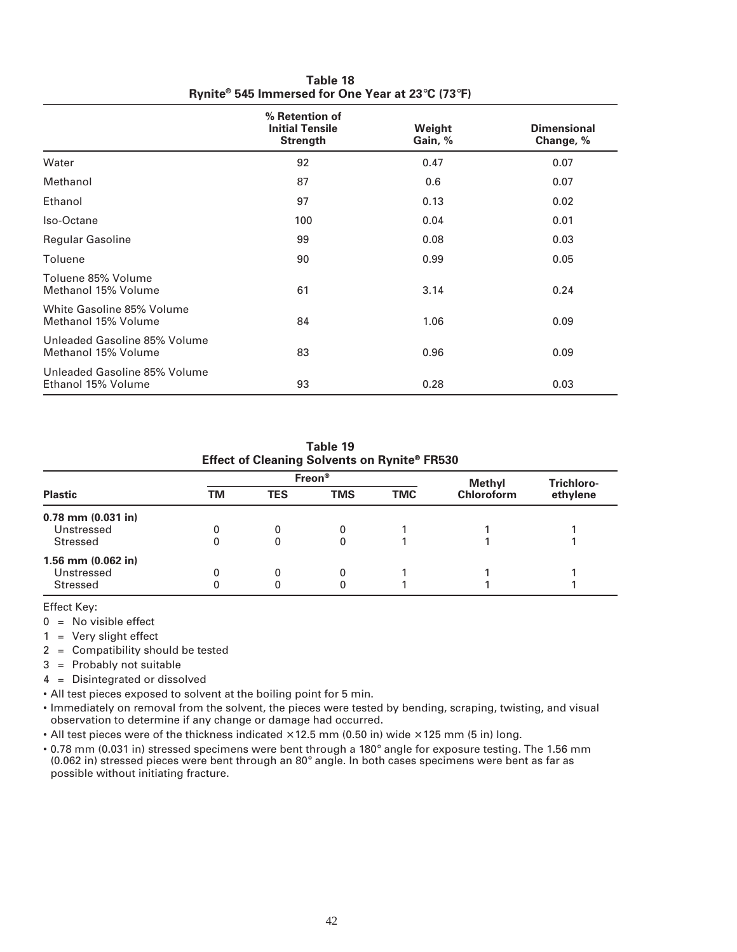|                                                     | % Retention of<br><b>Initial Tensile</b><br><b>Strength</b> | Weight<br>Gain, % | <b>Dimensional</b><br>Change, % |
|-----------------------------------------------------|-------------------------------------------------------------|-------------------|---------------------------------|
| Water                                               | 92                                                          | 0.47              | 0.07                            |
| Methanol                                            | 87                                                          | 0.6               | 0.07                            |
| Ethanol                                             | 97                                                          | 0.13              | 0.02                            |
| Iso-Octane                                          | 100                                                         | 0.04              | 0.01                            |
| <b>Regular Gasoline</b>                             | 99                                                          | 0.08              | 0.03                            |
| Toluene                                             | 90                                                          | 0.99              | 0.05                            |
| Toluene 85% Volume<br>Methanol 15% Volume           | 61                                                          | 3.14              | 0.24                            |
| White Gasoline 85% Volume<br>Methanol 15% Volume    | 84                                                          | 1.06              | 0.09                            |
| Unleaded Gasoline 85% Volume<br>Methanol 15% Volume | 83                                                          | 0.96              | 0.09                            |
| Unleaded Gasoline 85% Volume<br>Ethanol 15% Volume  | 93                                                          | 0.28              | 0.03                            |

**Table 18 Rynite® 545 Immersed for One Year at 23**°**C (73**°**F)**

| Table 19<br>Effect of Cleaning Solvents on Rynite® FR530 |    |            |            |            |                   |          |  |  |
|----------------------------------------------------------|----|------------|------------|------------|-------------------|----------|--|--|
| Freon <sup>®</sup><br>Trichloro-<br>Methyl               |    |            |            |            |                   |          |  |  |
| <b>Plastic</b>                                           | ΤM | <b>TES</b> | <b>TMS</b> | <b>TMC</b> | <b>Chloroform</b> | ethylene |  |  |
| 0.78 mm (0.031 in)                                       |    |            |            |            |                   |          |  |  |
| Unstressed                                               | 0  | 0          | 0          |            |                   |          |  |  |
| Stressed                                                 | 0  | 0          | 0          |            |                   |          |  |  |
| 1.56 mm (0.062 in)                                       |    |            |            |            |                   |          |  |  |
| Unstressed                                               | 0  | 0          | 0          |            |                   |          |  |  |
| Stressed                                                 | 0  | 0          |            |            |                   |          |  |  |

Effect Key:

 $0 = No$  visible effect

1 = Very slight effect

2 = Compatibility should be tested

3 = Probably not suitable

4 = Disintegrated or dissolved

• All test pieces exposed to solvent at the boiling point for 5 min.

• Immediately on removal from the solvent, the pieces were tested by bending, scraping, twisting, and visual observation to determine if any change or damage had occurred.

• All test pieces were of the thickness indicated  $\times$  12.5 mm (0.50 in) wide  $\times$  125 mm (5 in) long.

• 0.78 mm (0.031 in) stressed specimens were bent through a 180° angle for exposure testing. The 1.56 mm (0.062 in) stressed pieces were bent through an 80° angle. In both cases specimens were bent as far as possible without initiating fracture.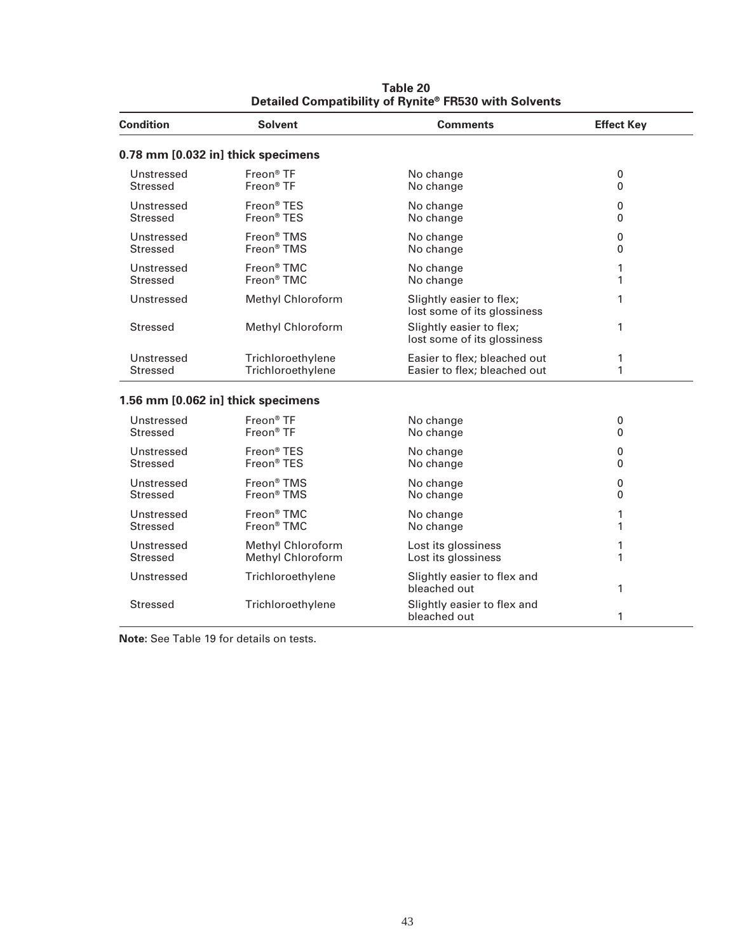| <b>Condition</b> | <b>Solvent</b>                     | <b>Comments</b>                                         | <b>Effect Key</b> |
|------------------|------------------------------------|---------------------------------------------------------|-------------------|
|                  | 0.78 mm [0.032 in] thick specimens |                                                         |                   |
| Unstressed       | Freon <sup>®</sup> TF              | No change                                               | 0                 |
| <b>Stressed</b>  | Freon <sup>®</sup> TF              | No change                                               | $\Omega$          |
| Unstressed       | Freon <sup>®</sup> TES             | No change                                               | 0                 |
| <b>Stressed</b>  | Freon <sup>®</sup> TES             | No change                                               | 0                 |
| Unstressed       | Freon <sup>®</sup> TMS             | No change                                               | 0                 |
| <b>Stressed</b>  | Freon <sup>®</sup> TMS             | No change                                               | $\Omega$          |
| Unstressed       | Freon <sup>®</sup> TMC             | No change                                               | 1                 |
| <b>Stressed</b>  | Freon <sup>®</sup> TMC             | No change                                               | 1                 |
| Unstressed       | <b>Methyl Chloroform</b>           | Slightly easier to flex;<br>lost some of its glossiness | 1                 |
| <b>Stressed</b>  | <b>Methyl Chloroform</b>           | Slightly easier to flex;<br>lost some of its glossiness | 1                 |
| Unstressed       | Trichloroethylene                  | Easier to flex; bleached out                            | 1                 |
| <b>Stressed</b>  | Trichloroethylene                  | Easier to flex; bleached out                            | 1                 |
|                  | 1.56 mm [0.062 in] thick specimens |                                                         |                   |
| Unstressed       | Freon <sup>®</sup> TF              | No change                                               | 0                 |
| <b>Stressed</b>  | Freon <sup>®</sup> TF              | No change                                               | 0                 |
| Unstressed       | Freon <sup>®</sup> TES             | No change                                               | 0                 |
| <b>Stressed</b>  | Freon <sup>®</sup> TES             | No change                                               | $\Omega$          |
| Unstressed       | Freon <sup>®</sup> TMS             | No change                                               | 0                 |
| <b>Stressed</b>  | Freon <sup>®</sup> TMS             | No change                                               | 0                 |
| Unstressed       | Freon <sup>®</sup> TMC             | No change                                               | 1                 |
| <b>Stressed</b>  | Freon® TMC                         | No change                                               | 1                 |
| Unstressed       | <b>Methyl Chloroform</b>           | Lost its glossiness                                     | 1                 |
| <b>Stressed</b>  | <b>Methyl Chloroform</b>           | Lost its glossiness                                     | 1                 |
| Unstressed       | Trichloroethylene                  | Slightly easier to flex and<br>bleached out             | 1                 |
| Stressed         | Trichloroethylene                  | Slightly easier to flex and<br>bleached out             | 1                 |

**Table 20 Detailed Compatibility of Rynite® FR530 with Solvents**

**Note:** See Table 19 for details on tests.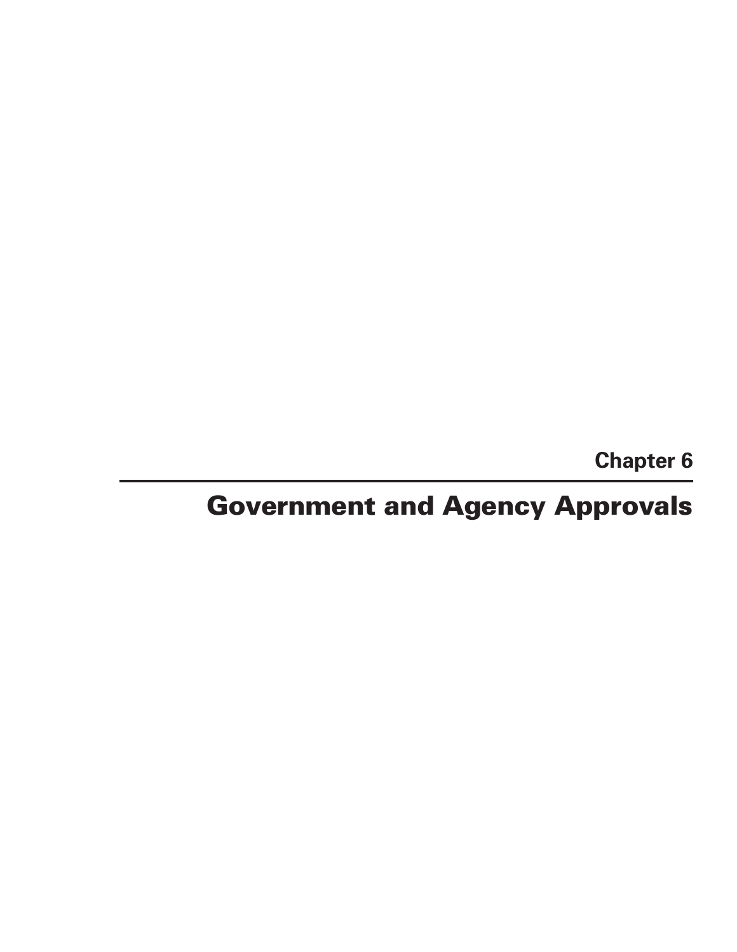**Chapter 6**

# **Government and Agency Approvals**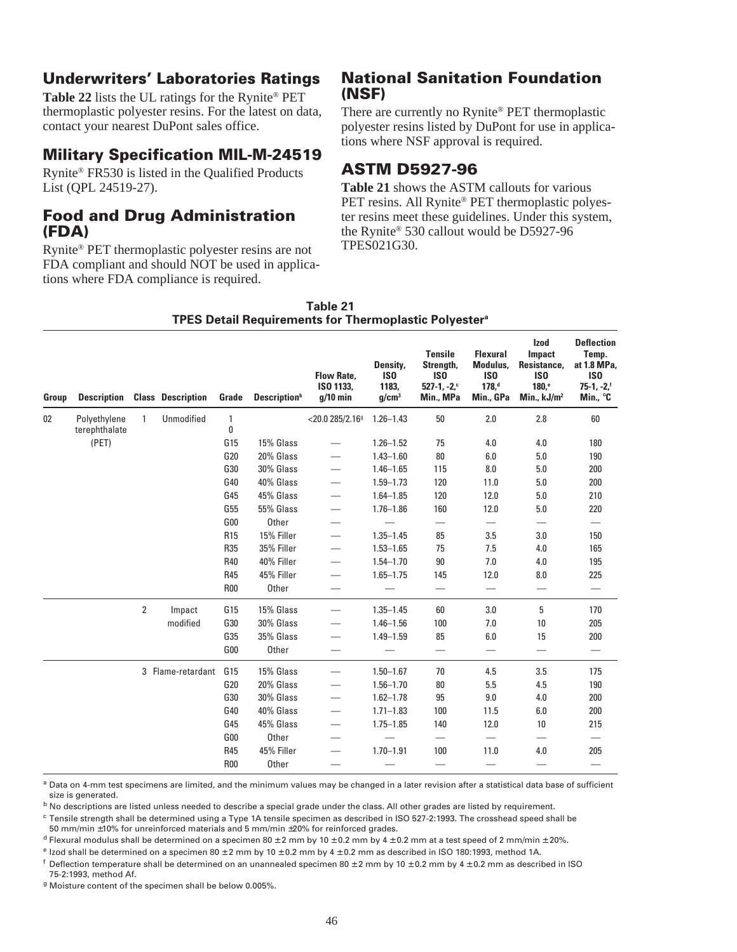# **Underwriters' Laboratories Ratings**

**Table 22** lists the UL ratings for the Rynite® PET thermoplastic polyester resins. For the latest on data, contact your nearest DuPont sales office.

# **Military Specification MIL-M-24519**

Rynite® FR530 is listed in the Qualified Products List (QPL 24519-27).

# **Food and Drug Administration (FDA)**

Rynite® PET thermoplastic polyester resins are not FDA compliant and should NOT be used in applications where FDA compliance is required.

# **National Sanitation Foundation (NSF)**

There are currently no Rynite® PET thermoplastic polyester resins listed by DuPont for use in applications where NSF approval is required.

# **ASTM D5927-96**

**Table 21** shows the ASTM callouts for various PET resins. All Rynite® PET thermoplastic polyester resins meet these guidelines. Under this system, the Rynite® 530 callout would be D5927-96 TPES021G30.

| Group | <b>Description</b>            |                | <b>Class Description</b> | Grade             | <b>Description</b> <sup>b</sup> | <b>Flow Rate,</b><br>ISO 1133,<br>$q/10$ min | Density,<br>IS <sub>0</sub><br>1183,<br>q/cm <sup>3</sup> | <b>Tensile</b><br>Strength,<br>IS <sub>0</sub><br>$527-1, -2$ ,<br>Min., MPa | <b>Flexural</b><br>Modulus,<br>IS <sub>0</sub><br>178 <sub>1</sub><br>Min., GPa | <b>Izod</b><br>Impact<br>Resistance,<br>IS <sub>0</sub><br>180 <sup>e</sup><br>Min., $kJ/m2$ | <b>Deflection</b><br>Temp.<br>at 1.8 MPa,<br>IS <sub>0</sub><br>$75-1, -2,$<br>Min., °C |
|-------|-------------------------------|----------------|--------------------------|-------------------|---------------------------------|----------------------------------------------|-----------------------------------------------------------|------------------------------------------------------------------------------|---------------------------------------------------------------------------------|----------------------------------------------------------------------------------------------|-----------------------------------------------------------------------------------------|
| 02    | Polyethylene<br>terephthalate | $\mathbf{1}$   | Unmodified               | $\mathbf{1}$<br>0 |                                 | $<$ 20.0 285/2.16 $9$                        | $1.26 - 1.43$                                             | 50                                                                           | 2.0                                                                             | 2.8                                                                                          | 60                                                                                      |
|       | (PET)                         |                |                          | G15               | 15% Glass                       |                                              | $1.26 - 1.52$                                             | 75                                                                           | 4.0                                                                             | 4.0                                                                                          | 180                                                                                     |
|       |                               |                |                          | G20               | 20% Glass                       |                                              | $1.43 - 1.60$                                             | 80                                                                           | $6.0\,$                                                                         | $5.0\,$                                                                                      | 190                                                                                     |
|       |                               |                |                          | G30               | 30% Glass                       |                                              | $1.46 - 1.65$                                             | 115                                                                          | $8.0\,$                                                                         | $5.0\,$                                                                                      | 200                                                                                     |
|       |                               |                |                          | G40               | 40% Glass                       |                                              | $1.59 - 1.73$                                             | 120                                                                          | 11.0                                                                            | 5.0                                                                                          | 200                                                                                     |
|       |                               |                |                          | G45               | 45% Glass                       |                                              | $1.64 - 1.85$                                             | 120                                                                          | 12.0                                                                            | 5.0                                                                                          | 210                                                                                     |
|       |                               |                |                          | G55               | 55% Glass                       |                                              | $1.76 - 1.86$                                             | 160                                                                          | 12.0                                                                            | 5.0                                                                                          | 220                                                                                     |
|       |                               |                |                          | G00               | Other                           |                                              |                                                           |                                                                              |                                                                                 |                                                                                              |                                                                                         |
|       |                               |                |                          | <b>R15</b>        | 15% Filler                      | $\overline{\phantom{0}}$                     | $1.35 - 1.45$                                             | 85                                                                           | 3.5                                                                             | 3.0                                                                                          | 150                                                                                     |
|       |                               |                |                          | <b>R35</b>        | 35% Filler                      | $\overline{\phantom{0}}$                     | $1.53 - 1.65$                                             | 75                                                                           | 7.5                                                                             | 4.0                                                                                          | 165                                                                                     |
|       |                               |                |                          | R40               | 40% Filler                      | $\overline{\phantom{0}}$                     | $1.54 - 1.70$                                             | 90                                                                           | 7.0                                                                             | 4.0                                                                                          | 195                                                                                     |
|       |                               |                |                          | <b>R45</b>        | 45% Filler                      | $\overline{\phantom{0}}$                     | $1.65 - 1.75$                                             | 145                                                                          | 12.0                                                                            | 8.0                                                                                          | 225                                                                                     |
|       |                               |                |                          | <b>R00</b>        | Other                           |                                              |                                                           | $\overline{\phantom{0}}$                                                     | $\equiv$                                                                        | $\overline{\phantom{0}}$                                                                     | $\overline{\phantom{0}}$                                                                |
|       |                               | $\overline{2}$ | Impact                   | G15               | 15% Glass                       |                                              | $1.35 - 1.45$                                             | 60                                                                           | 3.0                                                                             | 5                                                                                            | 170                                                                                     |
|       |                               |                | modified                 | G30               | 30% Glass                       |                                              | $1.46 - 1.56$                                             | 100                                                                          | 7.0                                                                             | 10                                                                                           | 205                                                                                     |
|       |                               |                |                          | G35               | 35% Glass                       | $\overline{\phantom{0}}$                     | $1.49 - 1.59$                                             | 85                                                                           | 6.0                                                                             | 15                                                                                           | 200                                                                                     |
|       |                               |                |                          | G00               | Other                           |                                              |                                                           | $\overline{\phantom{0}}$                                                     | $\overline{\phantom{0}}$                                                        | $\overline{\phantom{0}}$                                                                     | $\overline{\phantom{0}}$                                                                |
|       |                               |                | 3 Flame-retardant        | G15               | 15% Glass                       |                                              | $1.50 - 1.67$                                             | 70                                                                           | 4.5                                                                             | 3.5                                                                                          | 175                                                                                     |
|       |                               |                |                          | G <sub>20</sub>   | 20% Glass                       | $\overline{\phantom{0}}$                     | $1.56 - 1.70$                                             | 80                                                                           | 5.5                                                                             | 4.5                                                                                          | 190                                                                                     |
|       |                               |                |                          | G30               | 30% Glass                       |                                              | $1.62 - 1.78$                                             | 95                                                                           | 9.0                                                                             | 4.0                                                                                          | 200                                                                                     |
|       |                               |                |                          | G40               | 40% Glass                       |                                              | $1.71 - 1.83$                                             | 100                                                                          | 11.5                                                                            | 6.0                                                                                          | 200                                                                                     |
|       |                               |                |                          | G45               | 45% Glass                       |                                              | $1.75 - 1.85$                                             | 140                                                                          | 12.0                                                                            | 10                                                                                           | 215                                                                                     |
|       |                               |                |                          | G00               | Other                           |                                              |                                                           | $\overline{\phantom{0}}$                                                     |                                                                                 |                                                                                              |                                                                                         |
|       |                               |                |                          | <b>R45</b>        | 45% Filler                      | $\overline{\phantom{0}}$                     | $1.70 - 1.91$                                             | 100                                                                          | 11.0                                                                            | 4.0                                                                                          | 205                                                                                     |
|       |                               |                |                          | <b>R00</b>        | Other                           |                                              |                                                           | $\overline{\phantom{0}}$                                                     |                                                                                 |                                                                                              |                                                                                         |

#### **Table 21 TPES Detail Requirements for Thermoplastic Polyestera**

<sup>a</sup> Data on 4-mm test specimens are limited, and the minimum values may be changed in a later revision after a statistical data base of sufficient size is generated.

 $<sup>b</sup>$  No descriptions are listed unless needed to describe a special grade under the class. All other grades are listed by requirement.</sup>

 $c$  Tensile strength shall be determined using a Type 1A tensile specimen as described in ISO 527-2:1993. The crosshead speed shall be 50 mm/min ±10% for unreinforced materials and 5 mm/min ±20% for reinforced grades.

 $^d$  Flexural modulus shall be determined on a specimen 80 ± 2 mm by 10 ± 0.2 mm by 4 ± 0.2 mm at a test speed of 2 mm/min ± 20%.

 $e$  Izod shall be determined on a specimen 80  $\pm$  2 mm by 10  $\pm$  0.2 mm by 4  $\pm$  0.2 mm as described in ISO 180:1993, method 1A.

f Deflection temperature shall be determined on an unannealed specimen 80  $\pm$  2 mm by 10  $\pm$  0.2 mm by 4  $\pm$  0.2 mm as described in ISO 75-2:1993, method Af.

<sup>g</sup> Moisture content of the specimen shall be below 0.005%.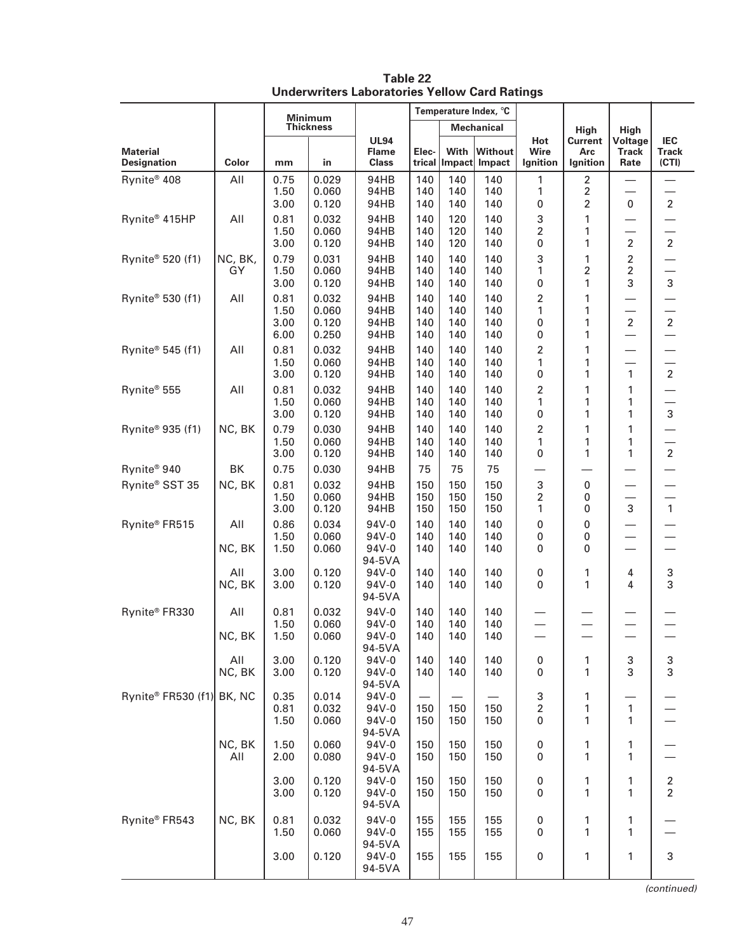|                                           |               |                              |                                  |                                             | Temperature Index, °C    |                          |                          |                            |                                       |                                            |                                     |
|-------------------------------------------|---------------|------------------------------|----------------------------------|---------------------------------------------|--------------------------|--------------------------|--------------------------|----------------------------|---------------------------------------|--------------------------------------------|-------------------------------------|
|                                           |               | <b>Minimum</b><br>Thickness  |                                  |                                             | <b>Mechanical</b>        |                          |                          |                            | <b>High</b>                           | High                                       |                                     |
| <b>Material</b><br><b>Designation</b>     | Color         | mm                           | in                               | <b>UL94</b><br><b>Flame</b><br><b>Class</b> | Elec-<br>trical          | With                     | Without<br>Impact Impact | Hot<br>Wire<br>Ignition    | Current<br>Arc<br>Ignition            | Voltage<br><b>Track</b><br>Rate            | <b>IEC</b><br><b>Track</b><br>(CTI) |
| Rynite <sup>®</sup> 408                   | All           | 0.75<br>1.50<br>3.00         | 0.029<br>0.060<br>0.120          | 94HB<br>94HB<br>94HB                        | 140<br>140<br>140        | 140<br>140<br>140        | 140<br>140<br>140        | 1<br>1<br>0                | $\overline{2}$<br>$\overline{2}$<br>2 | 0                                          | $\overline{2}$                      |
| Rynite® 415HP                             | All           | 0.81<br>1.50<br>3.00         | 0.032<br>0.060<br>0.120          | 94HB<br>94HB<br>94HB                        | 140<br>140<br>140        | 120<br>120<br>120        | 140<br>140<br>140        | 3<br>$\overline{c}$<br>0   | 1<br>1<br>1                           | $\overline{2}$                             | $\overline{2}$                      |
| Rynite® 520 (f1)                          | NC, BK,<br>GY | 0.79<br>1.50<br>3.00         | 0.031<br>0.060<br>0.120          | 94HB<br>94HB<br>94HB                        | 140<br>140<br>140        | 140<br>140<br>140        | 140<br>140<br>140        | 3<br>1<br>0                | 1<br>2<br>1                           | $\overline{c}$<br>$\overline{2}$<br>3      | 3                                   |
| Rynite® 530 (f1)                          | All           | 0.81<br>1.50<br>3.00<br>6.00 | 0.032<br>0.060<br>0.120<br>0.250 | 94HB<br>94HB<br>94HB<br>94HB                | 140<br>140<br>140<br>140 | 140<br>140<br>140<br>140 | 140<br>140<br>140<br>140 | 2<br>1<br>0<br>0           | 1<br>1<br>1<br>1                      | $\overline{2}$<br>$\overline{\phantom{0}}$ | $\overline{2}$                      |
| Rynite® 545 (f1)                          | All           | 0.81<br>1.50<br>3.00         | 0.032<br>0.060<br>0.120          | 94HB<br>94HB<br>94HB                        | 140<br>140<br>140        | 140<br>140<br>140        | 140<br>140<br>140        | 2<br>1<br>0                | 1<br>1<br>1                           | 1                                          | $\overline{2}$                      |
| Rynite <sup>®</sup> 555                   | All           | 0.81<br>1.50<br>3.00         | 0.032<br>0.060<br>0.120          | 94HB<br>94HB<br>94HB                        | 140<br>140<br>140        | 140<br>140<br>140        | 140<br>140<br>140        | 2<br>1<br>0                | 1<br>1<br>1                           | 1<br>1<br>1                                | 3                                   |
| Rynite® 935 (f1)                          | NC, BK        | 0.79<br>1.50<br>3.00         | 0.030<br>0.060<br>0.120          | 94HB<br>94HB<br>94HB                        | 140<br>140<br>140        | 140<br>140<br>140        | 140<br>140<br>140        | $\overline{2}$<br>1<br>0   | 1<br>1<br>1                           | 1<br>1<br>1                                | $\overline{2}$                      |
| Rynite <sup>®</sup> 940<br>Rynite® SST 35 | BK<br>NC, BK  | 0.75<br>0.81<br>1.50<br>3.00 | 0.030<br>0.032<br>0.060<br>0.120 | 94HB<br>94HB<br>94HB<br>94HB                | 75<br>150<br>150<br>150  | 75<br>150<br>150<br>150  | 75<br>150<br>150<br>150  | 3<br>$\overline{2}$<br>1   | 0<br>0<br>0                           | 3                                          | $\mathbf{1}$                        |
| Rynite® FR515                             | All<br>NC, BK | 0.86<br>1.50<br>1.50         | 0.034<br>0.060<br>0.060          | 94V-0<br>$94V - 0$<br>94V-0                 | 140<br>140<br>140        | 140<br>140<br>140        | 140<br>140<br>140        | 0<br>0<br>0                | 0<br>0<br>0                           |                                            |                                     |
|                                           | All<br>NC, BK | 3.00<br>3.00                 | 0.120<br>0.120                   | 94-5VA<br>94V-0<br>94V-0<br>94-5VA          | 140<br>140               | 140<br>140               | 140<br>140               | 0<br>0                     | 1<br>1                                | 4<br>4                                     | 3<br>3                              |
| Rynite® FR330                             | All<br>NC, BK | 0.81<br>1.50<br>1.50         | 0.032<br>0.060<br>0.060          | 94V-0<br>94V-0<br>94V-0<br>94-5VA           | 140<br>140<br>140        | 140<br>140<br>140        | 140<br>140<br>140        |                            |                                       |                                            |                                     |
|                                           | All<br>NC, BK | 3.00<br>3.00                 | 0.120<br>0.120                   | 94V-0<br>94V-0<br>94-5VA                    | 140<br>140               | 140<br>140               | 140<br>140               | 0<br>0                     | 1<br>1                                | 3<br>3                                     | $\frac{3}{3}$                       |
| Rynite® FR530 (f1) BK, NC                 |               | 0.35<br>0.81<br>1.50         | 0.014<br>0.032<br>0.060          | 94V-0<br>94V-0<br>94V-0<br>94-5VA           | 150<br>150               | 150<br>150               | 150<br>150               | 3<br>$\boldsymbol{2}$<br>0 | 1<br>1<br>1                           | $\mathbf{1}$<br>1                          |                                     |
|                                           | NC, BK<br>All | 1.50<br>2.00                 | 0.060<br>0.080                   | 94V-0<br>94V-0<br>94-5VA                    | 150<br>150               | 150<br>150               | 150<br>150               | 0<br>0                     | 1<br>1                                | 1<br>1                                     |                                     |
|                                           |               | 3.00<br>3.00                 | 0.120<br>0.120                   | 94V-0<br>94V-0<br>94-5VA                    | 150<br>150               | 150<br>150               | 150<br>150               | 0<br>0                     | 1<br>1                                | 1<br>1                                     | $\frac{2}{2}$                       |
| Rynite® FR543                             | NC, BK        | 0.81<br>1.50                 | 0.032<br>0.060                   | 94V-0<br>94V-0<br>94-5VA                    | 155<br>155               | 155<br>155               | 155<br>155               | 0<br>0                     | 1<br>1                                | 1<br>1                                     |                                     |
|                                           |               | 3.00                         | 0.120                            | 94V-0<br>94-5VA                             | 155                      | 155                      | 155                      | 0                          | 1                                     | 1                                          | $\sqrt{3}$                          |

**Table 22 Underwriters Laboratories Yellow Card Ratings**

(continued)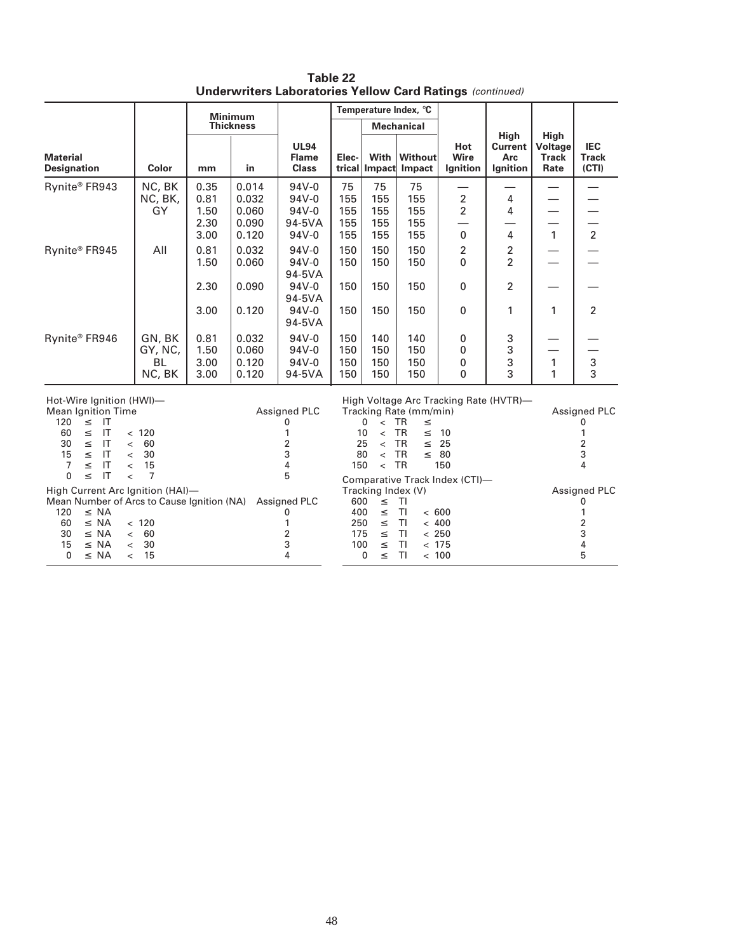|                                                                                                                                                                                                                                                                                                                                           |                                           | <b>Minimum</b>                                                                                       |                                                                                                       |                                                                 |                                 | Temperature Index, °C                                                               |                                                                                                                  |                                       |                                                             |                                                |                                            |
|-------------------------------------------------------------------------------------------------------------------------------------------------------------------------------------------------------------------------------------------------------------------------------------------------------------------------------------------|-------------------------------------------|------------------------------------------------------------------------------------------------------|-------------------------------------------------------------------------------------------------------|-----------------------------------------------------------------|---------------------------------|-------------------------------------------------------------------------------------|------------------------------------------------------------------------------------------------------------------|---------------------------------------|-------------------------------------------------------------|------------------------------------------------|--------------------------------------------|
|                                                                                                                                                                                                                                                                                                                                           |                                           |                                                                                                      | <b>Thickness</b>                                                                                      |                                                                 |                                 |                                                                                     | <b>Mechanical</b>                                                                                                |                                       |                                                             |                                                |                                            |
| <b>Material</b><br><b>Designation</b>                                                                                                                                                                                                                                                                                                     | Color                                     | mm                                                                                                   | in                                                                                                    | <b>UL94</b><br><b>Flame</b><br><b>Class</b>                     | Elec-                           | With                                                                                | Without<br>trical   Impact   Impact                                                                              | Hot<br>Wire<br>Ignition               | High<br><b>Current</b><br>Arc<br>Ignition                   | <b>High</b><br>Voltage<br><b>Track</b><br>Rate | <b>IEC</b><br><b>Track</b><br>(CTI)        |
| Rynite® FR943                                                                                                                                                                                                                                                                                                                             | NC, BK<br>NC, BK,<br>GY                   | 0.35<br>0.81<br>1.50<br>2.30<br>3.00                                                                 | 0.014<br>0.032<br>0.060<br>0.090<br>0.120                                                             | $94V - 0$<br>$94V - 0$<br>94V-0<br>94-5VA<br>$94V - 0$          | 75<br>155<br>155<br>155<br>155  | 75<br>155<br>155<br>155<br>155                                                      | 75<br>155<br>155<br>155<br>155                                                                                   | $\overline{2}$<br>$\overline{2}$<br>0 | 4<br>4<br>4                                                 | $\mathbf{1}$                                   | $\frac{1}{2}$                              |
| Rynite® FR945                                                                                                                                                                                                                                                                                                                             | All                                       | 0.81<br>1.50<br>2.30                                                                                 | 0.032<br>0.060<br>0.090                                                                               | $94V - 0$<br>$94V - 0$<br>94-5VA<br>$94V - 0$<br>94-5VA         | 150<br>150<br>150               | 150<br>150<br>150                                                                   | 150<br>150<br>150                                                                                                | $\overline{2}$<br>0<br>$\mathbf{0}$   | $\overline{\mathbf{c}}$<br>$\overline{2}$<br>$\overline{2}$ |                                                |                                            |
|                                                                                                                                                                                                                                                                                                                                           |                                           | 3.00                                                                                                 | 0.120                                                                                                 | $94V - 0$<br>94-5VA                                             | 150                             | 150                                                                                 | 150                                                                                                              | 0                                     | 1                                                           | 1                                              | $\overline{2}$                             |
| Rynite® FR946                                                                                                                                                                                                                                                                                                                             | GN, BK<br>GY, NC,<br><b>BL</b><br>NC, BK  | 0.81<br>1.50<br>3.00<br>3.00                                                                         | 0.032<br>0.060<br>0.120<br>0.120                                                                      | $94V - 0$<br>$94V - 0$<br>$94V - 0$<br>94-5VA                   | 150<br>150<br>150<br>150        | 140<br>150<br>150<br>150                                                            | 140<br>150<br>150<br>150                                                                                         | 0<br>0<br>0<br>0                      | 3<br>3<br>3<br>3                                            | 1<br>1                                         | 3<br>3                                     |
| Hot-Wire Ignition (HWI)-<br><b>Mean Ignition Time</b><br>120<br>$\leq$<br>IT<br>IT<br>< 120<br>60<br>$\leq$<br>30<br>IT<br>$\leq$<br>$\overline{\phantom{a}}$<br>15<br>IT<br>$\leq$<br>$\overline{\phantom{a}}$<br>$\overline{7}$<br>IT<br>$\leq$<br>$\overline{\phantom{a}}$<br>IT<br>$\mathbf{0}$<br>$\leq$<br>$\overline{\phantom{a}}$ | 150                                       | 0<br>$\leq$ TR<br>$\leq$ TR<br>10<br>25<br>$\,<$<br>80<br>$\overline{\phantom{a}}$<br>$\overline{a}$ | Tracking Rate (mm/min)<br>$\leq$<br>$\leq$<br><b>TR</b><br>$\leq$<br><b>TR</b><br>$\leq$<br><b>TR</b> | High Voltage Arc Tracking Rate (HVTR)-<br>10<br>25<br>80<br>150 |                                 |                                                                                     | Assigned PLC<br>0<br>1<br>2<br>3<br>$\overline{\mathbf{A}}$                                                      |                                       |                                                             |                                                |                                            |
| High Current Arc Ignition (HAI)-<br>Mean Number of Arcs to Cause Ignition (NA) Assigned PLC<br>120<br>$\leq$ NA<br>60<br>$\leq$ NA<br>30<br>$\leq$ NA<br>$\lt$<br>15<br>$\leq$<br><b>NA</b><br>$\overline{\phantom{a}}$<br>$\mathbf{0}$<br>$\leq$ NA<br>$\lt$                                                                             | $\overline{7}$<br>< 120<br>60<br>30<br>15 |                                                                                                      |                                                                                                       | 5<br>0<br>1<br>2<br>3<br>4                                      | 600<br>400<br>250<br>175<br>100 | Tracking Index (V)<br>$\leq$<br>$\leq$<br>$\leq$<br>$\leq$<br>$\leq$<br>0<br>$\leq$ | <b>TI</b><br><b>TI</b><br>< 600<br><b>TI</b><br>< 400<br>ΤI<br>< 250<br><b>TI</b><br>< 175<br><b>TI</b><br>< 100 | Comparative Track Index (CTI)-        |                                                             |                                                | Assigned PLC<br>0<br>1<br>2<br>3<br>4<br>5 |

**Table 22 Underwriters Laboratories Yellow Card Ratings** (continued)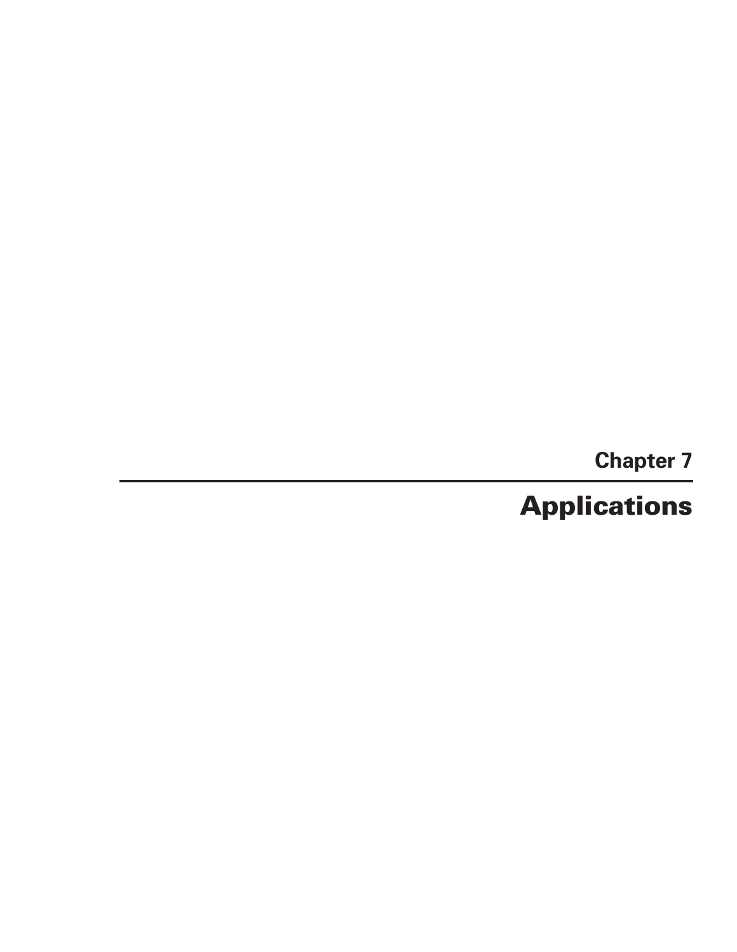**Chapter 7**

# **Applications**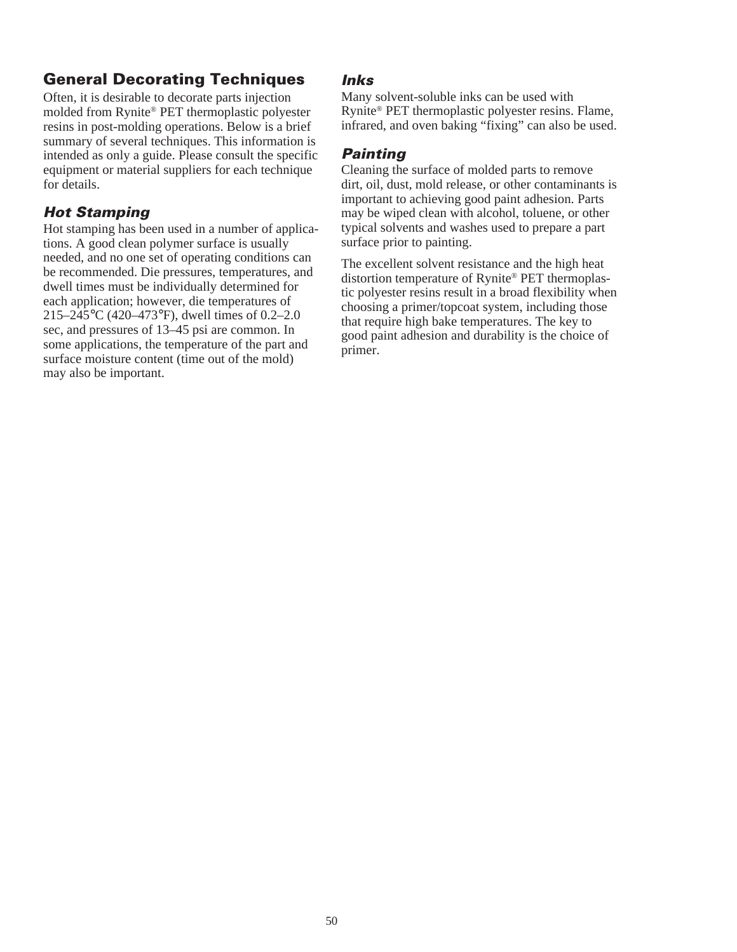# **General Decorating Techniques**

Often, it is desirable to decorate parts injection molded from Rynite® PET thermoplastic polyester resins in post-molding operations. Below is a brief summary of several techniques. This information is intended as only a guide. Please consult the specific equipment or material suppliers for each technique for details.

# **Hot Stamping**

Hot stamping has been used in a number of applications. A good clean polymer surface is usually needed, and no one set of operating conditions can be recommended. Die pressures, temperatures, and dwell times must be individually determined for each application; however, die temperatures of 215–245°C (420–473°F), dwell times of 0.2–2.0 sec, and pressures of 13–45 psi are common. In some applications, the temperature of the part and surface moisture content (time out of the mold) may also be important.

### **Inks**

Many solvent-soluble inks can be used with Rynite® PET thermoplastic polyester resins. Flame, infrared, and oven baking "fixing" can also be used.

# **Painting**

Cleaning the surface of molded parts to remove dirt, oil, dust, mold release, or other contaminants is important to achieving good paint adhesion. Parts may be wiped clean with alcohol, toluene, or other typical solvents and washes used to prepare a part surface prior to painting.

The excellent solvent resistance and the high heat distortion temperature of Rynite® PET thermoplastic polyester resins result in a broad flexibility when choosing a primer/topcoat system, including those that require high bake temperatures. The key to good paint adhesion and durability is the choice of primer.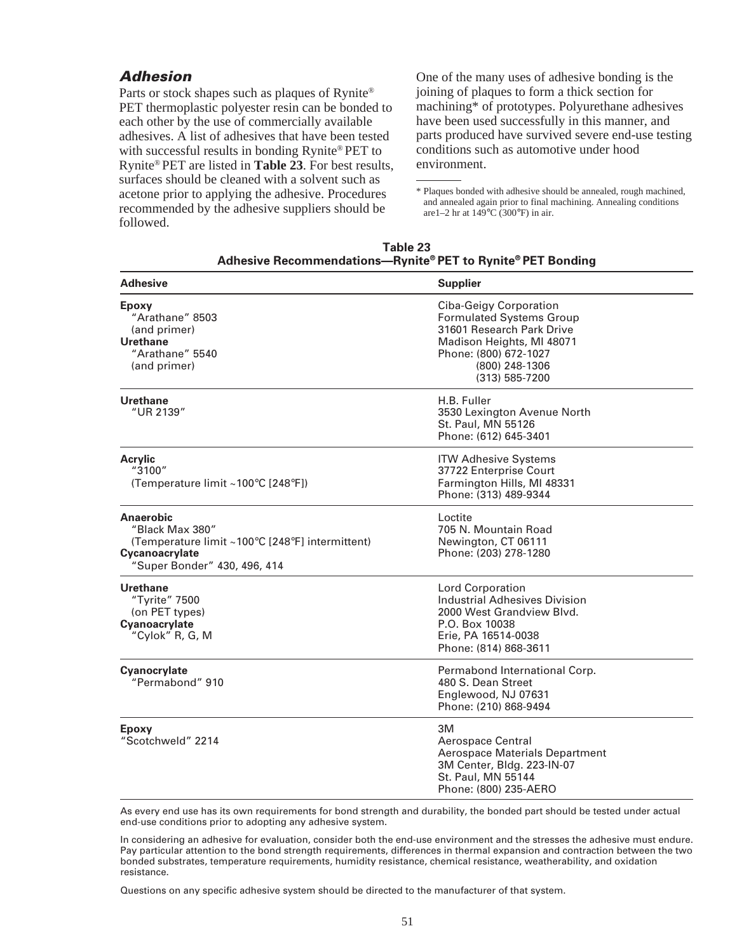#### **Adhesion**

Parts or stock shapes such as plaques of Rynite® PET thermoplastic polyester resin can be bonded to each other by the use of commercially available adhesives. A list of adhesives that have been tested with successful results in bonding Rynite® PET to Rynite® PET are listed in **Table 23**. For best results, surfaces should be cleaned with a solvent such as acetone prior to applying the adhesive. Procedures recommended by the adhesive suppliers should be followed.

One of the many uses of adhesive bonding is the joining of plaques to form a thick section for machining\* of prototypes. Polyurethane adhesives have been used successfully in this manner, and parts produced have survived severe end-use testing conditions such as automotive under hood environment.

<sup>\*</sup> Plaques bonded with adhesive should be annealed, rough machined, and annealed again prior to final machining. Annealing conditions are  $1-2$  hr at  $149^{\circ}$ C (300°F) in air.

| Table 23                                                    |
|-------------------------------------------------------------|
| Adhesive Recommendations-Rynite® PET to Rynite® PET Bonding |

| <b>Adhesive</b>                                                                                                                   | <b>Supplier</b>                                                                                                                                                                         |
|-----------------------------------------------------------------------------------------------------------------------------------|-----------------------------------------------------------------------------------------------------------------------------------------------------------------------------------------|
| <b>Epoxy</b><br>"Arathane" 8503<br>(and primer)<br>Urethane<br>"Arathane" 5540<br>(and primer)                                    | <b>Ciba-Geigy Corporation</b><br><b>Formulated Systems Group</b><br>31601 Research Park Drive<br>Madison Heights, MI 48071<br>Phone: (800) 672-1027<br>(800) 248-1306<br>(313) 585-7200 |
| <b>Urethane</b><br>"UR 2139"                                                                                                      | H.B. Fuller<br>3530 Lexington Avenue North<br>St. Paul, MN 55126<br>Phone: (612) 645-3401                                                                                               |
| <b>Acrylic</b><br>"3100"<br>(Temperature limit ~100°C [248°F])                                                                    | <b>ITW Adhesive Systems</b><br>37722 Enterprise Court<br>Farmington Hills, MI 48331<br>Phone: (313) 489-9344                                                                            |
| Anaerobic<br>"Black Max 380"<br>(Temperature limit ~100°C [248°F] intermittent)<br>Cycanoacrylate<br>"Super Bonder" 430, 496, 414 | Loctite<br>705 N. Mountain Road<br>Newington, CT 06111<br>Phone: (203) 278-1280                                                                                                         |
| <b>Urethane</b><br>"Tyrite" 7500<br>(on PET types)<br>Cyanoacrylate<br>"Cylok" R, G, M                                            | <b>Lord Corporation</b><br><b>Industrial Adhesives Division</b><br>2000 West Grandview Blvd.<br>P.O. Box 10038<br>Erie, PA 16514-0038<br>Phone: (814) 868-3611                          |
| Cyanocrylate<br>"Permabond" 910                                                                                                   | Permabond International Corp.<br>480 S. Dean Street<br>Englewood, NJ 07631<br>Phone: (210) 868-9494                                                                                     |
| <b>Epoxy</b><br>"Scotchweld" 2214                                                                                                 | ЗM<br>Aerospace Central<br><b>Aerospace Materials Department</b><br>3M Center, Bldg. 223-IN-07<br>St. Paul, MN 55144<br>Phone: (800) 235-AERO                                           |

As every end use has its own requirements for bond strength and durability, the bonded part should be tested under actual end-use conditions prior to adopting any adhesive system.

In considering an adhesive for evaluation, consider both the end-use environment and the stresses the adhesive must endure. Pay particular attention to the bond strength requirements, differences in thermal expansion and contraction between the two bonded substrates, temperature requirements, humidity resistance, chemical resistance, weatherability, and oxidation resistance.

Questions on any specific adhesive system should be directed to the manufacturer of that system.